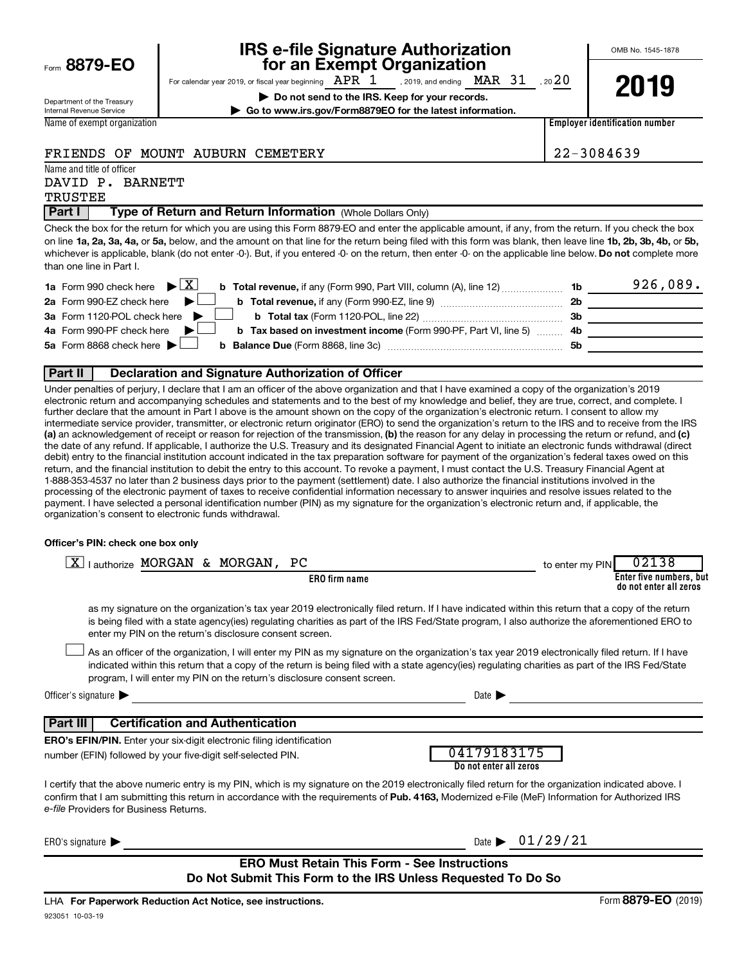|  |  | Form 8879-EO |
|--|--|--------------|
|--|--|--------------|

# **IRS e-file Signature Authorization**<br>**687 For an Exempt Organization**

OMB No. 1545-1878

Department of the Treasury Internal Revenue Service Name of exempt organization For calendar year 2019, or fiscal year beginning  $\begin{array}{ccc} APR & 1 & ,$  2019, and ending  $\begin{array}{ccc} MAR & 31 & ,$  20  $20 \end{array}$ , 2019, and ending  $\text{MAR}$   $31$ 

**| Do not send to the IRS. Keep for your records. | Go to www.irs.gov/Form8879EO for the latest information.**



**Employer identification number**

#### FRIENDS OF MOUNT AUBURN CEMETERY 22-3084639

Name and title of officer

# DAVID P. BARNETT

TRUSTEE

#### **Part I** | Type of Return and Return Information (Whole Dollars Only)

on line 1a, 2a, 3a, 4a, or 5a, below, and the amount on that line for the return being filed with this form was blank, then leave line 1b, 2b, 3b, 4b, or 5b, whichever is applicable, blank (do not enter -0-). But, if you entered -0- on the return, then enter -0- on the applicable line below. **Do not** complete more Check the box for the return for which you are using this Form 8879-EO and enter the applicable amount, if any, from the return. If you check the box than one line in Part I.

| <b>1a</b> Form 990 check here $\triangleright \boxed{X}$                                                                     |           | 926,089. |
|------------------------------------------------------------------------------------------------------------------------------|-----------|----------|
| 2a Form 990-EZ check here $\blacktriangleright$<br>b Total revenue, if any (Form 990-EZ, line 9) <i></i>                     | -2b       |          |
| 3a Form 1120-POL check here $\blacktriangleright$ $\Box$                                                                     | - 3b      |          |
| 4a Form 990-PF check here $\blacktriangleright$<br><b>b</b> Tax based on investment income (Form 990-PF, Part VI, line 5) 4b |           |          |
| 5a Form 8868 check here $\blacktriangleright$                                                                                | <b>5b</b> |          |
|                                                                                                                              |           |          |

#### **Part II Declaration and Signature Authorization of Officer**

(a) an acknowledgement of receipt or reason for rejection of the transmission, (b) the reason for any delay in processing the return or refund, and (c) Under penalties of perjury, I declare that I am an officer of the above organization and that I have examined a copy of the organization's 2019 electronic return and accompanying schedules and statements and to the best of my knowledge and belief, they are true, correct, and complete. I further declare that the amount in Part I above is the amount shown on the copy of the organization's electronic return. I consent to allow my intermediate service provider, transmitter, or electronic return originator (ERO) to send the organization's return to the IRS and to receive from the IRS the date of any refund. If applicable, I authorize the U.S. Treasury and its designated Financial Agent to initiate an electronic funds withdrawal (direct debit) entry to the financial institution account indicated in the tax preparation software for payment of the organization's federal taxes owed on this return, and the financial institution to debit the entry to this account. To revoke a payment, I must contact the U.S. Treasury Financial Agent at 1-888-353-4537 no later than 2 business days prior to the payment (settlement) date. I also authorize the financial institutions involved in the processing of the electronic payment of taxes to receive confidential information necessary to answer inquiries and resolve issues related to the payment. I have selected a personal identification number (PIN) as my signature for the organization's electronic return and, if applicable, the organization's consent to electronic funds withdrawal.

#### **Officer's PIN: check one box only**

| lauthorize MORGAN & MORGAN, PC<br><u>x</u>                                                                                                                                                                                                                                                                                                                                       |                                       | to enter my PIN | 02138                                             |
|----------------------------------------------------------------------------------------------------------------------------------------------------------------------------------------------------------------------------------------------------------------------------------------------------------------------------------------------------------------------------------|---------------------------------------|-----------------|---------------------------------------------------|
| ERO firm name                                                                                                                                                                                                                                                                                                                                                                    |                                       |                 | Enter five numbers, but<br>do not enter all zeros |
| as my signature on the organization's tax year 2019 electronically filed return. If I have indicated within this return that a copy of the return<br>is being filed with a state agency(ies) regulating charities as part of the IRS Fed/State program, I also authorize the aforementioned ERO to<br>enter my PIN on the return's disclosure consent screen.                    |                                       |                 |                                                   |
| As an officer of the organization, I will enter my PIN as my signature on the organization's tax year 2019 electronically filed return. If I have<br>indicated within this return that a copy of the return is being filed with a state agency(ies) regulating charities as part of the IRS Fed/State<br>program, I will enter my PIN on the return's disclosure consent screen. |                                       |                 |                                                   |
| Officer's signature $\blacktriangleright$                                                                                                                                                                                                                                                                                                                                        | Date $\blacktriangleright$            |                 |                                                   |
| <b>Certification and Authentication</b><br>Part III                                                                                                                                                                                                                                                                                                                              |                                       |                 |                                                   |
| <b>ERO's EFIN/PIN.</b> Enter your six-digit electronic filing identification                                                                                                                                                                                                                                                                                                     |                                       |                 |                                                   |
| number (EFIN) followed by your five-digit self-selected PIN.                                                                                                                                                                                                                                                                                                                     | 04179183175<br>Do not enter all zeros |                 |                                                   |
| I certify that the above numeric entry is my PIN, which is my signature on the 2019 electronically filed return for the organization indicated above. I<br>confirm that I am submitting this return in accordance with the requirements of Pub. 4163, Modernized e-File (MeF) Information for Authorized IRS<br>e-file Providers for Business Returns.                           |                                       |                 |                                                   |
| ERO's signature $\blacktriangleright$                                                                                                                                                                                                                                                                                                                                            | Date $\triangleright$ 01/29/21        |                 |                                                   |
| <b>ERO Must Retain This Form - See Instructions</b><br>Do Not Submit This Form to the IRS Unless Requested To Do So                                                                                                                                                                                                                                                              |                                       |                 |                                                   |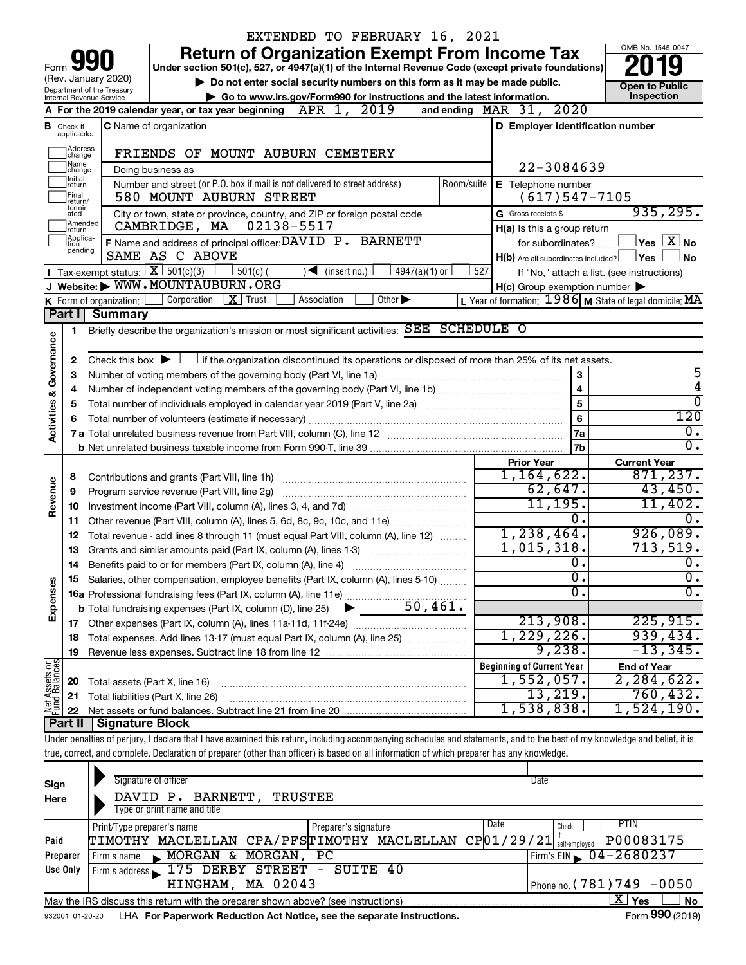|                                |                                  | EXTENDED TO FEBRUARY 16, 2021                                                                                                                                              |                                                         |                                                                  |
|--------------------------------|----------------------------------|----------------------------------------------------------------------------------------------------------------------------------------------------------------------------|---------------------------------------------------------|------------------------------------------------------------------|
|                                |                                  | <b>Return of Organization Exempt From Income Tax</b>                                                                                                                       |                                                         | OMB No. 1545-0047                                                |
| Form                           |                                  | Under section 501(c), 527, or 4947(a)(1) of the Internal Revenue Code (except private foundations)                                                                         |                                                         |                                                                  |
|                                |                                  | (Rev. January 2020)<br>Do not enter social security numbers on this form as it may be made public.                                                                         |                                                         | <b>Open to Public</b>                                            |
|                                |                                  | Department of the Treasury<br>Go to www.irs.gov/Form990 for instructions and the latest information.<br>Internal Revenue Service                                           |                                                         | Inspection                                                       |
|                                |                                  | A For the 2019 calendar year, or tax year beginning $APR$ 1, $2019$                                                                                                        | 2020<br>and ending $\n  MAR\n  31$ ,                    |                                                                  |
|                                | <b>B</b> Check if<br>applicable: | C Name of organization                                                                                                                                                     | D Employer identification number                        |                                                                  |
|                                |                                  |                                                                                                                                                                            |                                                         |                                                                  |
|                                | Address<br> change<br>Name       | FRIENDS OF MOUNT AUBURN CEMETERY                                                                                                                                           | 22-3084639                                              |                                                                  |
|                                | change<br>Initial                | Doing business as<br>Number and street (or P.O. box if mail is not delivered to street address)<br>Room/suite                                                              |                                                         |                                                                  |
|                                | return<br>Final<br>return/       | 580 MOUNT AUBURN STREET                                                                                                                                                    | E Telephone number<br>$(617)547 - 7105$                 |                                                                  |
|                                | termin-<br>ated                  | City or town, state or province, country, and ZIP or foreign postal code                                                                                                   | G Gross receipts \$                                     | 935, 295.                                                        |
|                                | Amended<br>return                | CAMBRIDGE, MA 02138-5517                                                                                                                                                   | H(a) Is this a group return                             |                                                                  |
|                                | Applica-<br>tion<br>pending      | F Name and address of principal officer: DAVID P. BARNETT                                                                                                                  |                                                         | for subordinates? $\text{mm}$ $\Box$ Yes $\boxed{\mathbf{X}}$ No |
|                                |                                  | SAME AS C ABOVE                                                                                                                                                            | H(b) Are all subordinates included? Ves                 | No                                                               |
|                                |                                  | <b>I</b> Tax-exempt status: $X \ 501(c)(3)$<br>$501(c)$ (<br>$4947(a)(1)$ or<br>$\sqrt{\frac{1}{1}}$ (insert no.)                                                          | 527                                                     | If "No," attach a list. (see instructions)                       |
|                                |                                  | J Website: WWW.MOUNTAUBURN.ORG                                                                                                                                             | $H(c)$ Group exemption number $\blacktriangleright$     |                                                                  |
|                                |                                  | Corporation<br>$\mid X \mid$ Trust<br>Other $\blacktriangleright$<br>Association<br>K Form of organization:                                                                | L Year of formation: 1986 M State of legal domicile: MA |                                                                  |
|                                | Part I                           | <b>Summary</b>                                                                                                                                                             |                                                         |                                                                  |
|                                | 1                                | Briefly describe the organization's mission or most significant activities: SEE SCHEDULE O                                                                                 |                                                         |                                                                  |
| Governance                     | 2                                | Check this box $\blacktriangleright$ $\Box$ if the organization discontinued its operations or disposed of more than 25% of its net assets.                                |                                                         |                                                                  |
|                                | 3                                | Number of voting members of the governing body (Part VI, line 1a)                                                                                                          | 3                                                       | 5                                                                |
|                                | 4                                |                                                                                                                                                                            | $\overline{\mathbf{4}}$                                 | 4                                                                |
|                                | 5                                |                                                                                                                                                                            | 5                                                       | 0                                                                |
| <b>Activities &amp;</b>        | 6                                |                                                                                                                                                                            | 6                                                       | 120                                                              |
|                                |                                  |                                                                                                                                                                            | 7a                                                      | $\mathbf{0}$ .                                                   |
|                                |                                  |                                                                                                                                                                            | 7b                                                      | $\overline{0}$ .                                                 |
|                                |                                  |                                                                                                                                                                            | <b>Prior Year</b>                                       | <b>Current Year</b>                                              |
|                                | 8                                |                                                                                                                                                                            | 1,164,622.                                              | 871, 237.                                                        |
| Revenue                        | 9                                | Program service revenue (Part VIII, line 2g)                                                                                                                               | 62,647.                                                 | 43,450.                                                          |
|                                | 10                               |                                                                                                                                                                            | 11,195.                                                 | 11,402.                                                          |
|                                | 11                               | Other revenue (Part VIII, column (A), lines 5, 6d, 8c, 9c, 10c, and 11e)                                                                                                   | 0.                                                      | 0.                                                               |
|                                | 12                               | Total revenue - add lines 8 through 11 (must equal Part VIII, column (A), line 12)                                                                                         | 1,238,464.                                              | 926,089.                                                         |
|                                | 13                               | Grants and similar amounts paid (Part IX, column (A), lines 1-3)                                                                                                           | 1,015,318.                                              | 713,519.                                                         |
|                                | 14                               | Benefits paid to or for members (Part IX, column (A), line 4)                                                                                                              | о.                                                      | $\overline{0}$ .                                                 |
|                                |                                  | 15 Salaries, other compensation, employee benefits (Part IX, column (A), lines 5-10)                                                                                       | ο.                                                      | 0.                                                               |
|                                |                                  |                                                                                                                                                                            | $\overline{0}$ .                                        | $\overline{0}$ .                                                 |
| Expenses                       |                                  |                                                                                                                                                                            |                                                         |                                                                  |
|                                |                                  |                                                                                                                                                                            | 213,908.                                                | 225,915.                                                         |
|                                | 18                               | Total expenses. Add lines 13-17 (must equal Part IX, column (A), line 25)                                                                                                  | 1,229,226.                                              | 939,434.                                                         |
|                                | 19                               |                                                                                                                                                                            | 9,238.                                                  | $-13,345.$                                                       |
| Net Assets or<br>Fund Balances |                                  |                                                                                                                                                                            | <b>Beginning of Current Year</b><br>$1,552,057$ .       | <b>End of Year</b><br>2,284,622.                                 |
|                                | 20                               | Total assets (Part X, line 16)                                                                                                                                             | 13,219.                                                 | 760, 432.                                                        |
|                                | 21                               | Total liabilities (Part X, line 26)                                                                                                                                        | 1,538,838.                                              | 1,524,190.                                                       |
|                                | 22<br>Part II                    | <b>Signature Block</b>                                                                                                                                                     |                                                         |                                                                  |
|                                |                                  | Under penalties of perjury, I declare that I have examined this return, including accompanying schedules and statements, and to the best of my knowledge and belief, it is |                                                         |                                                                  |
|                                |                                  | true, correct, and complete. Declaration of preparer (other than officer) is based on all information of which preparer has any knowledge.                                 |                                                         |                                                                  |
|                                |                                  |                                                                                                                                                                            |                                                         |                                                                  |
| Sign                           |                                  | Signature of officer                                                                                                                                                       | Date                                                    |                                                                  |
| Here                           |                                  | DAVID P. BARNETT,<br><b>TRUSTEE</b>                                                                                                                                        |                                                         |                                                                  |
|                                |                                  | Type or print name and title                                                                                                                                               |                                                         |                                                                  |
|                                |                                  | Print/Type preparer's name<br>Preparer's signature                                                                                                                         | Date<br>Check                                           | <b>PTIN</b>                                                      |
| Paid                           |                                  | TIMOTHY MACLELLAN CPA/PFSTIMOTHY MACLELLAN CP01/29/21 self-employed                                                                                                        |                                                         | P00083175                                                        |
|                                | Preparer                         | $\blacktriangleright$ MORGAN & MORGAN,<br>РC<br>Firm's name                                                                                                                |                                                         | Firm's EIN $\triangleright$ 04 - 2680237                         |

|          | and the company of the Law Democratic Deduction Ant National and the computer included: | $T_{\text{max}}$ 000 $(0.01)$    |
|----------|-----------------------------------------------------------------------------------------|----------------------------------|
|          | May the IRS discuss this return with the preparer shown above? (see instructions)       | N.<br><b>Yes</b>                 |
|          | HINGHAM, MA 02043                                                                       | I Phone no. $(781)$ 749 -0050    |
| Use Only | I Firm's address 175 DERBY STREET - SUITE<br>-40                                        |                                  |
| Preparer | $\blacktriangleright$ MORGAN & MORGAN, PC<br>Firm's name                                | Firm's EIN $\bigcirc$ 04-2680237 |
|          |                                                                                         |                                  |

932001 01-20-20 **For Paperwork Reduction Act Notice, see the separate instructions.** LHA Form (2019)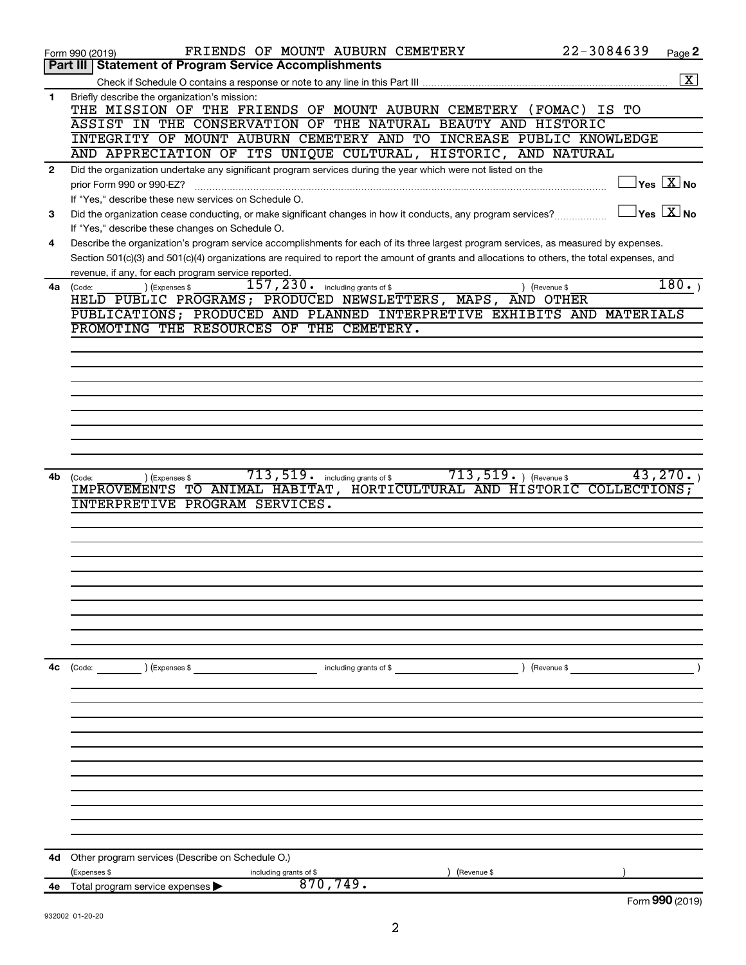|              | 22-3084639<br>FRIENDS OF MOUNT AUBURN CEMETERY<br>Form 990 (2019)                                                                                               | Page 2                              |
|--------------|-----------------------------------------------------------------------------------------------------------------------------------------------------------------|-------------------------------------|
|              | Part III   Statement of Program Service Accomplishments                                                                                                         |                                     |
|              |                                                                                                                                                                 | $\overline{\mathbf{X}}$             |
| 1            | Briefly describe the organization's mission:<br>THE MISSION OF THE FRIENDS OF MOUNT AUBURN CEMETERY (FOMAC)<br>IS TO                                            |                                     |
|              | ASSIST IN THE CONSERVATION OF THE NATURAL BEAUTY AND HISTORIC                                                                                                   |                                     |
|              | INTEGRITY OF MOUNT AUBURN CEMETERY AND TO INCREASE PUBLIC KNOWLEDGE                                                                                             |                                     |
|              | AND APPRECIATION OF ITS UNIQUE CULTURAL, HISTORIC, AND NATURAL                                                                                                  |                                     |
| $\mathbf{2}$ | Did the organization undertake any significant program services during the year which were not listed on the                                                    |                                     |
|              | prior Form 990 or 990-EZ?                                                                                                                                       | $\exists$ Yes $\boxed{\text{X}}$ No |
|              | If "Yes," describe these new services on Schedule O.                                                                                                            | $\overline{Y}$ es $\overline{X}$ No |
| 3            | Did the organization cease conducting, or make significant changes in how it conducts, any program services?<br>If "Yes," describe these changes on Schedule O. |                                     |
| 4            | Describe the organization's program service accomplishments for each of its three largest program services, as measured by expenses.                            |                                     |
|              | Section 501(c)(3) and 501(c)(4) organizations are required to report the amount of grants and allocations to others, the total expenses, and                    |                                     |
|              | revenue, if any, for each program service reported.                                                                                                             |                                     |
|              | 157,230.<br>including grants of \$<br>) (Expenses \$<br>$4a$ (Code:<br>) (Revenue \$                                                                            | 180.                                |
|              | HELD PUBLIC PROGRAMS; PRODUCED NEWSLETTERS, MAPS, AND OTHER                                                                                                     |                                     |
|              | PUBLICATIONS; PRODUCED AND PLANNED INTERPRETIVE EXHIBITS AND MATERIALS                                                                                          |                                     |
|              | PROMOTING THE RESOURCES OF THE CEMETERY.                                                                                                                        |                                     |
|              |                                                                                                                                                                 |                                     |
|              |                                                                                                                                                                 |                                     |
|              |                                                                                                                                                                 |                                     |
|              |                                                                                                                                                                 |                                     |
|              |                                                                                                                                                                 |                                     |
|              |                                                                                                                                                                 |                                     |
|              |                                                                                                                                                                 |                                     |
|              |                                                                                                                                                                 |                                     |
| 4b           | $713, 519$ $\cdot$ including grants of \$<br>$713, 519.$ ) (Revenue \$<br>(Expenses \$<br>(Code:                                                                | 43,270.                             |
|              | IMPROVEMENTS TO ANIMAL HABITAT, HORTICULTURAL AND HISTORIC COLLECTIONS;                                                                                         |                                     |
|              | PROGRAM SERVICES.<br>INTERPRETIVE                                                                                                                               |                                     |
|              |                                                                                                                                                                 |                                     |
|              |                                                                                                                                                                 |                                     |
|              |                                                                                                                                                                 |                                     |
|              |                                                                                                                                                                 |                                     |
|              |                                                                                                                                                                 |                                     |
|              |                                                                                                                                                                 |                                     |
|              |                                                                                                                                                                 |                                     |
|              |                                                                                                                                                                 |                                     |
|              |                                                                                                                                                                 |                                     |
| 4с           | ) (Expenses \$<br>) (Revenue \$<br>(Code:<br>including grants of \$                                                                                             |                                     |
|              |                                                                                                                                                                 |                                     |
|              |                                                                                                                                                                 |                                     |
|              |                                                                                                                                                                 |                                     |
|              |                                                                                                                                                                 |                                     |
|              |                                                                                                                                                                 |                                     |
|              |                                                                                                                                                                 |                                     |
|              |                                                                                                                                                                 |                                     |
|              |                                                                                                                                                                 |                                     |
|              |                                                                                                                                                                 |                                     |
|              |                                                                                                                                                                 |                                     |
|              |                                                                                                                                                                 |                                     |
| 4d           | Other program services (Describe on Schedule O.)                                                                                                                |                                     |
|              | (Expenses \$<br>(Revenue \$<br>including grants of \$                                                                                                           |                                     |
| 4е           | 870, 749.<br>Total program service expenses                                                                                                                     |                                     |
|              |                                                                                                                                                                 | Form 990 (2019)                     |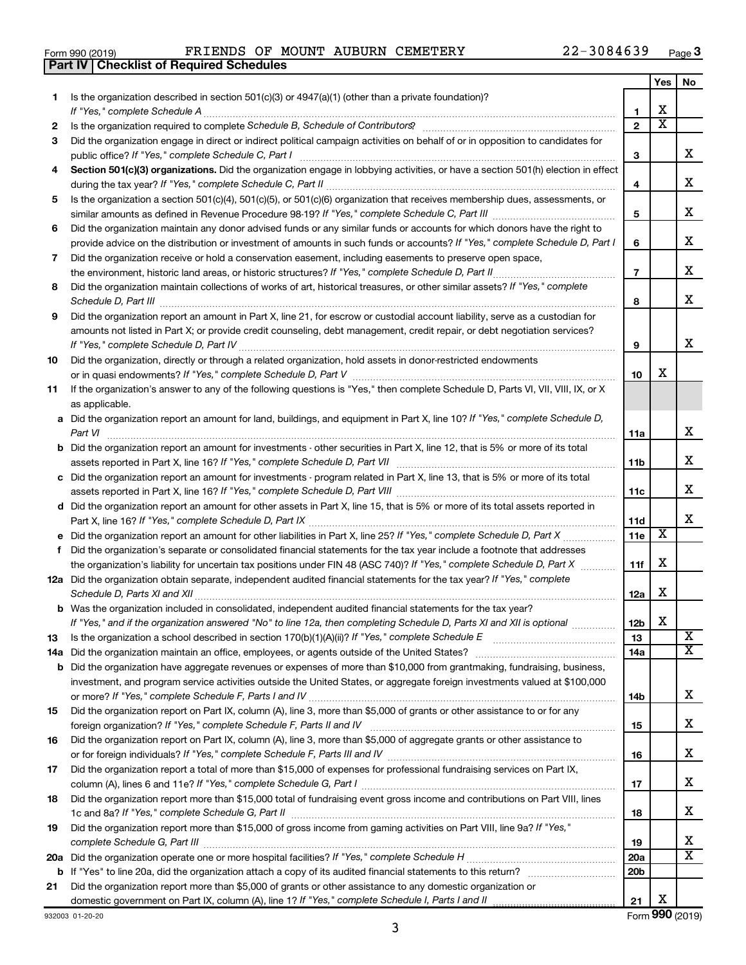|  | Form 990 (2019) |  |
|--|-----------------|--|
|  |                 |  |

**Part IV Checklist of Required Schedules**

 $\epsilon$  Form 990 (2019) FRIENDS OF MOUNT AUBURN CEMETERY  $ZZ-3084639$  Page FRIENDS OF MOUNT AUBURN CEMETERY 22-3084639

|     |                                                                                                                                                                       |                 | Yes                   | No                      |
|-----|-----------------------------------------------------------------------------------------------------------------------------------------------------------------------|-----------------|-----------------------|-------------------------|
| 1.  | Is the organization described in section $501(c)(3)$ or $4947(a)(1)$ (other than a private foundation)?                                                               |                 |                       |                         |
|     | If "Yes," complete Schedule A                                                                                                                                         | 1               | х                     |                         |
| 2   | Is the organization required to complete Schedule B, Schedule of Contributors? [111] [12] the organization required to complete Schedule B, Schedule of Contributors? | $\overline{2}$  | $\overline{\text{x}}$ |                         |
| 3   | Did the organization engage in direct or indirect political campaign activities on behalf of or in opposition to candidates for                                       |                 |                       |                         |
|     |                                                                                                                                                                       | 3               |                       | x                       |
| 4   | Section 501(c)(3) organizations. Did the organization engage in lobbying activities, or have a section 501(h) election in effect                                      |                 |                       | x                       |
|     |                                                                                                                                                                       | 4               |                       |                         |
| 5   | Is the organization a section 501(c)(4), 501(c)(5), or 501(c)(6) organization that receives membership dues, assessments, or                                          | 5               |                       | x                       |
|     | Did the organization maintain any donor advised funds or any similar funds or accounts for which donors have the right to                                             |                 |                       |                         |
| 6   | provide advice on the distribution or investment of amounts in such funds or accounts? If "Yes," complete Schedule D, Part I                                          | 6               |                       | x                       |
| 7   | Did the organization receive or hold a conservation easement, including easements to preserve open space,                                                             |                 |                       |                         |
|     | .                                                                                                                                                                     | $\overline{7}$  |                       | x                       |
| 8   | Did the organization maintain collections of works of art, historical treasures, or other similar assets? If "Yes," complete                                          |                 |                       |                         |
|     |                                                                                                                                                                       | 8               |                       | x                       |
| 9   | Did the organization report an amount in Part X, line 21, for escrow or custodial account liability, serve as a custodian for                                         |                 |                       |                         |
|     | amounts not listed in Part X; or provide credit counseling, debt management, credit repair, or debt negotiation services?                                             |                 |                       |                         |
|     |                                                                                                                                                                       | 9               |                       | x                       |
| 10  | Did the organization, directly or through a related organization, hold assets in donor-restricted endowments                                                          |                 |                       |                         |
|     |                                                                                                                                                                       | 10              | x                     |                         |
| 11  | If the organization's answer to any of the following questions is "Yes," then complete Schedule D, Parts VI, VII, VIII, IX, or X                                      |                 |                       |                         |
|     | as applicable.                                                                                                                                                        |                 |                       |                         |
|     | a Did the organization report an amount for land, buildings, and equipment in Part X, line 10? If "Yes," complete Schedule D,                                         |                 |                       |                         |
|     | Part VI                                                                                                                                                               | 11a             |                       | x                       |
|     | <b>b</b> Did the organization report an amount for investments - other securities in Part X, line 12, that is 5% or more of its total                                 |                 |                       | x                       |
|     |                                                                                                                                                                       | 11b             |                       |                         |
|     | c Did the organization report an amount for investments - program related in Part X, line 13, that is 5% or more of its total                                         | 11c             |                       | x                       |
|     | d Did the organization report an amount for other assets in Part X, line 15, that is 5% or more of its total assets reported in                                       |                 |                       |                         |
|     |                                                                                                                                                                       | 11d             |                       | x                       |
|     |                                                                                                                                                                       | 11e             | X                     |                         |
| f   | Did the organization's separate or consolidated financial statements for the tax year include a footnote that addresses                                               |                 |                       |                         |
|     | the organization's liability for uncertain tax positions under FIN 48 (ASC 740)? If "Yes," complete Schedule D, Part X                                                | 11f             | х                     |                         |
|     | 12a Did the organization obtain separate, independent audited financial statements for the tax year? If "Yes," complete                                               |                 |                       |                         |
|     | Schedule D, Parts XI and XII                                                                                                                                          | 12a             | х                     |                         |
|     | <b>b</b> Was the organization included in consolidated, independent audited financial statements for the tax year?                                                    |                 |                       |                         |
|     | If "Yes," and if the organization answered "No" to line 12a, then completing Schedule D, Parts XI and XII is optional                                                 | 12 <sub>b</sub> | X                     |                         |
| 13  | Is the organization a school described in section $170(b)(1)(A)(ii)$ ? If "Yes," complete Schedule E                                                                  | 13              |                       | $\overline{\mathbf{X}}$ |
| 14a |                                                                                                                                                                       | 14a             |                       | $\overline{\mathbf{X}}$ |
|     | <b>b</b> Did the organization have aggregate revenues or expenses of more than \$10,000 from grantmaking, fundraising, business,                                      |                 |                       |                         |
|     | investment, and program service activities outside the United States, or aggregate foreign investments valued at \$100,000                                            |                 |                       | x                       |
| 15  | Did the organization report on Part IX, column (A), line 3, more than \$5,000 of grants or other assistance to or for any                                             | 14b             |                       |                         |
|     |                                                                                                                                                                       | 15              |                       | x                       |
| 16  | Did the organization report on Part IX, column (A), line 3, more than \$5,000 of aggregate grants or other assistance to                                              |                 |                       |                         |
|     |                                                                                                                                                                       | 16              |                       | x                       |
| 17  | Did the organization report a total of more than \$15,000 of expenses for professional fundraising services on Part IX,                                               |                 |                       |                         |
|     |                                                                                                                                                                       | 17              |                       | x                       |
| 18  | Did the organization report more than \$15,000 total of fundraising event gross income and contributions on Part VIII, lines                                          |                 |                       |                         |
|     |                                                                                                                                                                       | 18              |                       | x                       |
| 19  | Did the organization report more than \$15,000 of gross income from gaming activities on Part VIII, line 9a? If "Yes,"                                                |                 |                       |                         |
|     |                                                                                                                                                                       | 19              |                       | x                       |
|     |                                                                                                                                                                       | 20a             |                       | х                       |
|     | <b>b</b> If "Yes" to line 20a, did the organization attach a copy of its audited financial statements to this return?                                                 | 20 <sub>b</sub> |                       |                         |
| 21  | Did the organization report more than \$5,000 of grants or other assistance to any domestic organization or                                                           | 21              | х                     |                         |
|     |                                                                                                                                                                       |                 |                       |                         |

932003 01-20-20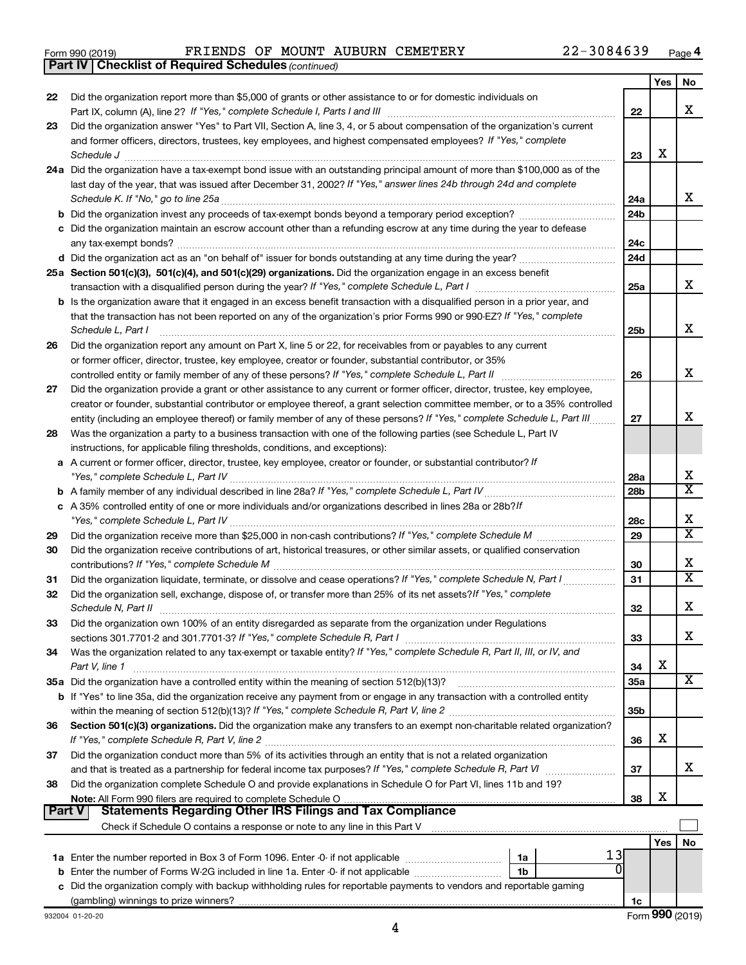|  | Form 990 (2019) |  |
|--|-----------------|--|
|  |                 |  |

*(continued)* **Part IV Checklist of Required Schedules**

|          |                                                                                                                                                                                                               |                 | Yes        | No |
|----------|---------------------------------------------------------------------------------------------------------------------------------------------------------------------------------------------------------------|-----------------|------------|----|
| 22       | Did the organization report more than \$5,000 of grants or other assistance to or for domestic individuals on                                                                                                 |                 |            |    |
|          |                                                                                                                                                                                                               | 22              |            | x  |
| 23       | Did the organization answer "Yes" to Part VII, Section A, line 3, 4, or 5 about compensation of the organization's current                                                                                    |                 |            |    |
|          | and former officers, directors, trustees, key employees, and highest compensated employees? If "Yes," complete                                                                                                |                 |            |    |
|          | Schedule J                                                                                                                                                                                                    | 23              | х          |    |
|          | 24a Did the organization have a tax-exempt bond issue with an outstanding principal amount of more than \$100,000 as of the                                                                                   |                 |            |    |
|          | last day of the year, that was issued after December 31, 2002? If "Yes," answer lines 24b through 24d and complete                                                                                            |                 |            |    |
|          |                                                                                                                                                                                                               | 24a             |            | x  |
|          |                                                                                                                                                                                                               | 24 <sub>b</sub> |            |    |
|          | c Did the organization maintain an escrow account other than a refunding escrow at any time during the year to defease                                                                                        |                 |            |    |
|          | any tax-exempt bonds?                                                                                                                                                                                         | 24c             |            |    |
|          |                                                                                                                                                                                                               | 24d             |            |    |
|          | 25a Section 501(c)(3), 501(c)(4), and 501(c)(29) organizations. Did the organization engage in an excess benefit                                                                                              |                 |            | x  |
|          |                                                                                                                                                                                                               | 25a             |            |    |
|          | b Is the organization aware that it engaged in an excess benefit transaction with a disqualified person in a prior year, and                                                                                  |                 |            |    |
|          | that the transaction has not been reported on any of the organization's prior Forms 990 or 990-EZ? If "Yes," complete                                                                                         |                 |            | x  |
|          | Schedule L, Part I                                                                                                                                                                                            | 25b             |            |    |
| 26       | Did the organization report any amount on Part X, line 5 or 22, for receivables from or payables to any current                                                                                               |                 |            |    |
|          | or former officer, director, trustee, key employee, creator or founder, substantial contributor, or 35%<br>controlled entity or family member of any of these persons? If "Yes," complete Schedule L, Part II | 26              |            | х  |
| 27       | Did the organization provide a grant or other assistance to any current or former officer, director, trustee, key employee,                                                                                   |                 |            |    |
|          | creator or founder, substantial contributor or employee thereof, a grant selection committee member, or to a 35% controlled                                                                                   |                 |            |    |
|          | entity (including an employee thereof) or family member of any of these persons? If "Yes," complete Schedule L, Part III                                                                                      | 27              |            | x  |
| 28       | Was the organization a party to a business transaction with one of the following parties (see Schedule L, Part IV                                                                                             |                 |            |    |
|          | instructions, for applicable filing thresholds, conditions, and exceptions):                                                                                                                                  |                 |            |    |
|          | a A current or former officer, director, trustee, key employee, creator or founder, or substantial contributor? If                                                                                            |                 |            |    |
|          |                                                                                                                                                                                                               | 28a             |            | x  |
|          |                                                                                                                                                                                                               | 28 <sub>b</sub> |            | х  |
|          | c A 35% controlled entity of one or more individuals and/or organizations described in lines 28a or 28b?If                                                                                                    |                 |            |    |
|          |                                                                                                                                                                                                               | 28c             |            | х  |
| 29       |                                                                                                                                                                                                               | 29              |            | X  |
| 30       | Did the organization receive contributions of art, historical treasures, or other similar assets, or qualified conservation                                                                                   |                 |            |    |
|          |                                                                                                                                                                                                               | 30              |            | х  |
| 31       | Did the organization liquidate, terminate, or dissolve and cease operations? If "Yes," complete Schedule N, Part I                                                                                            | 31              |            | X  |
| 32       | Did the organization sell, exchange, dispose of, or transfer more than 25% of its net assets? If "Yes," complete                                                                                              |                 |            |    |
|          | Schedule N, Part II                                                                                                                                                                                           | 32              |            | х  |
| 33       | Did the organization own 100% of an entity disregarded as separate from the organization under Regulations                                                                                                    |                 |            |    |
|          |                                                                                                                                                                                                               | 33              |            | x  |
| 34       | Was the organization related to any tax-exempt or taxable entity? If "Yes," complete Schedule R, Part II, III, or IV, and                                                                                     |                 |            |    |
|          | Part V, line 1                                                                                                                                                                                                | 34              | х          |    |
|          |                                                                                                                                                                                                               | 35a             |            | x  |
|          | <b>b</b> If "Yes" to line 35a, did the organization receive any payment from or engage in any transaction with a controlled entity                                                                            |                 |            |    |
|          |                                                                                                                                                                                                               | 35b             |            |    |
| 36       | Section 501(c)(3) organizations. Did the organization make any transfers to an exempt non-charitable related organization?                                                                                    |                 |            |    |
|          |                                                                                                                                                                                                               | 36              | х          |    |
| 37       | Did the organization conduct more than 5% of its activities through an entity that is not a related organization                                                                                              |                 |            |    |
|          |                                                                                                                                                                                                               | 37              |            | x  |
| 38       | Did the organization complete Schedule O and provide explanations in Schedule O for Part VI, lines 11b and 19?                                                                                                |                 |            |    |
|          |                                                                                                                                                                                                               | 38              | х          |    |
| ∣ Part V | <b>Statements Regarding Other IRS Filings and Tax Compliance</b>                                                                                                                                              |                 |            |    |
|          |                                                                                                                                                                                                               |                 |            |    |
|          | 13                                                                                                                                                                                                            |                 | <b>Yes</b> | No |
|          | 1a Enter the number reported in Box 3 of Form 1096. Enter -0- if not applicable <i>manumerane</i> manumerance<br>1a                                                                                           |                 |            |    |
|          | 1b<br>c Did the organization comply with backup withholding rules for reportable payments to vendors and reportable gaming                                                                                    |                 |            |    |
|          |                                                                                                                                                                                                               | 1c              |            |    |
|          |                                                                                                                                                                                                               |                 |            |    |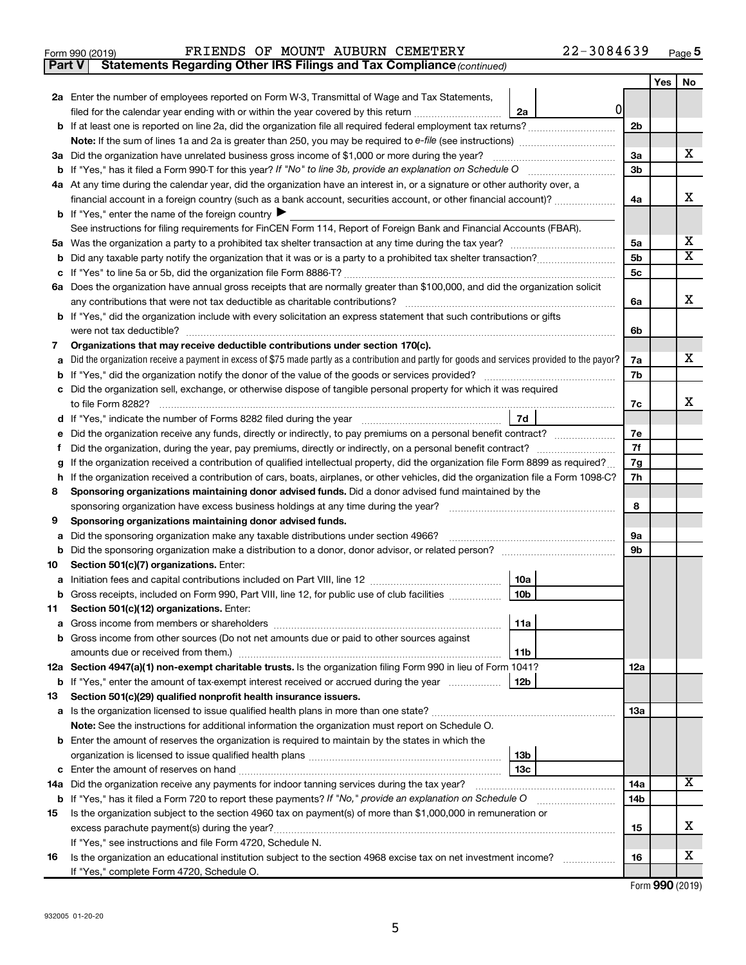**5**

| Form 990 (2019) | FRIENDS OF MOUNT AUBURN CEMETERY |  |  |  |  | $22 - 3084639$ | Page |  |
|-----------------|----------------------------------|--|--|--|--|----------------|------|--|
|-----------------|----------------------------------|--|--|--|--|----------------|------|--|

|    | <b>Statements Regarding Other IRS Filings and Tax Compliance (continued)</b><br><b>Part V</b>                                                    |                |     |                              |  |  |  |
|----|--------------------------------------------------------------------------------------------------------------------------------------------------|----------------|-----|------------------------------|--|--|--|
|    |                                                                                                                                                  |                | Yes | No                           |  |  |  |
|    | 2a Enter the number of employees reported on Form W-3, Transmittal of Wage and Tax Statements,                                                   |                |     |                              |  |  |  |
|    | 0<br>filed for the calendar year ending with or within the year covered by this return<br>2a                                                     |                |     |                              |  |  |  |
|    | b If at least one is reported on line 2a, did the organization file all required federal employment tax returns?                                 | 2 <sub>b</sub> |     |                              |  |  |  |
|    |                                                                                                                                                  |                |     |                              |  |  |  |
|    | 3a Did the organization have unrelated business gross income of \$1,000 or more during the year?                                                 | 3a             |     | x                            |  |  |  |
|    |                                                                                                                                                  | 3b             |     |                              |  |  |  |
|    | 4a At any time during the calendar year, did the organization have an interest in, or a signature or other authority over, a                     |                |     |                              |  |  |  |
|    | financial account in a foreign country (such as a bank account, securities account, or other financial account)?                                 | 4a             |     | x                            |  |  |  |
|    | <b>b</b> If "Yes," enter the name of the foreign country $\blacktriangleright$                                                                   |                |     |                              |  |  |  |
|    | See instructions for filing requirements for FinCEN Form 114, Report of Foreign Bank and Financial Accounts (FBAR).                              |                |     |                              |  |  |  |
|    |                                                                                                                                                  | 5a             |     | x<br>$\overline{\mathtt{x}}$ |  |  |  |
| b  |                                                                                                                                                  | 5b             |     |                              |  |  |  |
|    |                                                                                                                                                  | 5c             |     |                              |  |  |  |
|    | 6a Does the organization have annual gross receipts that are normally greater than \$100,000, and did the organization solicit                   | 6a             |     | x                            |  |  |  |
|    | <b>b</b> If "Yes," did the organization include with every solicitation an express statement that such contributions or gifts                    |                |     |                              |  |  |  |
|    |                                                                                                                                                  | 6b             |     |                              |  |  |  |
| 7  | Organizations that may receive deductible contributions under section 170(c).                                                                    |                |     |                              |  |  |  |
| a  | Did the organization receive a payment in excess of \$75 made partly as a contribution and partly for goods and services provided to the payor?  | 7a             |     | x                            |  |  |  |
|    |                                                                                                                                                  | 7b             |     |                              |  |  |  |
|    | c Did the organization sell, exchange, or otherwise dispose of tangible personal property for which it was required                              |                |     |                              |  |  |  |
|    |                                                                                                                                                  | 7c             |     | x                            |  |  |  |
|    | 7d                                                                                                                                               |                |     |                              |  |  |  |
| е  | Did the organization receive any funds, directly or indirectly, to pay premiums on a personal benefit contract?                                  | 7е             |     |                              |  |  |  |
|    |                                                                                                                                                  |                |     |                              |  |  |  |
| g  | If the organization received a contribution of qualified intellectual property, did the organization file Form 8899 as required?                 |                |     |                              |  |  |  |
| h  | If the organization received a contribution of cars, boats, airplanes, or other vehicles, did the organization file a Form 1098-C?               |                |     |                              |  |  |  |
| 8  | Sponsoring organizations maintaining donor advised funds. Did a donor advised fund maintained by the                                             |                |     |                              |  |  |  |
|    | sponsoring organization have excess business holdings at any time during the year?                                                               |                |     |                              |  |  |  |
| 9  | Sponsoring organizations maintaining donor advised funds.                                                                                        |                |     |                              |  |  |  |
| а  | Did the sponsoring organization make any taxable distributions under section 4966?                                                               | 9а             |     |                              |  |  |  |
| b  |                                                                                                                                                  | 9b             |     |                              |  |  |  |
| 10 | Section 501(c)(7) organizations. Enter:                                                                                                          |                |     |                              |  |  |  |
| а  | 10a<br>10 <sub>b</sub><br><b>b</b> Gross receipts, included on Form 990, Part VIII, line 12, for public use of club facilities <i>manument</i> . |                |     |                              |  |  |  |
| 11 | Section 501(c)(12) organizations. Enter:                                                                                                         |                |     |                              |  |  |  |
|    | 11a                                                                                                                                              |                |     |                              |  |  |  |
|    | b Gross income from other sources (Do not net amounts due or paid to other sources against                                                       |                |     |                              |  |  |  |
|    | 11b                                                                                                                                              |                |     |                              |  |  |  |
|    | 12a Section 4947(a)(1) non-exempt charitable trusts. Is the organization filing Form 990 in lieu of Form 1041?                                   | 12a            |     |                              |  |  |  |
|    | 12 <sub>b</sub><br><b>b</b> If "Yes," enter the amount of tax-exempt interest received or accrued during the year                                |                |     |                              |  |  |  |
| 13 | Section 501(c)(29) qualified nonprofit health insurance issuers.                                                                                 |                |     |                              |  |  |  |
|    | a Is the organization licensed to issue qualified health plans in more than one state?                                                           | 13a            |     |                              |  |  |  |
|    | Note: See the instructions for additional information the organization must report on Schedule O.                                                |                |     |                              |  |  |  |
|    | <b>b</b> Enter the amount of reserves the organization is required to maintain by the states in which the                                        |                |     |                              |  |  |  |
|    | 13 <sub>b</sub>                                                                                                                                  |                |     |                              |  |  |  |
|    | 13с                                                                                                                                              |                |     |                              |  |  |  |
|    | 14a Did the organization receive any payments for indoor tanning services during the tax year?                                                   | 14a            |     | X                            |  |  |  |
|    | <b>b</b> If "Yes," has it filed a Form 720 to report these payments? If "No," provide an explanation on Schedule O                               | 14b            |     |                              |  |  |  |
| 15 | Is the organization subject to the section 4960 tax on payment(s) of more than \$1,000,000 in remuneration or                                    |                |     |                              |  |  |  |
|    |                                                                                                                                                  | 15             |     | x                            |  |  |  |
|    | If "Yes," see instructions and file Form 4720, Schedule N.                                                                                       |                |     | x                            |  |  |  |
| 16 | Is the organization an educational institution subject to the section 4968 excise tax on net investment income?                                  | 16             |     |                              |  |  |  |
|    | If "Yes," complete Form 4720, Schedule O.                                                                                                        |                |     | Form 990 (2019)              |  |  |  |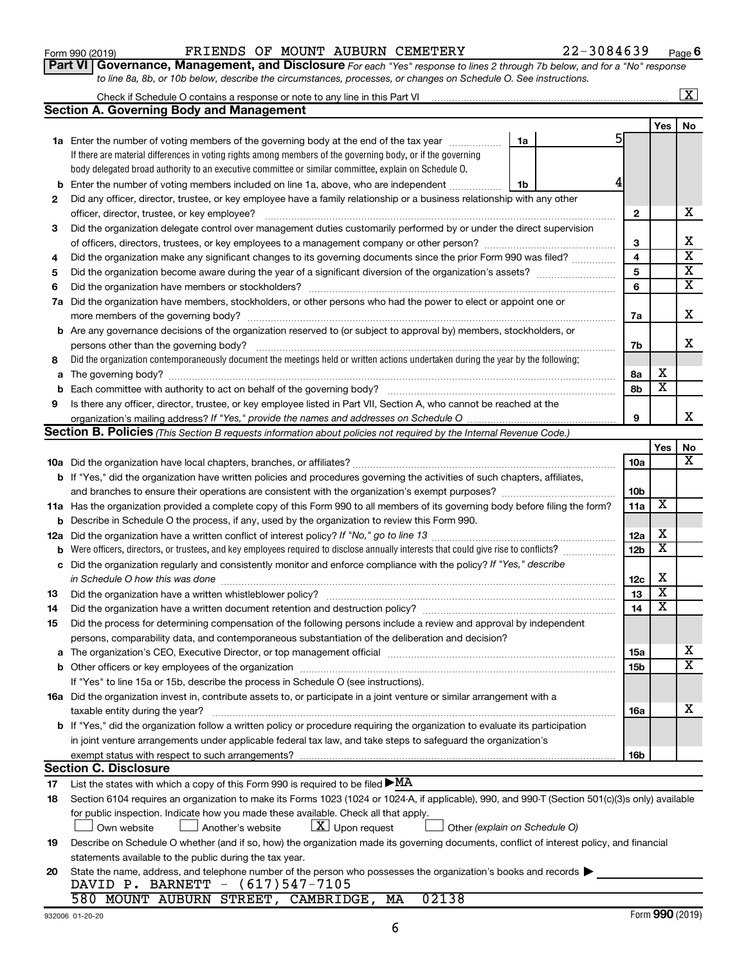#### Form 990 (2019) FRIENDS OF MOUNT AUBURN CEMETERY 22-3084639 Page

Check if Schedule O contains a response or note to any line in this Part VI

 $\boxed{\text{X}}$ 

**Part VI** Governance, Management, and Disclosure For each "Yes" response to lines 2 through 7b below, and for a "No" response *to line 8a, 8b, or 10b below, describe the circumstances, processes, or changes on Schedule O. See instructions.*

|     | <b>Section A. Governing Body and Management</b>                                                                                                  |                 |     |                         |
|-----|--------------------------------------------------------------------------------------------------------------------------------------------------|-----------------|-----|-------------------------|
|     |                                                                                                                                                  |                 | Yes | No                      |
|     | <b>1a</b> Enter the number of voting members of the governing body at the end of the tax year<br>1a                                              | 5               |     |                         |
|     | If there are material differences in voting rights among members of the governing body, or if the governing                                      |                 |     |                         |
|     | body delegated broad authority to an executive committee or similar committee, explain on Schedule O.                                            |                 |     |                         |
| b   | Enter the number of voting members included on line 1a, above, who are independent<br>1b                                                         |                 |     |                         |
| 2   | Did any officer, director, trustee, or key employee have a family relationship or a business relationship with any other                         |                 |     |                         |
|     | officer, director, trustee, or key employee?                                                                                                     | 2               |     | х                       |
| 3   | Did the organization delegate control over management duties customarily performed by or under the direct supervision                            |                 |     |                         |
|     |                                                                                                                                                  | З               |     | х                       |
| 4   | Did the organization make any significant changes to its governing documents since the prior Form 990 was filed?                                 | 4               |     | $\overline{\mathbf{x}}$ |
| 5   |                                                                                                                                                  | 5               |     | х                       |
| 6   | Did the organization have members or stockholders?                                                                                               | 6               |     | X                       |
| 7a  | Did the organization have members, stockholders, or other persons who had the power to elect or appoint one or                                   |                 |     |                         |
|     |                                                                                                                                                  | 7a              |     | х                       |
|     | <b>b</b> Are any governance decisions of the organization reserved to (or subject to approval by) members, stockholders, or                      |                 |     |                         |
|     | persons other than the governing body?                                                                                                           | 7b              |     | х                       |
| 8   | Did the organization contemporaneously document the meetings held or written actions undertaken during the year by the following:                |                 |     |                         |
| a   |                                                                                                                                                  | 8а              | х   |                         |
| b   |                                                                                                                                                  | 8b              | X   |                         |
| 9   | Is there any officer, director, trustee, or key employee listed in Part VII, Section A, who cannot be reached at the                             |                 |     |                         |
|     |                                                                                                                                                  | 9               |     | x                       |
|     | Section B. Policies (This Section B requests information about policies not required by the Internal Revenue Code.)                              |                 |     |                         |
|     |                                                                                                                                                  |                 | Yes | No                      |
|     |                                                                                                                                                  | <b>10a</b>      |     | x                       |
|     | <b>b</b> If "Yes," did the organization have written policies and procedures governing the activities of such chapters, affiliates,              |                 |     |                         |
|     |                                                                                                                                                  | 10 <sub>b</sub> |     |                         |
|     | 11a Has the organization provided a complete copy of this Form 990 to all members of its governing body before filing the form?                  | 11a             | X   |                         |
| b   | Describe in Schedule O the process, if any, used by the organization to review this Form 990.                                                    |                 |     |                         |
| 12a |                                                                                                                                                  | 12a             | х   |                         |
| b   | Were officers, directors, or trustees, and key employees required to disclose annually interests that could give rise to conflicts?              | 12 <sub>b</sub> | X   |                         |
| с   | Did the organization regularly and consistently monitor and enforce compliance with the policy? If "Yes," describe                               |                 |     |                         |
|     | in Schedule O how this was done <i>manual content of the content of the schedule O</i> how this was done                                         | 12c             | х   |                         |
| 13  |                                                                                                                                                  | 13              | х   |                         |
| 14  |                                                                                                                                                  | 14              | X   |                         |
| 15  | Did the process for determining compensation of the following persons include a review and approval by independent                               |                 |     |                         |
|     | persons, comparability data, and contemporaneous substantiation of the deliberation and decision?                                                |                 |     |                         |
|     |                                                                                                                                                  | 15a             |     | Χ                       |
|     | <b>b</b> Other officers or key employees of the organization                                                                                     | 15b             |     | $\overline{\text{x}}$   |
|     | If "Yes" to line 15a or 15b, describe the process in Schedule O (see instructions).                                                              |                 |     |                         |
|     | 16a Did the organization invest in, contribute assets to, or participate in a joint venture or similar arrangement with a                        |                 |     |                         |
|     | taxable entity during the year?                                                                                                                  | 16a             |     | х                       |
|     | b If "Yes," did the organization follow a written policy or procedure requiring the organization to evaluate its participation                   |                 |     |                         |
|     | in joint venture arrangements under applicable federal tax law, and take steps to safeguard the organization's                                   |                 |     |                         |
|     | exempt status with respect to such arrangements?                                                                                                 | 16b             |     |                         |
|     | <b>Section C. Disclosure</b>                                                                                                                     |                 |     |                         |
| 17  | List the states with which a copy of this Form 990 is required to be filed $\blacktriangleright$ MA                                              |                 |     |                         |
| 18  | Section 6104 requires an organization to make its Forms 1023 (1024 or 1024-A, if applicable), 990, and 990-T (Section 501(c)(3)s only) available |                 |     |                         |
|     | for public inspection. Indicate how you made these available. Check all that apply.                                                              |                 |     |                         |
|     | $\lfloor x \rfloor$ Upon request<br>Own website<br>Another's website<br>Other (explain on Schedule O)                                            |                 |     |                         |
| 19  | Describe on Schedule O whether (and if so, how) the organization made its governing documents, conflict of interest policy, and financial        |                 |     |                         |
|     | statements available to the public during the tax year.                                                                                          |                 |     |                         |
| 20  | State the name, address, and telephone number of the person who possesses the organization's books and records                                   |                 |     |                         |
|     | DAVID P. BARNETT - (617)547-7105                                                                                                                 |                 |     |                         |
|     | 580 MOUNT AUBURN STREET, CAMBRIDGE, MA<br>02138                                                                                                  |                 |     |                         |
|     |                                                                                                                                                  |                 |     |                         |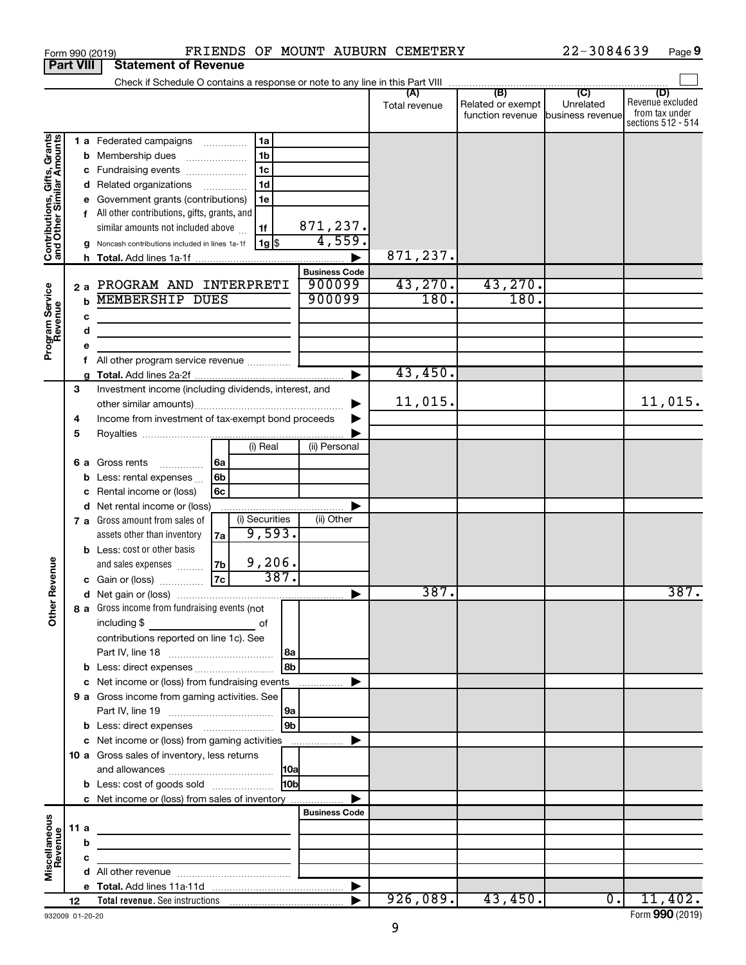| <b>Part VIII</b>                                          |             |                        | <b>Statement of Revenue</b>                                                                                                                                                                                                                                            |                   |                                                                                |                 |                                            |                      |                                              |                                                 |                                                                 |
|-----------------------------------------------------------|-------------|------------------------|------------------------------------------------------------------------------------------------------------------------------------------------------------------------------------------------------------------------------------------------------------------------|-------------------|--------------------------------------------------------------------------------|-----------------|--------------------------------------------|----------------------|----------------------------------------------|-------------------------------------------------|-----------------------------------------------------------------|
|                                                           |             |                        | Check if Schedule O contains a response or note to any line in this Part VIII                                                                                                                                                                                          |                   |                                                                                |                 |                                            |                      |                                              |                                                 |                                                                 |
|                                                           |             |                        |                                                                                                                                                                                                                                                                        |                   |                                                                                |                 |                                            | (A)<br>Total revenue | (B)<br>Related or exempt<br>function revenue | $\overline{C}$<br>Unrelated<br>business revenue | (D)<br>Revenue excluded<br>from tax under<br>sections 512 - 514 |
| Contributions, Gifts, Grants<br>and Other Similar Amounts |             | b                      | 1 a Federated campaigns<br>Membership dues<br>Fundraising events<br>d Related organizations<br>Government grants (contributions)<br>All other contributions, gifts, grants, and<br>similar amounts not included above<br>Noncash contributions included in lines 1a-1f | .<br>.            | 1a<br>1 <sub>b</sub><br>1 <sub>c</sub><br>1 <sub>d</sub><br>1e<br>1f<br>$1g$ s |                 | 871,237.<br>4,559.<br><b>Business Code</b> | 871,237.             |                                              |                                                 |                                                                 |
| Program Service<br>Revenue                                |             | 2a<br>b<br>c<br>d<br>е | PROGRAM AND INTERPRETI<br><b>MEMBERSHIP DUES</b><br>the control of the control of the control of the                                                                                                                                                                   |                   |                                                                                |                 | 900099<br>900099                           | 43,270.<br>180.      | 43,270.<br>180.                              |                                                 |                                                                 |
|                                                           |             |                        | All other program service revenue                                                                                                                                                                                                                                      |                   |                                                                                |                 | ►                                          | 43,450.              |                                              |                                                 |                                                                 |
|                                                           | 3<br>4<br>5 |                        | Investment income (including dividends, interest, and<br>Income from investment of tax-exempt bond proceeds                                                                                                                                                            |                   |                                                                                |                 |                                            | 11,015.              |                                              |                                                 | 11,015.                                                         |
| Revenue                                                   |             | 6а<br>b                | Gross rents<br>.<br>Less: rental expenses<br>Rental income or (loss)<br>d Net rental income or (loss)                                                                                                                                                                  | 6a<br>6b<br>6с    | (i) Real                                                                       |                 | (ii) Personal                              |                      |                                              |                                                 |                                                                 |
|                                                           |             |                        | 7 a Gross amount from sales of<br>assets other than inventory<br><b>b</b> Less: cost or other basis<br>and sales expenses<br>c Gain or (loss)                                                                                                                          | 7a<br> 7b <br> 7c | (i) Securities<br>9,593.<br>9,206.                                             | 387.            | (ii) Other                                 |                      |                                              |                                                 |                                                                 |
| ৯<br>$\tilde{\vec{c}}$                                    |             |                        | 8 a Gross income from fundraising events (not<br>including $$$                                                                                                                                                                                                         |                   | оf                                                                             |                 |                                            | 387.                 |                                              |                                                 | 387.                                                            |
|                                                           |             |                        | <u> 1990 - Johann Barbara, martx</u><br>contributions reported on line 1c). See<br><b>b</b> Less: direct expenses <b>contained b</b> Less: direct expenses                                                                                                             |                   |                                                                                | l 8a<br>8b      |                                            |                      |                                              |                                                 |                                                                 |
|                                                           |             |                        | c Net income or (loss) from fundraising events<br>9 a Gross income from gaming activities. See                                                                                                                                                                         |                   |                                                                                | 9a<br>9b        | .                                          |                      |                                              |                                                 |                                                                 |
|                                                           |             |                        | c Net income or (loss) from gaming activities<br>10 a Gross sales of inventory, less returns<br><b>b</b> Less: cost of goods sold                                                                                                                                      |                   |                                                                                | H <sub>0b</sub> |                                            |                      |                                              |                                                 |                                                                 |
|                                                           |             |                        | c Net income or (loss) from sales of inventory                                                                                                                                                                                                                         |                   |                                                                                |                 | <b>Business Code</b>                       |                      |                                              |                                                 |                                                                 |
| Miscellaneous<br>Revenue                                  |             | 11 a<br>b<br>с         | <u> 1980 - Johann John Stein, markin fan it ferstjer fan it ferstjer fan it ferstjer fan it ferstjer fan it fers</u>                                                                                                                                                   |                   |                                                                                |                 |                                            |                      |                                              |                                                 |                                                                 |
|                                                           |             |                        |                                                                                                                                                                                                                                                                        |                   |                                                                                |                 |                                            |                      |                                              |                                                 |                                                                 |
|                                                           | 12          |                        |                                                                                                                                                                                                                                                                        |                   |                                                                                |                 |                                            | 926,089.             | 43,450.                                      | $\overline{\phantom{a}}$                        | 11,402.                                                         |

Form (2019) **990**

#### Form 990 (2019) **PRIENDS OF MOUNT AUBURN CEMETERY** 22-3084639 Page

|  | Form 990 (2019) |
|--|-----------------|
|  |                 |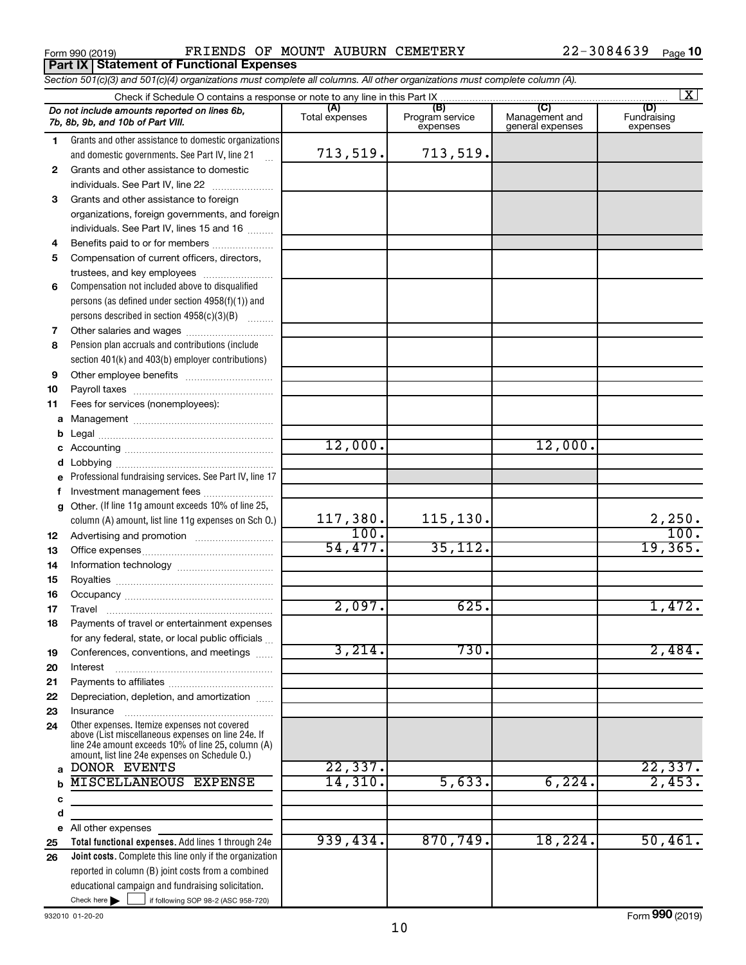**1**

**2**

**3** Grants and other assistance to foreign

*Do not include amounts reported on lines 6b,*

*7b, 8b, 9b, and 10b of Part VIII.*

Grants and other assistance to domestic  $individuals. See Part IV, line 22$  .............

Grants and other assistance to domestic organizations and domestic governments. See Part IV, line 21

**Part IX Statement of Functional Expenses**

organizations, foreign governments, and foreign

|    | individuals. See Part IV, lines 15 and 16                                                            |          |           |         |          |
|----|------------------------------------------------------------------------------------------------------|----------|-----------|---------|----------|
| 4  | Benefits paid to or for members                                                                      |          |           |         |          |
| 5  | Compensation of current officers, directors,                                                         |          |           |         |          |
|    | trustees, and key employees                                                                          |          |           |         |          |
| 6  | Compensation not included above to disqualified                                                      |          |           |         |          |
|    | persons (as defined under section 4958(f)(1)) and                                                    |          |           |         |          |
|    | persons described in section 4958(c)(3)(B)                                                           |          |           |         |          |
| 7  |                                                                                                      |          |           |         |          |
| 8  | Pension plan accruals and contributions (include                                                     |          |           |         |          |
|    | section 401(k) and 403(b) employer contributions)                                                    |          |           |         |          |
| 9  |                                                                                                      |          |           |         |          |
| 10 |                                                                                                      |          |           |         |          |
| 11 | Fees for services (nonemployees):                                                                    |          |           |         |          |
| a  |                                                                                                      |          |           |         |          |
| b  |                                                                                                      |          |           |         |          |
|    |                                                                                                      | 12,000.  |           | 12,000. |          |
| d  |                                                                                                      |          |           |         |          |
|    | Professional fundraising services. See Part IV, line 17                                              |          |           |         |          |
| f. | Investment management fees                                                                           |          |           |         |          |
| g  | Other. (If line 11g amount exceeds 10% of line 25,                                                   |          |           |         |          |
|    | column (A) amount, list line 11g expenses on Sch 0.)                                                 | 117,380. | 115, 130. |         | 2,250.   |
| 12 |                                                                                                      | 100.     |           |         | 100.     |
| 13 |                                                                                                      | 54,477.  | 35, 112.  |         | 19,365.  |
| 14 |                                                                                                      |          |           |         |          |
| 15 |                                                                                                      |          |           |         |          |
| 16 |                                                                                                      |          |           |         |          |
| 17 |                                                                                                      | 2,097.   | 625.      |         | 1,472.   |
| 18 | Payments of travel or entertainment expenses                                                         |          |           |         |          |
|    | for any federal, state, or local public officials                                                    |          |           |         |          |
| 19 | Conferences, conventions, and meetings                                                               | 3,214.   | 730.      |         | 2,484.   |
| 20 |                                                                                                      |          |           |         |          |
| 21 |                                                                                                      |          |           |         |          |
| 22 | Depreciation, depletion, and amortization                                                            |          |           |         |          |
| 23 | Insurance                                                                                            |          |           |         |          |
| 24 | Other expenses. Itemize expenses not covered                                                         |          |           |         |          |
|    | above (List miscellaneous expenses on line 24e. If                                                   |          |           |         |          |
|    | line 24e amount exceeds 10% of line 25, column (A)<br>amount, list line 24e expenses on Schedule O.) |          |           |         |          |
|    | DONOR EVENTS                                                                                         | 22, 337. |           |         | 22, 337. |
| b  | <b>MISCELLANEOUS EXPENSE</b>                                                                         | 14,310.  | 5,633.    | 6,224.  | 2,453.   |
| с  |                                                                                                      |          |           |         |          |
| d  |                                                                                                      |          |           |         |          |
| е  | All other expenses                                                                                   |          |           |         |          |
| 25 | Total functional expenses. Add lines 1 through 24e                                                   | 939,434. | 870,749.  | 18,224. | 50,461.  |
| 26 | Joint costs. Complete this line only if the organization                                             |          |           |         |          |
|    | reported in column (B) joint costs from a combined                                                   |          |           |         |          |
|    | educational campaign and fundraising solicitation.                                                   |          |           |         |          |
|    | Check here $\blacktriangleright$<br>if following SOP 98-2 (ASC 958-720)                              |          |           |         |          |
|    |                                                                                                      |          |           |         |          |

# Form 990 (2019) **PRIENDS OF MOUNT AUBURN CEMETERY** 22-3084639 Page

*Section 501(c)(3) and 501(c)(4) organizations must complete all columns. All other organizations must complete column (A).*

Total expenses Program service expenses

713,519. 713,519.

Check if Schedule O contains a response or note to any line in this Part IX<br>
amounts reported on lines 6b,<br>
Total expenses Program

~<br>\* \* \* \*

Fundraising expenses

 $\boxed{\text{X}}$ 

**(A) (B) (C) (D)** Management and general expenses

932010 01-20-20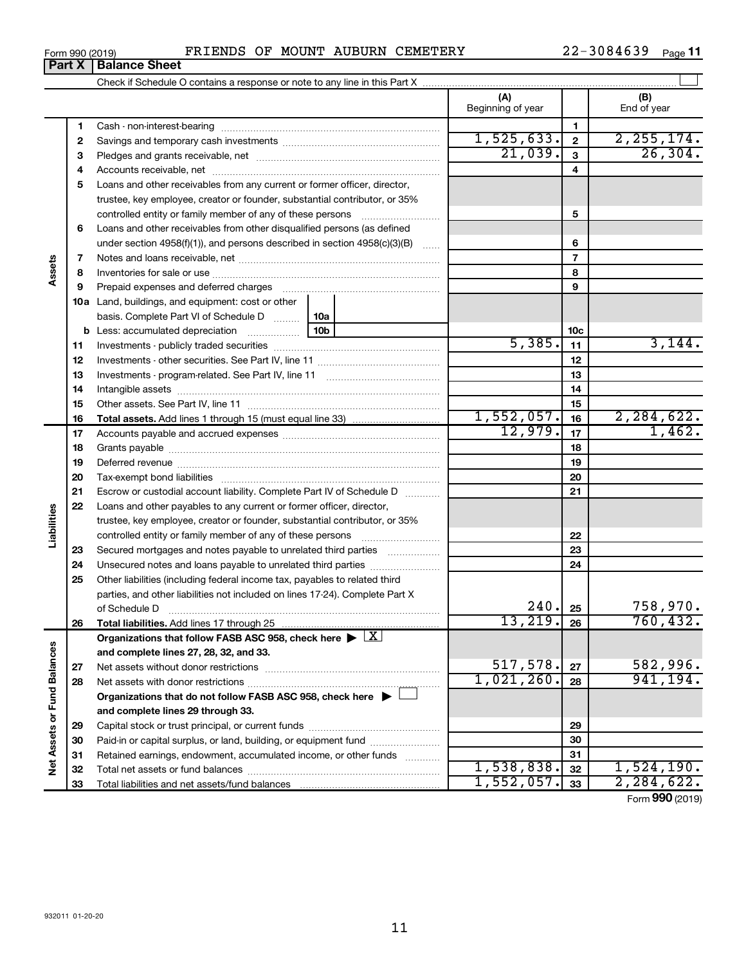**Part X** | Balance Sheet

| Form 990 (2019) |  |  |  |  |  | FRIENDS OF MOUNT AUBURN CEMETERY | $22 - 3084639$ | Page 11 |  |
|-----------------|--|--|--|--|--|----------------------------------|----------------|---------|--|
|-----------------|--|--|--|--|--|----------------------------------|----------------|---------|--|

|                             |    |                                                                                                        | (A)<br>Beginning of year |                 | (B)<br>End of year |
|-----------------------------|----|--------------------------------------------------------------------------------------------------------|--------------------------|-----------------|--------------------|
|                             | 1  |                                                                                                        |                          | 1               |                    |
|                             | 2  |                                                                                                        | 1,525,633.               | $\mathbf{2}$    | 2, 255, 174.       |
|                             | 3  |                                                                                                        | 21,039.                  | $\mathbf{3}$    | 26,304.            |
|                             | 4  |                                                                                                        |                          | 4               |                    |
|                             | 5  | Loans and other receivables from any current or former officer, director,                              |                          |                 |                    |
|                             |    | trustee, key employee, creator or founder, substantial contributor, or 35%                             |                          |                 |                    |
|                             |    | controlled entity or family member of any of these persons                                             |                          | 5               |                    |
|                             | 6  | Loans and other receivables from other disqualified persons (as defined                                |                          |                 |                    |
|                             |    | under section 4958(f)(1)), and persons described in section 4958(c)(3)(B)                              |                          | 6               |                    |
|                             | 7  |                                                                                                        |                          | $\overline{7}$  |                    |
| Assets                      | 8  |                                                                                                        |                          | 8               |                    |
|                             | 9  |                                                                                                        |                          | 9               |                    |
|                             |    | 10a Land, buildings, and equipment: cost or other                                                      |                          |                 |                    |
|                             |    | basis. Complete Part VI of Schedule D<br>10a                                                           |                          |                 |                    |
|                             |    | 10 <sub>b</sub><br><b>b</b> Less: accumulated depreciation                                             |                          | 10 <sub>c</sub> |                    |
|                             | 11 |                                                                                                        | 5,385.                   | 11              | 3,144.             |
|                             | 12 |                                                                                                        |                          | 12              |                    |
|                             | 13 |                                                                                                        |                          | 13              |                    |
|                             | 14 |                                                                                                        |                          | 14              |                    |
|                             | 15 |                                                                                                        |                          | 15              |                    |
|                             | 16 |                                                                                                        | 1,552,057.               | 16              | 2, 284, 622.       |
|                             | 17 |                                                                                                        | 12,979.                  | 17              | 1,462.             |
|                             | 18 |                                                                                                        |                          | 18              |                    |
|                             | 19 |                                                                                                        |                          | 19              |                    |
|                             | 20 |                                                                                                        |                          | 20              |                    |
|                             | 21 | Escrow or custodial account liability. Complete Part IV of Schedule D                                  |                          | 21              |                    |
|                             | 22 | Loans and other payables to any current or former officer, director,                                   |                          |                 |                    |
| Liabilities                 |    | trustee, key employee, creator or founder, substantial contributor, or 35%                             |                          |                 |                    |
|                             |    |                                                                                                        |                          | 22              |                    |
|                             | 23 | Secured mortgages and notes payable to unrelated third parties                                         |                          | 23              |                    |
|                             | 24 |                                                                                                        |                          | 24              |                    |
|                             | 25 | Other liabilities (including federal income tax, payables to related third                             |                          |                 |                    |
|                             |    | parties, and other liabilities not included on lines 17-24). Complete Part X                           |                          |                 |                    |
|                             |    |                                                                                                        | 240.                     | 25              | 758,970.           |
|                             | 26 |                                                                                                        | 13,219.                  | 26              | 760, 432.          |
|                             |    | Organizations that follow FASB ASC 958, check here $\blacktriangleright \lfloor \underline{X} \rfloor$ |                          |                 |                    |
|                             |    | and complete lines 27, 28, 32, and 33.                                                                 |                          |                 |                    |
|                             | 27 |                                                                                                        | 517,578.                 | 27              | 582,996.           |
|                             | 28 |                                                                                                        | 1,021,260.               | 28              | 941, 194.          |
|                             |    | Organizations that do not follow FASB ASC 958, check here $\blacktriangleright$                        |                          |                 |                    |
|                             |    | and complete lines 29 through 33.                                                                      |                          |                 |                    |
|                             | 29 |                                                                                                        |                          | 29              |                    |
| Net Assets or Fund Balances | 30 | Paid-in or capital surplus, or land, building, or equipment fund                                       |                          | 30              |                    |
|                             | 31 | Retained earnings, endowment, accumulated income, or other funds                                       |                          | 31              |                    |
|                             | 32 |                                                                                                        | 1,538,838.               | 32              | 1,524,190.         |
|                             | 33 |                                                                                                        | 1,552,057.               | 33              | 2, 284, 622.       |

Form (2019) **990**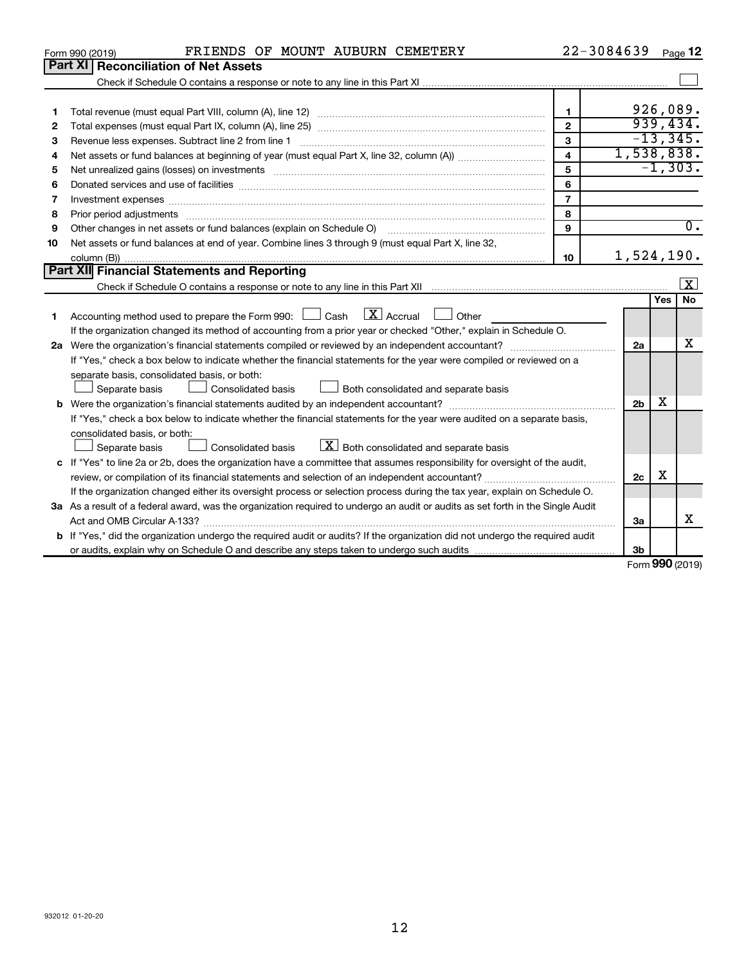|    | FRIENDS OF MOUNT AUBURN CEMETERY<br>Form 990 (2019)                                                                                                                                                                                                          | $22 - 3084639$          |                |     | Page 12           |
|----|--------------------------------------------------------------------------------------------------------------------------------------------------------------------------------------------------------------------------------------------------------------|-------------------------|----------------|-----|-------------------|
|    | Part XI<br><b>Reconciliation of Net Assets</b>                                                                                                                                                                                                               |                         |                |     |                   |
|    |                                                                                                                                                                                                                                                              |                         |                |     |                   |
|    |                                                                                                                                                                                                                                                              |                         |                |     |                   |
| 1  |                                                                                                                                                                                                                                                              | $\mathbf{1}$            |                |     | 926,089.          |
| 2  |                                                                                                                                                                                                                                                              | $\overline{2}$          |                |     | 939,434.          |
| 3  | Revenue less expenses. Subtract line 2 from line 1                                                                                                                                                                                                           | 3                       |                |     | $-13,345.$        |
| 4  |                                                                                                                                                                                                                                                              | $\overline{\mathbf{4}}$ | 1,538,838.     |     |                   |
| 5  | Net unrealized gains (losses) on investments [111] matter in the contract of the contract of the contract of the contract of the contract of the contract of the contract of the contract of the contract of the contract of t                               | 5                       |                |     | $-1, 303.$        |
| 6  |                                                                                                                                                                                                                                                              | 6                       |                |     |                   |
| 7  | Investment expenses www.communication.com/www.communication.com/www.communication.com/www.com                                                                                                                                                                | $\overline{7}$          |                |     |                   |
| 8  |                                                                                                                                                                                                                                                              | 8                       |                |     |                   |
| 9  | Other changes in net assets or fund balances (explain on Schedule O)                                                                                                                                                                                         | $\mathbf{Q}$            |                |     | $\overline{0}$ .  |
| 10 | Net assets or fund balances at end of year. Combine lines 3 through 9 (must equal Part X, line 32,                                                                                                                                                           |                         |                |     |                   |
|    |                                                                                                                                                                                                                                                              | 10                      | 1,524,190.     |     |                   |
|    | Part XII Financial Statements and Reporting                                                                                                                                                                                                                  |                         |                |     |                   |
|    |                                                                                                                                                                                                                                                              |                         |                |     | X                 |
|    |                                                                                                                                                                                                                                                              |                         |                | Yes | No                |
| 1  | $ \mathbf{X} $ Accrual<br>Accounting method used to prepare the Form 990: [130] Cash<br>Other                                                                                                                                                                |                         |                |     |                   |
|    | If the organization changed its method of accounting from a prior year or checked "Other," explain in Schedule O.                                                                                                                                            |                         |                |     |                   |
|    |                                                                                                                                                                                                                                                              |                         | 2a             |     | x                 |
|    | If "Yes," check a box below to indicate whether the financial statements for the year were compiled or reviewed on a                                                                                                                                         |                         |                |     |                   |
|    | separate basis, consolidated basis, or both:                                                                                                                                                                                                                 |                         |                |     |                   |
|    | Consolidated basis<br>Both consolidated and separate basis<br>Separate basis                                                                                                                                                                                 |                         |                | х   |                   |
|    |                                                                                                                                                                                                                                                              |                         | 2 <sub>b</sub> |     |                   |
|    | If "Yes," check a box below to indicate whether the financial statements for the year were audited on a separate basis,                                                                                                                                      |                         |                |     |                   |
|    | consolidated basis, or both:<br>$\boxed{\textbf{X}}$ Both consolidated and separate basis<br>Consolidated basis                                                                                                                                              |                         |                |     |                   |
|    | Separate basis                                                                                                                                                                                                                                               |                         |                |     |                   |
|    | c If "Yes" to line 2a or 2b, does the organization have a committee that assumes responsibility for oversight of the audit,                                                                                                                                  |                         | 2 <sub>c</sub> | х   |                   |
|    | review, or compilation of its financial statements and selection of an independent accountant?                                                                                                                                                               |                         |                |     |                   |
|    | If the organization changed either its oversight process or selection process during the tax year, explain on Schedule O.<br>3a As a result of a federal award, was the organization required to undergo an audit or audits as set forth in the Single Audit |                         |                |     |                   |
|    |                                                                                                                                                                                                                                                              |                         | 3a             |     | X                 |
|    |                                                                                                                                                                                                                                                              |                         |                |     |                   |
|    | <b>b</b> If "Yes," did the organization undergo the required audit or audits? If the organization did not undergo the required audit                                                                                                                         |                         | 3b             |     |                   |
|    |                                                                                                                                                                                                                                                              |                         |                |     | $Form$ 990 (2019) |

Form (2019) **990**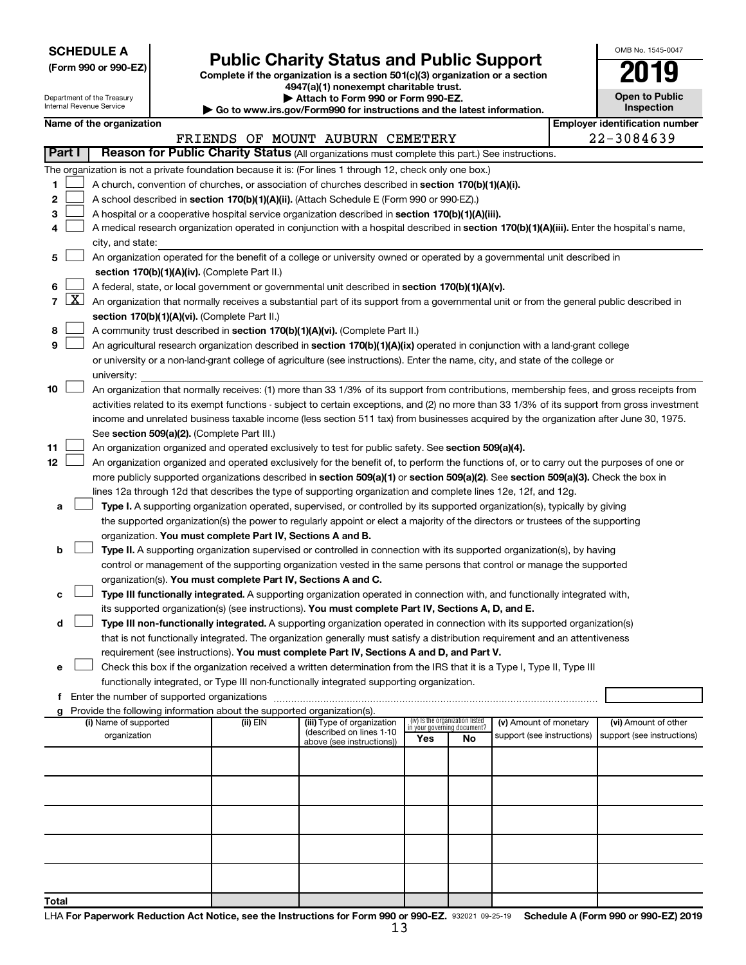| <b>SCHEDULE A</b> |  |
|-------------------|--|
|-------------------|--|

Department of the Treasury Internal Revenue Service

**Total**

|  |  |  |  |  | (Form 990 or 990-EZ) |  |
|--|--|--|--|--|----------------------|--|
|--|--|--|--|--|----------------------|--|

# Form 990 or 990-EZ)<br>
Complete if the organization is a section 501(c)(3) organization or a section<br> **Public Charity Status and Public Support**

**4947(a)(1) nonexempt charitable trust.**

**| Attach to Form 990 or Form 990-EZ. | Go to www.irs.gov/Form990 for instructions and the latest information.**

| --<br>. .                                  |
|--------------------------------------------|
| <b>Open to Public</b><br><b>Inspection</b> |
| lover identification num                   |

OMB No. 1545-0047

|    |                     |                                                                                                                                                                                                                                                 |          | $\sim$ Go to www.ii s.gov/Lormsso for misulactions and the latest information. |                                                                |    |                            |                                       |
|----|---------------------|-------------------------------------------------------------------------------------------------------------------------------------------------------------------------------------------------------------------------------------------------|----------|--------------------------------------------------------------------------------|----------------------------------------------------------------|----|----------------------------|---------------------------------------|
|    |                     | Name of the organization                                                                                                                                                                                                                        |          |                                                                                |                                                                |    |                            | <b>Employer identification number</b> |
|    | Part I              | Reason for Public Charity Status (All organizations must complete this part.) See instructions.                                                                                                                                                 |          | FRIENDS OF MOUNT AUBURN CEMETERY                                               |                                                                |    |                            | 22-3084639                            |
|    |                     |                                                                                                                                                                                                                                                 |          |                                                                                |                                                                |    |                            |                                       |
|    |                     | The organization is not a private foundation because it is: (For lines 1 through 12, check only one box.)                                                                                                                                       |          |                                                                                |                                                                |    |                            |                                       |
| 1. |                     | A church, convention of churches, or association of churches described in section 170(b)(1)(A)(i).                                                                                                                                              |          |                                                                                |                                                                |    |                            |                                       |
| 2  |                     | A school described in section 170(b)(1)(A)(ii). (Attach Schedule E (Form 990 or 990-EZ).)                                                                                                                                                       |          |                                                                                |                                                                |    |                            |                                       |
| 3  |                     | A hospital or a cooperative hospital service organization described in section 170(b)(1)(A)(iii).                                                                                                                                               |          |                                                                                |                                                                |    |                            |                                       |
| 4  |                     | A medical research organization operated in conjunction with a hospital described in section 170(b)(1)(A)(iii). Enter the hospital's name,                                                                                                      |          |                                                                                |                                                                |    |                            |                                       |
|    |                     | city, and state:                                                                                                                                                                                                                                |          |                                                                                |                                                                |    |                            |                                       |
| 5. |                     | An organization operated for the benefit of a college or university owned or operated by a governmental unit described in                                                                                                                       |          |                                                                                |                                                                |    |                            |                                       |
|    |                     | section 170(b)(1)(A)(iv). (Complete Part II.)                                                                                                                                                                                                   |          |                                                                                |                                                                |    |                            |                                       |
| 6  |                     | A federal, state, or local government or governmental unit described in section 170(b)(1)(A)(v).                                                                                                                                                |          |                                                                                |                                                                |    |                            |                                       |
| 7  | $\lfloor x \rfloor$ | An organization that normally receives a substantial part of its support from a governmental unit or from the general public described in                                                                                                       |          |                                                                                |                                                                |    |                            |                                       |
|    |                     | section 170(b)(1)(A)(vi). (Complete Part II.)                                                                                                                                                                                                   |          |                                                                                |                                                                |    |                            |                                       |
| 8  |                     | A community trust described in section 170(b)(1)(A)(vi). (Complete Part II.)                                                                                                                                                                    |          |                                                                                |                                                                |    |                            |                                       |
| 9  |                     | An agricultural research organization described in section 170(b)(1)(A)(ix) operated in conjunction with a land-grant college                                                                                                                   |          |                                                                                |                                                                |    |                            |                                       |
|    |                     | or university or a non-land-grant college of agriculture (see instructions). Enter the name, city, and state of the college or                                                                                                                  |          |                                                                                |                                                                |    |                            |                                       |
|    |                     | university:                                                                                                                                                                                                                                     |          |                                                                                |                                                                |    |                            |                                       |
| 10 |                     | An organization that normally receives: (1) more than 33 1/3% of its support from contributions, membership fees, and gross receipts from                                                                                                       |          |                                                                                |                                                                |    |                            |                                       |
|    |                     | activities related to its exempt functions - subject to certain exceptions, and (2) no more than 33 1/3% of its support from gross investment                                                                                                   |          |                                                                                |                                                                |    |                            |                                       |
|    |                     | income and unrelated business taxable income (less section 511 tax) from businesses acquired by the organization after June 30, 1975.                                                                                                           |          |                                                                                |                                                                |    |                            |                                       |
|    |                     | See section 509(a)(2). (Complete Part III.)                                                                                                                                                                                                     |          |                                                                                |                                                                |    |                            |                                       |
| 11 |                     | An organization organized and operated exclusively to test for public safety. See section 509(a)(4).                                                                                                                                            |          |                                                                                |                                                                |    |                            |                                       |
| 12 |                     | An organization organized and operated exclusively for the benefit of, to perform the functions of, or to carry out the purposes of one or                                                                                                      |          |                                                                                |                                                                |    |                            |                                       |
|    |                     | more publicly supported organizations described in section 509(a)(1) or section 509(a)(2). See section 509(a)(3). Check the box in                                                                                                              |          |                                                                                |                                                                |    |                            |                                       |
|    |                     | lines 12a through 12d that describes the type of supporting organization and complete lines 12e, 12f, and 12g.                                                                                                                                  |          |                                                                                |                                                                |    |                            |                                       |
| а  |                     | Type I. A supporting organization operated, supervised, or controlled by its supported organization(s), typically by giving                                                                                                                     |          |                                                                                |                                                                |    |                            |                                       |
|    |                     | the supported organization(s) the power to regularly appoint or elect a majority of the directors or trustees of the supporting                                                                                                                 |          |                                                                                |                                                                |    |                            |                                       |
| b  |                     | organization. You must complete Part IV, Sections A and B.                                                                                                                                                                                      |          |                                                                                |                                                                |    |                            |                                       |
|    |                     | Type II. A supporting organization supervised or controlled in connection with its supported organization(s), by having<br>control or management of the supporting organization vested in the same persons that control or manage the supported |          |                                                                                |                                                                |    |                            |                                       |
|    |                     | organization(s). You must complete Part IV, Sections A and C.                                                                                                                                                                                   |          |                                                                                |                                                                |    |                            |                                       |
| с  |                     | Type III functionally integrated. A supporting organization operated in connection with, and functionally integrated with,                                                                                                                      |          |                                                                                |                                                                |    |                            |                                       |
|    |                     | its supported organization(s) (see instructions). You must complete Part IV, Sections A, D, and E.                                                                                                                                              |          |                                                                                |                                                                |    |                            |                                       |
| d  |                     | Type III non-functionally integrated. A supporting organization operated in connection with its supported organization(s)                                                                                                                       |          |                                                                                |                                                                |    |                            |                                       |
|    |                     | that is not functionally integrated. The organization generally must satisfy a distribution requirement and an attentiveness                                                                                                                    |          |                                                                                |                                                                |    |                            |                                       |
|    |                     | requirement (see instructions). You must complete Part IV, Sections A and D, and Part V.                                                                                                                                                        |          |                                                                                |                                                                |    |                            |                                       |
| е  |                     | Check this box if the organization received a written determination from the IRS that it is a Type I, Type II, Type III                                                                                                                         |          |                                                                                |                                                                |    |                            |                                       |
|    |                     | functionally integrated, or Type III non-functionally integrated supporting organization.                                                                                                                                                       |          |                                                                                |                                                                |    |                            |                                       |
| f  |                     | Enter the number of supported organizations                                                                                                                                                                                                     |          |                                                                                |                                                                |    |                            |                                       |
| a  |                     | Provide the following information about the supported organization(s).                                                                                                                                                                          |          |                                                                                |                                                                |    |                            |                                       |
|    |                     | (i) Name of supported                                                                                                                                                                                                                           | (ii) EIN | (iii) Type of organization                                                     | (iv) Is the organization listed<br>in your governing document? |    | (v) Amount of monetary     | (vi) Amount of other                  |
|    |                     | organization                                                                                                                                                                                                                                    |          | (described on lines 1-10<br>above (see instructions))                          | Yes                                                            | No | support (see instructions) | support (see instructions)            |
|    |                     |                                                                                                                                                                                                                                                 |          |                                                                                |                                                                |    |                            |                                       |
|    |                     |                                                                                                                                                                                                                                                 |          |                                                                                |                                                                |    |                            |                                       |
|    |                     |                                                                                                                                                                                                                                                 |          |                                                                                |                                                                |    |                            |                                       |
|    |                     |                                                                                                                                                                                                                                                 |          |                                                                                |                                                                |    |                            |                                       |
|    |                     |                                                                                                                                                                                                                                                 |          |                                                                                |                                                                |    |                            |                                       |
|    |                     |                                                                                                                                                                                                                                                 |          |                                                                                |                                                                |    |                            |                                       |
|    |                     |                                                                                                                                                                                                                                                 |          |                                                                                |                                                                |    |                            |                                       |
|    |                     |                                                                                                                                                                                                                                                 |          |                                                                                |                                                                |    |                            |                                       |
|    |                     |                                                                                                                                                                                                                                                 |          |                                                                                |                                                                |    |                            |                                       |
|    |                     |                                                                                                                                                                                                                                                 |          |                                                                                |                                                                |    |                            |                                       |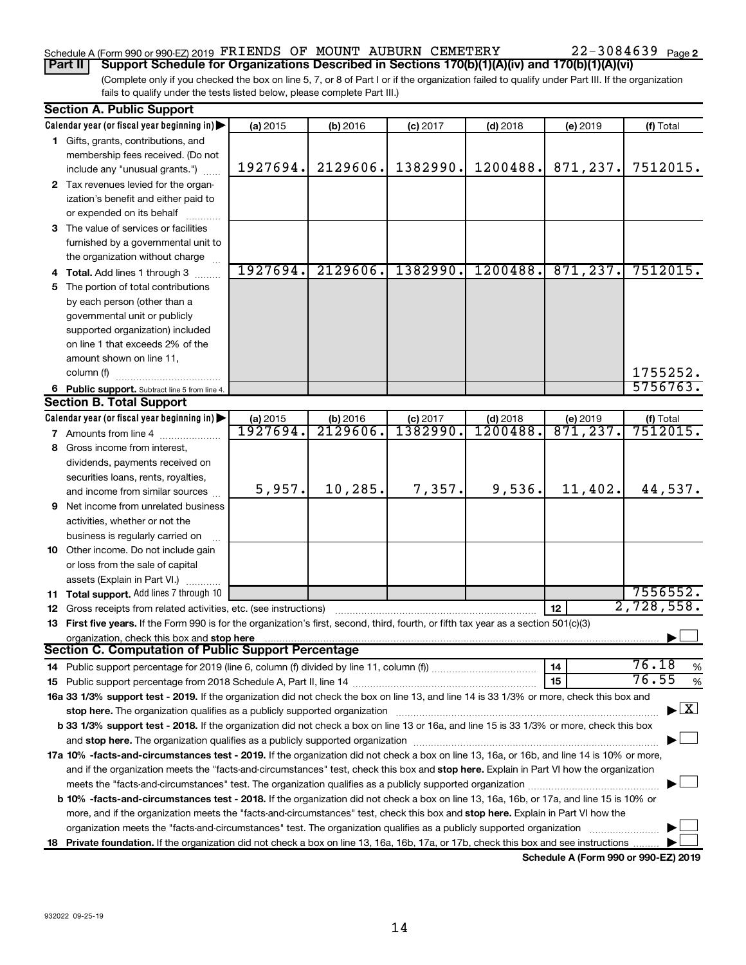# Schedule A (Form 990 or 990-EZ) 2019 FRIENDS OF MOUNT AUBURN CEMETERY 22-3084639 Page

(Complete only if you checked the box on line 5, 7, or 8 of Part I or if the organization failed to qualify under Part III. If the organization fails to qualify under the tests listed below, please complete Part III.) **Part II Support Schedule for Organizations Described in Sections 170(b)(1)(A)(iv) and 170(b)(1)(A)(vi)**

|                                                                                                                                                                  | <b>Section A. Public Support</b>                                                                                                               |                     |                      |                       |                        |                                    |                       |
|------------------------------------------------------------------------------------------------------------------------------------------------------------------|------------------------------------------------------------------------------------------------------------------------------------------------|---------------------|----------------------|-----------------------|------------------------|------------------------------------|-----------------------|
|                                                                                                                                                                  | Calendar year (or fiscal year beginning in)                                                                                                    | (a) 2015            | (b) 2016             | $(c)$ 2017            | $(d)$ 2018             | (e) 2019                           | (f) Total             |
|                                                                                                                                                                  | 1 Gifts, grants, contributions, and                                                                                                            |                     |                      |                       |                        |                                    |                       |
|                                                                                                                                                                  | membership fees received. (Do not                                                                                                              |                     |                      |                       |                        |                                    |                       |
|                                                                                                                                                                  | include any "unusual grants.")                                                                                                                 | 1927694.            | 2129606.             | 1382990.              | 1200488.               | 871,237.                           | 7512015.              |
|                                                                                                                                                                  | 2 Tax revenues levied for the organ-                                                                                                           |                     |                      |                       |                        |                                    |                       |
|                                                                                                                                                                  | ization's benefit and either paid to                                                                                                           |                     |                      |                       |                        |                                    |                       |
|                                                                                                                                                                  | or expended on its behalf                                                                                                                      |                     |                      |                       |                        |                                    |                       |
|                                                                                                                                                                  | 3 The value of services or facilities                                                                                                          |                     |                      |                       |                        |                                    |                       |
|                                                                                                                                                                  | furnished by a governmental unit to                                                                                                            |                     |                      |                       |                        |                                    |                       |
|                                                                                                                                                                  | the organization without charge                                                                                                                |                     |                      |                       |                        |                                    |                       |
|                                                                                                                                                                  | 4 Total. Add lines 1 through 3                                                                                                                 | 1927694.            | 2129606.             | 1382990.              | 1200488.               | 871, 237.                          | 7512015.              |
| 5.                                                                                                                                                               | The portion of total contributions                                                                                                             |                     |                      |                       |                        |                                    |                       |
|                                                                                                                                                                  | by each person (other than a                                                                                                                   |                     |                      |                       |                        |                                    |                       |
|                                                                                                                                                                  | governmental unit or publicly                                                                                                                  |                     |                      |                       |                        |                                    |                       |
|                                                                                                                                                                  | supported organization) included                                                                                                               |                     |                      |                       |                        |                                    |                       |
|                                                                                                                                                                  | on line 1 that exceeds 2% of the                                                                                                               |                     |                      |                       |                        |                                    |                       |
|                                                                                                                                                                  | amount shown on line 11,                                                                                                                       |                     |                      |                       |                        |                                    |                       |
|                                                                                                                                                                  |                                                                                                                                                |                     |                      |                       |                        |                                    | 1755252.              |
|                                                                                                                                                                  | column (f)                                                                                                                                     |                     |                      |                       |                        |                                    | 5756763.              |
|                                                                                                                                                                  | 6 Public support. Subtract line 5 from line 4.                                                                                                 |                     |                      |                       |                        |                                    |                       |
|                                                                                                                                                                  | <b>Section B. Total Support</b>                                                                                                                |                     |                      |                       |                        |                                    |                       |
|                                                                                                                                                                  | Calendar year (or fiscal year beginning in)                                                                                                    | (a) 2015<br>1927694 | (b) 2016<br>2129606. | $(c)$ 2017<br>1382990 | $(d)$ 2018<br>1200488. | (e) 2019<br>$\overline{871,237}$ . | (f) Total<br>7512015. |
|                                                                                                                                                                  | <b>7</b> Amounts from line 4                                                                                                                   |                     |                      |                       |                        |                                    |                       |
|                                                                                                                                                                  | 8 Gross income from interest,                                                                                                                  |                     |                      |                       |                        |                                    |                       |
|                                                                                                                                                                  | dividends, payments received on                                                                                                                |                     |                      |                       |                        |                                    |                       |
|                                                                                                                                                                  | securities loans, rents, royalties,                                                                                                            |                     |                      |                       |                        |                                    |                       |
|                                                                                                                                                                  | and income from similar sources                                                                                                                | 5,957.              | 10, 285.             | 7,357.                | 9,536.                 | 11,402.                            | 44,537.               |
|                                                                                                                                                                  | <b>9</b> Net income from unrelated business                                                                                                    |                     |                      |                       |                        |                                    |                       |
|                                                                                                                                                                  | activities, whether or not the                                                                                                                 |                     |                      |                       |                        |                                    |                       |
|                                                                                                                                                                  | business is regularly carried on                                                                                                               |                     |                      |                       |                        |                                    |                       |
|                                                                                                                                                                  | 10 Other income. Do not include gain                                                                                                           |                     |                      |                       |                        |                                    |                       |
|                                                                                                                                                                  | or loss from the sale of capital                                                                                                               |                     |                      |                       |                        |                                    |                       |
|                                                                                                                                                                  | assets (Explain in Part VI.)                                                                                                                   |                     |                      |                       |                        |                                    |                       |
|                                                                                                                                                                  | 11 Total support. Add lines 7 through 10                                                                                                       |                     |                      |                       |                        |                                    | 7556552.              |
|                                                                                                                                                                  | 12 Gross receipts from related activities, etc. (see instructions)                                                                             |                     |                      |                       |                        | 12                                 | 2,728,558.            |
|                                                                                                                                                                  | 13 First five years. If the Form 990 is for the organization's first, second, third, fourth, or fifth tax year as a section 501(c)(3)          |                     |                      |                       |                        |                                    |                       |
|                                                                                                                                                                  | organization, check this box and stop here                                                                                                     |                     |                      |                       |                        |                                    |                       |
|                                                                                                                                                                  | Section C. Computation of Public Support Percentage                                                                                            |                     |                      |                       |                        |                                    |                       |
|                                                                                                                                                                  |                                                                                                                                                |                     |                      |                       |                        | 14                                 | 76.18<br>$\%$         |
|                                                                                                                                                                  |                                                                                                                                                |                     |                      |                       |                        | 15                                 | 76.55<br>$\%$         |
|                                                                                                                                                                  | 16a 33 1/3% support test - 2019. If the organization did not check the box on line 13, and line 14 is 33 1/3% or more, check this box and      |                     |                      |                       |                        |                                    |                       |
| $\blacktriangleright$ $\boxed{\text{X}}$<br>stop here. The organization qualifies as a publicly supported organization manufactured content and the organization |                                                                                                                                                |                     |                      |                       |                        |                                    |                       |
| b 33 1/3% support test - 2018. If the organization did not check a box on line 13 or 16a, and line 15 is 33 1/3% or more, check this box                         |                                                                                                                                                |                     |                      |                       |                        |                                    |                       |
|                                                                                                                                                                  |                                                                                                                                                |                     |                      |                       |                        |                                    |                       |
|                                                                                                                                                                  | 17a 10% -facts-and-circumstances test - 2019. If the organization did not check a box on line 13, 16a, or 16b, and line 14 is 10% or more,     |                     |                      |                       |                        |                                    |                       |
|                                                                                                                                                                  | and if the organization meets the "facts-and-circumstances" test, check this box and stop here. Explain in Part VI how the organization        |                     |                      |                       |                        |                                    |                       |
|                                                                                                                                                                  |                                                                                                                                                |                     |                      |                       |                        |                                    |                       |
|                                                                                                                                                                  | <b>b 10%</b> -facts-and-circumstances test - 2018. If the organization did not check a box on line 13, 16a, 16b, or 17a, and line 15 is 10% or |                     |                      |                       |                        |                                    |                       |
|                                                                                                                                                                  |                                                                                                                                                |                     |                      |                       |                        |                                    |                       |
|                                                                                                                                                                  | more, and if the organization meets the "facts-and-circumstances" test, check this box and stop here. Explain in Part VI how the               |                     |                      |                       |                        |                                    |                       |
|                                                                                                                                                                  | organization meets the "facts-and-circumstances" test. The organization qualifies as a publicly supported organization                         |                     |                      |                       |                        |                                    |                       |
|                                                                                                                                                                  | 18 Private foundation. If the organization did not check a box on line 13, 16a, 16b, 17a, or 17b, check this box and see instructions          |                     |                      |                       |                        |                                    |                       |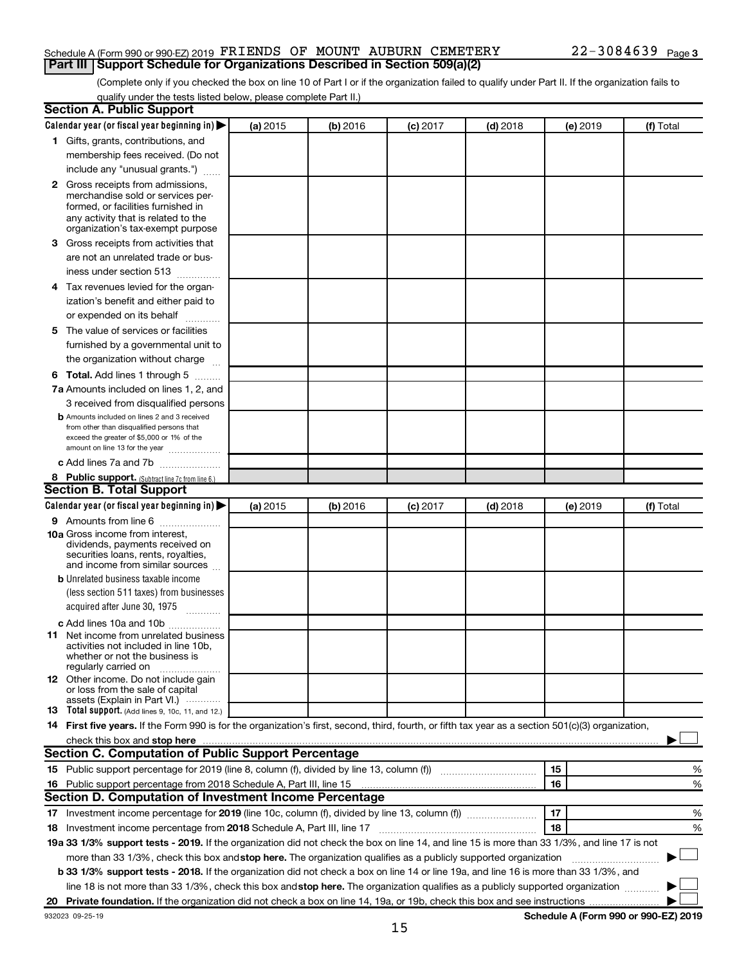#### Schedule A (Form 990 or 990-EZ) 2019 FRIENDS OF MOUNT AUBURN CEMETERY 22-3084639 Page **Part III Support Schedule for Organizations Described in Section 509(a)(2)**

(Complete only if you checked the box on line 10 of Part I or if the organization failed to qualify under Part II. If the organization fails to qualify under the tests listed below, please complete Part II.)

| <b>Section A. Public Support</b>                                                                                                                    |          |          |            |            |          |           |
|-----------------------------------------------------------------------------------------------------------------------------------------------------|----------|----------|------------|------------|----------|-----------|
| Calendar year (or fiscal year beginning in)                                                                                                         | (a) 2015 | (b) 2016 | $(c)$ 2017 | $(d)$ 2018 | (e) 2019 | (f) Total |
| 1 Gifts, grants, contributions, and                                                                                                                 |          |          |            |            |          |           |
| membership fees received. (Do not                                                                                                                   |          |          |            |            |          |           |
| include any "unusual grants.")                                                                                                                      |          |          |            |            |          |           |
| <b>2</b> Gross receipts from admissions,                                                                                                            |          |          |            |            |          |           |
| merchandise sold or services per-                                                                                                                   |          |          |            |            |          |           |
| formed, or facilities furnished in                                                                                                                  |          |          |            |            |          |           |
| any activity that is related to the<br>organization's tax-exempt purpose                                                                            |          |          |            |            |          |           |
| 3 Gross receipts from activities that                                                                                                               |          |          |            |            |          |           |
| are not an unrelated trade or bus-                                                                                                                  |          |          |            |            |          |           |
| iness under section 513                                                                                                                             |          |          |            |            |          |           |
| 4 Tax revenues levied for the organ-                                                                                                                |          |          |            |            |          |           |
| ization's benefit and either paid to                                                                                                                |          |          |            |            |          |           |
| or expended on its behalf                                                                                                                           |          |          |            |            |          |           |
| 5 The value of services or facilities                                                                                                               |          |          |            |            |          |           |
| furnished by a governmental unit to                                                                                                                 |          |          |            |            |          |           |
| the organization without charge                                                                                                                     |          |          |            |            |          |           |
|                                                                                                                                                     |          |          |            |            |          |           |
| 6 Total. Add lines 1 through 5                                                                                                                      |          |          |            |            |          |           |
| 7a Amounts included on lines 1, 2, and                                                                                                              |          |          |            |            |          |           |
| 3 received from disqualified persons                                                                                                                |          |          |            |            |          |           |
| <b>b</b> Amounts included on lines 2 and 3 received<br>from other than disqualified persons that                                                    |          |          |            |            |          |           |
| exceed the greater of \$5,000 or 1% of the                                                                                                          |          |          |            |            |          |           |
| amount on line 13 for the year                                                                                                                      |          |          |            |            |          |           |
| c Add lines 7a and 7b                                                                                                                               |          |          |            |            |          |           |
| 8 Public support. (Subtract line 7c from line 6.)                                                                                                   |          |          |            |            |          |           |
| <b>Section B. Total Support</b>                                                                                                                     |          |          |            |            |          |           |
| Calendar year (or fiscal year beginning in)                                                                                                         | (a) 2015 | (b) 2016 | $(c)$ 2017 | $(d)$ 2018 | (e) 2019 | (f) Total |
| 9 Amounts from line 6                                                                                                                               |          |          |            |            |          |           |
| <b>10a</b> Gross income from interest,                                                                                                              |          |          |            |            |          |           |
| dividends, payments received on<br>securities loans, rents, royalties,                                                                              |          |          |            |            |          |           |
| and income from similar sources                                                                                                                     |          |          |            |            |          |           |
| <b>b</b> Unrelated business taxable income                                                                                                          |          |          |            |            |          |           |
| (less section 511 taxes) from businesses                                                                                                            |          |          |            |            |          |           |
| acquired after June 30, 1975                                                                                                                        |          |          |            |            |          |           |
| c Add lines 10a and 10b                                                                                                                             |          |          |            |            |          |           |
| <b>11</b> Net income from unrelated business                                                                                                        |          |          |            |            |          |           |
| activities not included in line 10b.                                                                                                                |          |          |            |            |          |           |
| whether or not the business is<br>regularly carried on                                                                                              |          |          |            |            |          |           |
| 12 Other income. Do not include gain                                                                                                                |          |          |            |            |          |           |
| or loss from the sale of capital                                                                                                                    |          |          |            |            |          |           |
| assets (Explain in Part VI.)<br><b>13</b> Total support. (Add lines 9, 10c, 11, and 12.)                                                            |          |          |            |            |          |           |
| 14 First five years. If the Form 990 is for the organization's first, second, third, fourth, or fifth tax year as a section 501(c)(3) organization, |          |          |            |            |          |           |
| check this box and stop here                                                                                                                        |          |          |            |            |          |           |
| Section C. Computation of Public Support Percentage                                                                                                 |          |          |            |            |          |           |
|                                                                                                                                                     |          |          |            |            | 15       | %         |
| 16 Public support percentage from 2018 Schedule A, Part III, line 15                                                                                |          |          |            |            | 16       | %         |
| Section D. Computation of Investment Income Percentage                                                                                              |          |          |            |            |          |           |
| 17 Investment income percentage for 2019 (line 10c, column (f), divided by line 13, column (f))                                                     |          |          |            |            | 17       | %         |
| 18 Investment income percentage from 2018 Schedule A, Part III, line 17                                                                             |          |          |            |            | 18       | %         |
| 19a 33 1/3% support tests - 2019. If the organization did not check the box on line 14, and line 15 is more than 33 1/3%, and line 17 is not        |          |          |            |            |          |           |
| more than 33 1/3%, check this box and stop here. The organization qualifies as a publicly supported organization                                    |          |          |            |            |          |           |
| b 33 1/3% support tests - 2018. If the organization did not check a box on line 14 or line 19a, and line 16 is more than 33 1/3%, and               |          |          |            |            |          |           |
| line 18 is not more than 33 1/3%, check this box and stop here. The organization qualifies as a publicly supported organization                     |          |          |            |            |          |           |
|                                                                                                                                                     |          |          |            |            |          |           |
|                                                                                                                                                     |          |          |            |            |          |           |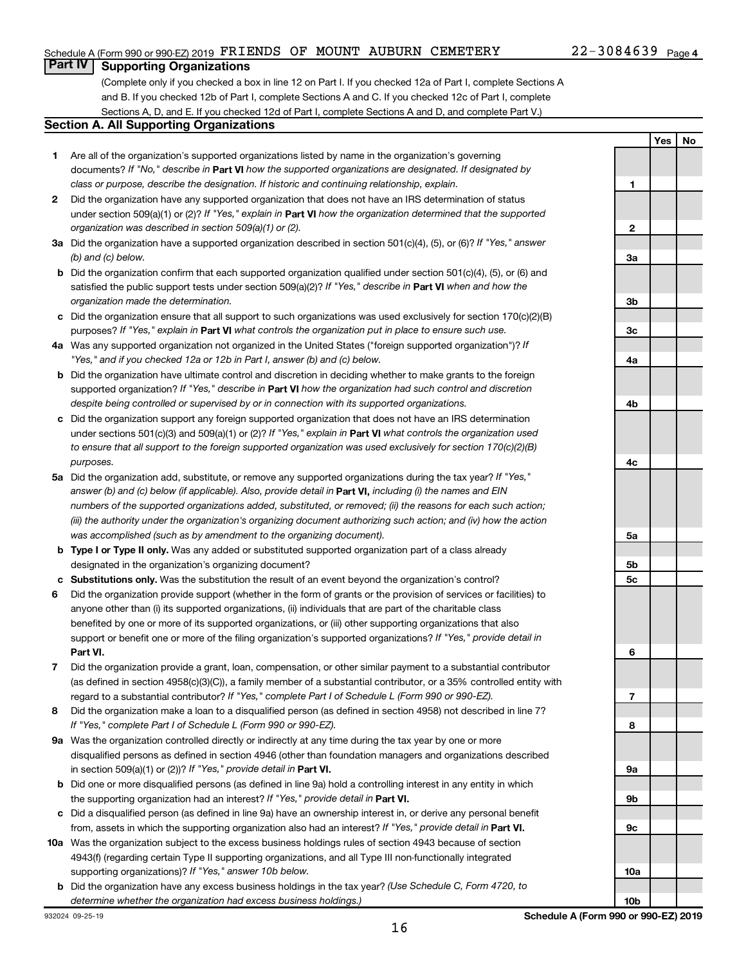#### Schedule A (Form 990 or 990-EZ) 2019 FRIENDS OF MOUNT AUBURN CEMETERY 22-3084639 Page

#### 22-3084639 Page 4

**Yes No**

# **Part IV Supporting Organizations**

(Complete only if you checked a box in line 12 on Part I. If you checked 12a of Part I, complete Sections A and B. If you checked 12b of Part I, complete Sections A and C. If you checked 12c of Part I, complete Sections A, D, and E. If you checked 12d of Part I, complete Sections A and D, and complete Part V.)

#### **Section A. All Supporting Organizations**

- **1** Are all of the organization's supported organizations listed by name in the organization's governing documents? If "No," describe in Part VI how the supported organizations are designated. If designated by *class or purpose, describe the designation. If historic and continuing relationship, explain.*
- **2** Did the organization have any supported organization that does not have an IRS determination of status under section 509(a)(1) or (2)? If "Yes," explain in Part **VI** how the organization determined that the supported *organization was described in section 509(a)(1) or (2).*
- **3a** Did the organization have a supported organization described in section 501(c)(4), (5), or (6)? If "Yes," answer *(b) and (c) below.*
- **b** Did the organization confirm that each supported organization qualified under section 501(c)(4), (5), or (6) and satisfied the public support tests under section 509(a)(2)? If "Yes," describe in Part VI when and how the *organization made the determination.*
- **c** Did the organization ensure that all support to such organizations was used exclusively for section 170(c)(2)(B) purposes? If "Yes," explain in Part VI what controls the organization put in place to ensure such use.
- **4 a** *If* Was any supported organization not organized in the United States ("foreign supported organization")? *"Yes," and if you checked 12a or 12b in Part I, answer (b) and (c) below.*
- **b** Did the organization have ultimate control and discretion in deciding whether to make grants to the foreign supported organization? If "Yes," describe in Part VI how the organization had such control and discretion *despite being controlled or supervised by or in connection with its supported organizations.*
- **c** Did the organization support any foreign supported organization that does not have an IRS determination under sections 501(c)(3) and 509(a)(1) or (2)? If "Yes," explain in Part VI what controls the organization used *to ensure that all support to the foreign supported organization was used exclusively for section 170(c)(2)(B) purposes.*
- **5a** Did the organization add, substitute, or remove any supported organizations during the tax year? If "Yes," answer (b) and (c) below (if applicable). Also, provide detail in **Part VI,** including (i) the names and EIN *numbers of the supported organizations added, substituted, or removed; (ii) the reasons for each such action; (iii) the authority under the organization's organizing document authorizing such action; and (iv) how the action was accomplished (such as by amendment to the organizing document).*
- **b** Type I or Type II only. Was any added or substituted supported organization part of a class already designated in the organization's organizing document?
- **c Substitutions only.**  Was the substitution the result of an event beyond the organization's control?
- **6** Did the organization provide support (whether in the form of grants or the provision of services or facilities) to **Part VI.** support or benefit one or more of the filing organization's supported organizations? If "Yes," provide detail in anyone other than (i) its supported organizations, (ii) individuals that are part of the charitable class benefited by one or more of its supported organizations, or (iii) other supporting organizations that also
- **7** Did the organization provide a grant, loan, compensation, or other similar payment to a substantial contributor regard to a substantial contributor? If "Yes," complete Part I of Schedule L (Form 990 or 990-EZ). (as defined in section 4958(c)(3)(C)), a family member of a substantial contributor, or a 35% controlled entity with
- **8** Did the organization make a loan to a disqualified person (as defined in section 4958) not described in line 7? *If "Yes," complete Part I of Schedule L (Form 990 or 990-EZ).*
- **9 a** Was the organization controlled directly or indirectly at any time during the tax year by one or more in section 509(a)(1) or (2))? If "Yes," provide detail in **Part VI.** disqualified persons as defined in section 4946 (other than foundation managers and organizations described
- **b** Did one or more disqualified persons (as defined in line 9a) hold a controlling interest in any entity in which the supporting organization had an interest? If "Yes," provide detail in Part VI.
- **c** Did a disqualified person (as defined in line 9a) have an ownership interest in, or derive any personal benefit from, assets in which the supporting organization also had an interest? If "Yes," provide detail in Part VI.
- **10 a** Was the organization subject to the excess business holdings rules of section 4943 because of section supporting organizations)? If "Yes," answer 10b below. 4943(f) (regarding certain Type II supporting organizations, and all Type III non-functionally integrated
- **b** Did the organization have any excess business holdings in the tax year? (Use Schedule C, Form 4720, to *determine whether the organization had excess business holdings.)*

**1 2 3a 3b 3c 4a 4b 4c 5a 5b 5c 6 7 8 9a 9b 9c 10a**

**10b**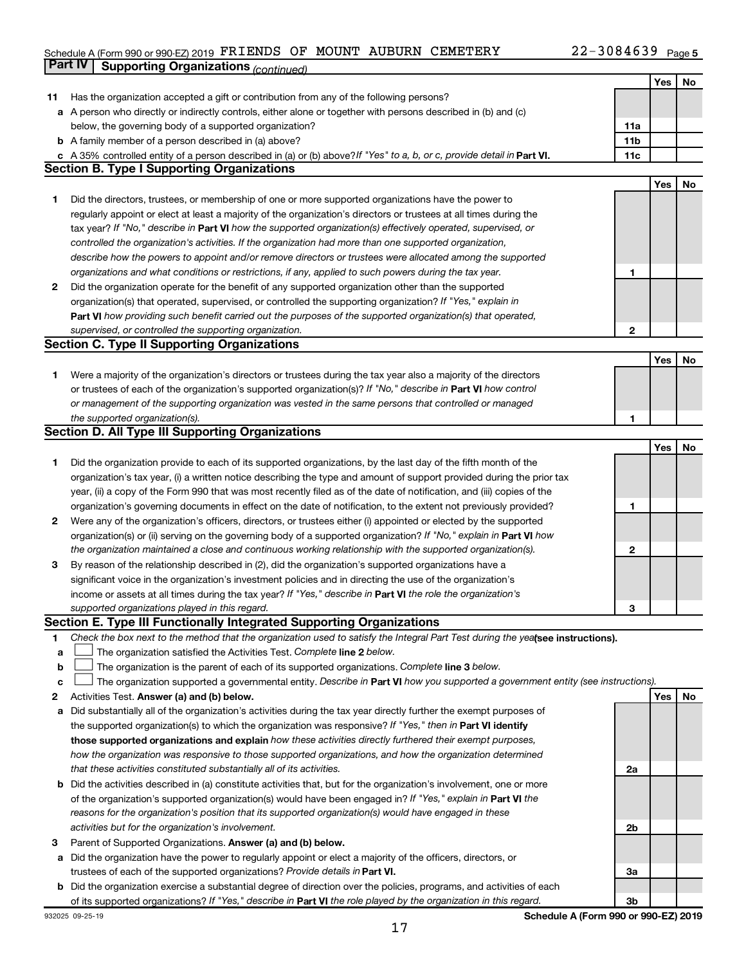#### Schedule A (Form 990 or 990-EZ) 2019 PKLENDS OF MOUN'L'AUBURN CEMETERY ZZ-3U84639 Page **Part IV Supporting Organizations** *(continued)* FRIENDS OF MOUNT AUBURN CEMETERY 22-3084639

|        |                                                                                                                                                                               |              | Yes | No |
|--------|-------------------------------------------------------------------------------------------------------------------------------------------------------------------------------|--------------|-----|----|
| 11     | Has the organization accepted a gift or contribution from any of the following persons?                                                                                       |              |     |    |
|        | a A person who directly or indirectly controls, either alone or together with persons described in (b) and (c)                                                                |              |     |    |
|        | below, the governing body of a supported organization?                                                                                                                        | 11a          |     |    |
|        | <b>b</b> A family member of a person described in (a) above?                                                                                                                  | 11b          |     |    |
|        | c A 35% controlled entity of a person described in (a) or (b) above? If "Yes" to a, b, or c, provide detail in Part VI.                                                       | 11c          |     |    |
|        | <b>Section B. Type I Supporting Organizations</b>                                                                                                                             |              |     |    |
|        |                                                                                                                                                                               |              | Yes | No |
| 1      | Did the directors, trustees, or membership of one or more supported organizations have the power to                                                                           |              |     |    |
|        | regularly appoint or elect at least a majority of the organization's directors or trustees at all times during the                                                            |              |     |    |
|        | tax year? If "No," describe in Part VI how the supported organization(s) effectively operated, supervised, or                                                                 |              |     |    |
|        | controlled the organization's activities. If the organization had more than one supported organization,                                                                       |              |     |    |
|        | describe how the powers to appoint and/or remove directors or trustees were allocated among the supported                                                                     |              |     |    |
|        | organizations and what conditions or restrictions, if any, applied to such powers during the tax year.                                                                        | 1            |     |    |
| 2      | Did the organization operate for the benefit of any supported organization other than the supported                                                                           |              |     |    |
|        | organization(s) that operated, supervised, or controlled the supporting organization? If "Yes," explain in                                                                    |              |     |    |
|        | Part VI how providing such benefit carried out the purposes of the supported organization(s) that operated,                                                                   |              |     |    |
|        | supervised, or controlled the supporting organization.                                                                                                                        | 2            |     |    |
|        | <b>Section C. Type II Supporting Organizations</b>                                                                                                                            |              |     |    |
|        |                                                                                                                                                                               |              | Yes | No |
| 1      | Were a majority of the organization's directors or trustees during the tax year also a majority of the directors                                                              |              |     |    |
|        | or trustees of each of the organization's supported organization(s)? If "No," describe in Part VI how control                                                                 |              |     |    |
|        | or management of the supporting organization was vested in the same persons that controlled or managed                                                                        |              |     |    |
|        | the supported organization(s).                                                                                                                                                | 1            |     |    |
|        | <b>Section D. All Type III Supporting Organizations</b>                                                                                                                       |              |     |    |
|        |                                                                                                                                                                               |              | Yes | No |
| 1      | Did the organization provide to each of its supported organizations, by the last day of the fifth month of the                                                                |              |     |    |
|        | organization's tax year, (i) a written notice describing the type and amount of support provided during the prior tax                                                         |              |     |    |
|        | year, (ii) a copy of the Form 990 that was most recently filed as of the date of notification, and (iii) copies of the                                                        |              |     |    |
|        | organization's governing documents in effect on the date of notification, to the extent not previously provided?                                                              | 1            |     |    |
| 2      | Were any of the organization's officers, directors, or trustees either (i) appointed or elected by the supported                                                              |              |     |    |
|        | organization(s) or (ii) serving on the governing body of a supported organization? If "No," explain in Part VI how                                                            |              |     |    |
|        | the organization maintained a close and continuous working relationship with the supported organization(s).                                                                   | $\mathbf{2}$ |     |    |
| 3      | By reason of the relationship described in (2), did the organization's supported organizations have a                                                                         |              |     |    |
|        | significant voice in the organization's investment policies and in directing the use of the organization's                                                                    |              |     |    |
|        | income or assets at all times during the tax year? If "Yes," describe in Part VI the role the organization's                                                                  |              |     |    |
|        | supported organizations played in this regard.                                                                                                                                | 3            |     |    |
|        | Section E. Type III Functionally Integrated Supporting Organizations                                                                                                          |              |     |    |
| 1      | Check the box next to the method that the organization used to satisfy the Integral Part Test during the yealsee instructions).                                               |              |     |    |
| a      | The organization satisfied the Activities Test. Complete line 2 below.                                                                                                        |              |     |    |
| b      | The organization is the parent of each of its supported organizations. Complete line 3 below.                                                                                 |              |     |    |
| C<br>2 | The organization supported a governmental entity. Describe in Part VI how you supported a government entity (see instructions).<br>Activities Test. Answer (a) and (b) below. |              | Yes | No |
| а      | Did substantially all of the organization's activities during the tax year directly further the exempt purposes of                                                            |              |     |    |
|        | the supported organization(s) to which the organization was responsive? If "Yes," then in Part VI identify                                                                    |              |     |    |
|        | those supported organizations and explain how these activities directly furthered their exempt purposes,                                                                      |              |     |    |
|        | how the organization was responsive to those supported organizations, and how the organization determined                                                                     |              |     |    |
|        | that these activities constituted substantially all of its activities.                                                                                                        | 2a           |     |    |
|        | <b>b</b> Did the activities described in (a) constitute activities that, but for the organization's involvement, one or more                                                  |              |     |    |
|        | of the organization's supported organization(s) would have been engaged in? If "Yes," explain in Part VI the                                                                  |              |     |    |
|        | reasons for the organization's position that its supported organization(s) would have engaged in these                                                                        |              |     |    |
|        | activities but for the organization's involvement.                                                                                                                            | 2b           |     |    |
| 3      | Parent of Supported Organizations. Answer (a) and (b) below.                                                                                                                  |              |     |    |
| а      | Did the organization have the power to regularly appoint or elect a majority of the officers, directors, or                                                                   |              |     |    |
|        | trustees of each of the supported organizations? Provide details in Part VI.                                                                                                  | За           |     |    |
|        | <b>b</b> Did the organization exercise a substantial degree of direction over the policies, programs, and activities of each                                                  |              |     |    |
|        | of its supported organizations? If "Yes," describe in Part VI the role played by the organization in this regard.                                                             | Зb           |     |    |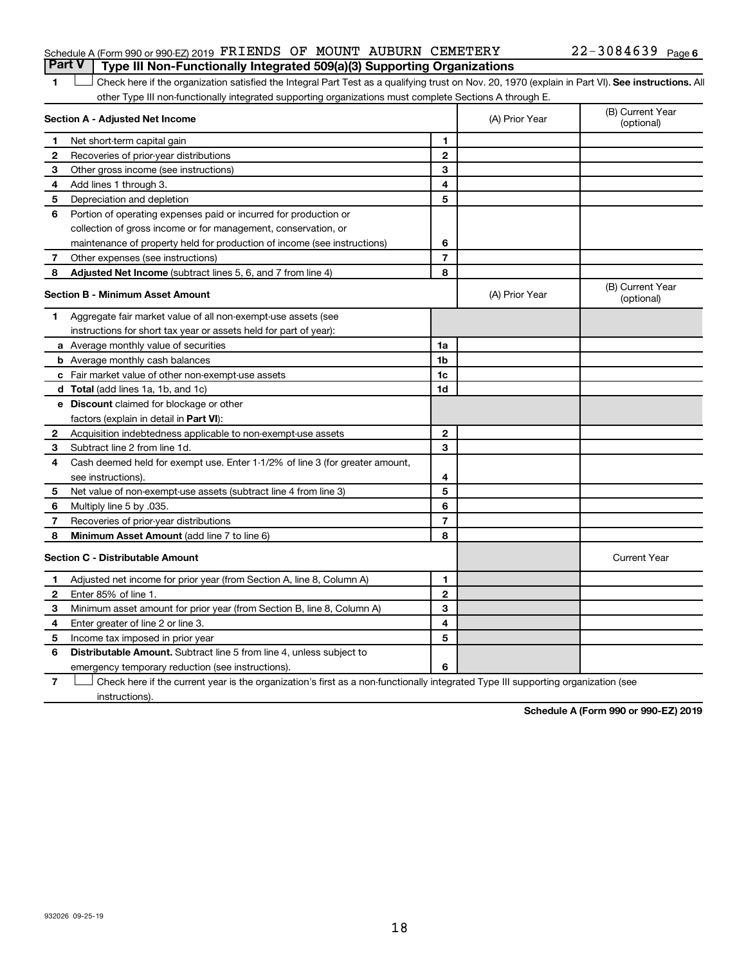#### Schedule A (Form 990 or 990-EZ) 2019 FRIENDS OF MOUNT AUBURN CEMETERY 22-3084639 Page **Part V Type III Non-Functionally Integrated 509(a)(3) Supporting Organizations**

#### 1 **Letter See instructions.** All Check here if the organization satisfied the Integral Part Test as a qualifying trust on Nov. 20, 1970 (explain in Part VI). See instructions. All other Type III non-functionally integrated supporting organizations must complete Sections A through E.

|   | Section A - Adjusted Net Income                                              | (A) Prior Year | (B) Current Year<br>(optional) |                                |
|---|------------------------------------------------------------------------------|----------------|--------------------------------|--------------------------------|
| 1 | Net short-term capital gain                                                  | 1              |                                |                                |
| 2 | Recoveries of prior-year distributions                                       | $\mathbf{2}$   |                                |                                |
| З | Other gross income (see instructions)                                        | 3              |                                |                                |
| 4 | Add lines 1 through 3.                                                       | 4              |                                |                                |
| 5 | Depreciation and depletion                                                   | 5              |                                |                                |
| 6 | Portion of operating expenses paid or incurred for production or             |                |                                |                                |
|   | collection of gross income or for management, conservation, or               |                |                                |                                |
|   | maintenance of property held for production of income (see instructions)     | 6              |                                |                                |
| 7 | Other expenses (see instructions)                                            | $\overline{7}$ |                                |                                |
| 8 | Adjusted Net Income (subtract lines 5, 6, and 7 from line 4)                 | 8              |                                |                                |
|   | <b>Section B - Minimum Asset Amount</b>                                      |                | (A) Prior Year                 | (B) Current Year<br>(optional) |
| 1 | Aggregate fair market value of all non-exempt-use assets (see                |                |                                |                                |
|   | instructions for short tax year or assets held for part of year):            |                |                                |                                |
|   | a Average monthly value of securities                                        | 1a             |                                |                                |
|   | <b>b</b> Average monthly cash balances                                       | 1b             |                                |                                |
|   | <b>c</b> Fair market value of other non-exempt-use assets                    | 1c             |                                |                                |
|   | d Total (add lines 1a, 1b, and 1c)                                           | 1d             |                                |                                |
|   | <b>e</b> Discount claimed for blockage or other                              |                |                                |                                |
|   | factors (explain in detail in <b>Part VI</b> ):                              |                |                                |                                |
| 2 | Acquisition indebtedness applicable to non-exempt-use assets                 | $\mathbf{2}$   |                                |                                |
| З | Subtract line 2 from line 1d.                                                | 3              |                                |                                |
| 4 | Cash deemed held for exempt use. Enter 1-1/2% of line 3 (for greater amount, |                |                                |                                |
|   | see instructions)                                                            | 4              |                                |                                |
| 5 | Net value of non-exempt-use assets (subtract line 4 from line 3)             | 5              |                                |                                |
| 6 | Multiply line 5 by .035.                                                     | 6              |                                |                                |
| 7 | Recoveries of prior-year distributions                                       | 7              |                                |                                |
| 8 | Minimum Asset Amount (add line 7 to line 6)                                  | 8              |                                |                                |
|   | <b>Section C - Distributable Amount</b>                                      |                |                                | <b>Current Year</b>            |
| 1 | Adjusted net income for prior year (from Section A, line 8, Column A)        | 1              |                                |                                |
| 2 | Enter 85% of line 1.                                                         | $\mathbf{2}$   |                                |                                |
| 3 | Minimum asset amount for prior year (from Section B, line 8, Column A)       | 3              |                                |                                |
| 4 | Enter greater of line 2 or line 3.                                           | 4              |                                |                                |
| 5 | Income tax imposed in prior year                                             | 5              |                                |                                |
| 6 | <b>Distributable Amount.</b> Subtract line 5 from line 4, unless subject to  |                |                                |                                |
|   | emergency temporary reduction (see instructions).                            | 6              |                                |                                |
|   |                                                                              |                |                                |                                |

**7** Let Check here if the current year is the organization's first as a non-functionally integrated Type III supporting organization (see instructions).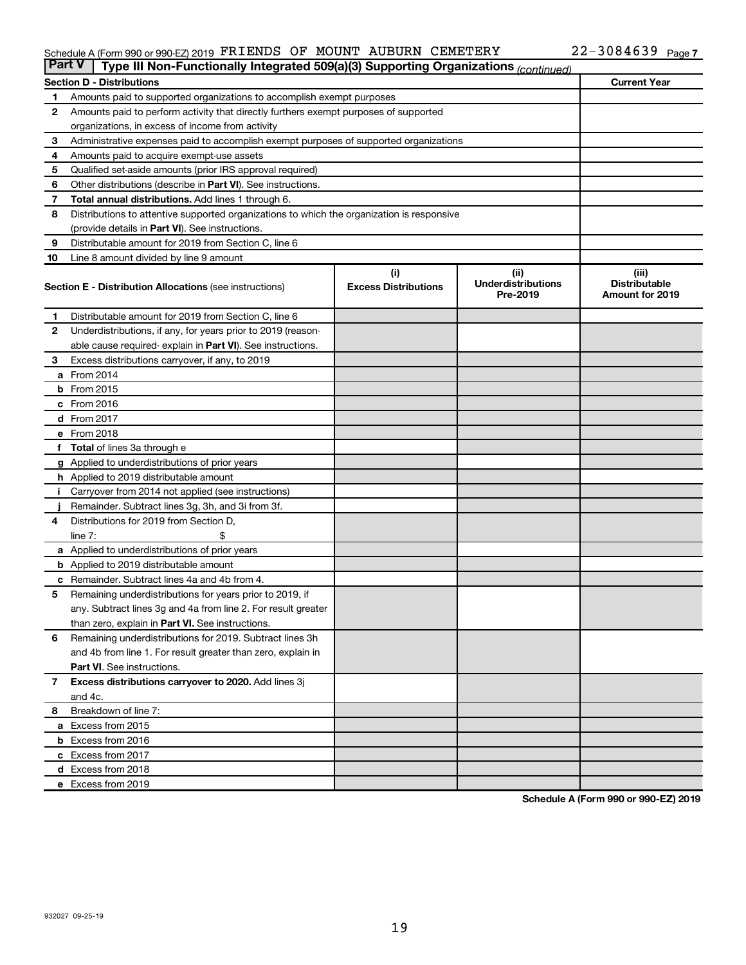#### Schedule A (Form 990 or 990-EZ) 2019 PKLENDS OF MOUN'L'AUBURN CEMETERY ZZ-3U84639 Page FRIENDS OF MOUNT AUBURN CEMETERY 22-3084639

|              | <b>Part V</b><br>Type III Non-Functionally Integrated 509(a)(3) Supporting Organizations (continued) |                                    |                                               |                                                         |  |  |  |  |
|--------------|------------------------------------------------------------------------------------------------------|------------------------------------|-----------------------------------------------|---------------------------------------------------------|--|--|--|--|
|              | <b>Current Year</b><br><b>Section D - Distributions</b>                                              |                                    |                                               |                                                         |  |  |  |  |
| 1            | Amounts paid to supported organizations to accomplish exempt purposes                                |                                    |                                               |                                                         |  |  |  |  |
| 2            | Amounts paid to perform activity that directly furthers exempt purposes of supported                 |                                    |                                               |                                                         |  |  |  |  |
|              | organizations, in excess of income from activity                                                     |                                    |                                               |                                                         |  |  |  |  |
| 3            | Administrative expenses paid to accomplish exempt purposes of supported organizations                |                                    |                                               |                                                         |  |  |  |  |
| 4            | Amounts paid to acquire exempt-use assets                                                            |                                    |                                               |                                                         |  |  |  |  |
| 5            | Qualified set-aside amounts (prior IRS approval required)                                            |                                    |                                               |                                                         |  |  |  |  |
| 6            | Other distributions (describe in Part VI). See instructions.                                         |                                    |                                               |                                                         |  |  |  |  |
| 7            | Total annual distributions. Add lines 1 through 6.                                                   |                                    |                                               |                                                         |  |  |  |  |
| 8            | Distributions to attentive supported organizations to which the organization is responsive           |                                    |                                               |                                                         |  |  |  |  |
|              | (provide details in Part VI). See instructions.                                                      |                                    |                                               |                                                         |  |  |  |  |
| 9            | Distributable amount for 2019 from Section C, line 6                                                 |                                    |                                               |                                                         |  |  |  |  |
| 10           | Line 8 amount divided by line 9 amount                                                               |                                    |                                               |                                                         |  |  |  |  |
|              | <b>Section E - Distribution Allocations (see instructions)</b>                                       | (i)<br><b>Excess Distributions</b> | (ii)<br><b>Underdistributions</b><br>Pre-2019 | (iii)<br><b>Distributable</b><br><b>Amount for 2019</b> |  |  |  |  |
| 1.           | Distributable amount for 2019 from Section C, line 6                                                 |                                    |                                               |                                                         |  |  |  |  |
| $\mathbf{2}$ | Underdistributions, if any, for years prior to 2019 (reason-                                         |                                    |                                               |                                                         |  |  |  |  |
|              | able cause required- explain in Part VI). See instructions.                                          |                                    |                                               |                                                         |  |  |  |  |
| 3            | Excess distributions carryover, if any, to 2019                                                      |                                    |                                               |                                                         |  |  |  |  |
|              | a From 2014                                                                                          |                                    |                                               |                                                         |  |  |  |  |
|              | <b>b</b> From 2015                                                                                   |                                    |                                               |                                                         |  |  |  |  |
|              | c From 2016                                                                                          |                                    |                                               |                                                         |  |  |  |  |
|              | d From 2017                                                                                          |                                    |                                               |                                                         |  |  |  |  |
|              | e From 2018                                                                                          |                                    |                                               |                                                         |  |  |  |  |
|              | f Total of lines 3a through e                                                                        |                                    |                                               |                                                         |  |  |  |  |
|              | <b>g</b> Applied to underdistributions of prior years                                                |                                    |                                               |                                                         |  |  |  |  |
|              | <b>h</b> Applied to 2019 distributable amount                                                        |                                    |                                               |                                                         |  |  |  |  |
|              | Carryover from 2014 not applied (see instructions)                                                   |                                    |                                               |                                                         |  |  |  |  |
|              | Remainder. Subtract lines 3g, 3h, and 3i from 3f.                                                    |                                    |                                               |                                                         |  |  |  |  |
| 4            | Distributions for 2019 from Section D,                                                               |                                    |                                               |                                                         |  |  |  |  |
|              | $line 7$ :                                                                                           |                                    |                                               |                                                         |  |  |  |  |
|              | a Applied to underdistributions of prior years                                                       |                                    |                                               |                                                         |  |  |  |  |
|              | <b>b</b> Applied to 2019 distributable amount                                                        |                                    |                                               |                                                         |  |  |  |  |
| с            | Remainder. Subtract lines 4a and 4b from 4.                                                          |                                    |                                               |                                                         |  |  |  |  |
| 5            | Remaining underdistributions for years prior to 2019, if                                             |                                    |                                               |                                                         |  |  |  |  |
|              | any. Subtract lines 3g and 4a from line 2. For result greater                                        |                                    |                                               |                                                         |  |  |  |  |
|              | than zero, explain in Part VI. See instructions.                                                     |                                    |                                               |                                                         |  |  |  |  |
| 6            | Remaining underdistributions for 2019. Subtract lines 3h                                             |                                    |                                               |                                                         |  |  |  |  |
|              | and 4b from line 1. For result greater than zero, explain in                                         |                                    |                                               |                                                         |  |  |  |  |
|              | <b>Part VI.</b> See instructions.                                                                    |                                    |                                               |                                                         |  |  |  |  |
| $\mathbf{7}$ | Excess distributions carryover to 2020. Add lines 3j                                                 |                                    |                                               |                                                         |  |  |  |  |
|              | and 4c.                                                                                              |                                    |                                               |                                                         |  |  |  |  |
| 8            | Breakdown of line 7:                                                                                 |                                    |                                               |                                                         |  |  |  |  |
|              | a Excess from 2015                                                                                   |                                    |                                               |                                                         |  |  |  |  |
|              | <b>b</b> Excess from 2016                                                                            |                                    |                                               |                                                         |  |  |  |  |
|              | c Excess from 2017                                                                                   |                                    |                                               |                                                         |  |  |  |  |
|              | d Excess from 2018                                                                                   |                                    |                                               |                                                         |  |  |  |  |
|              | e Excess from 2019                                                                                   |                                    |                                               |                                                         |  |  |  |  |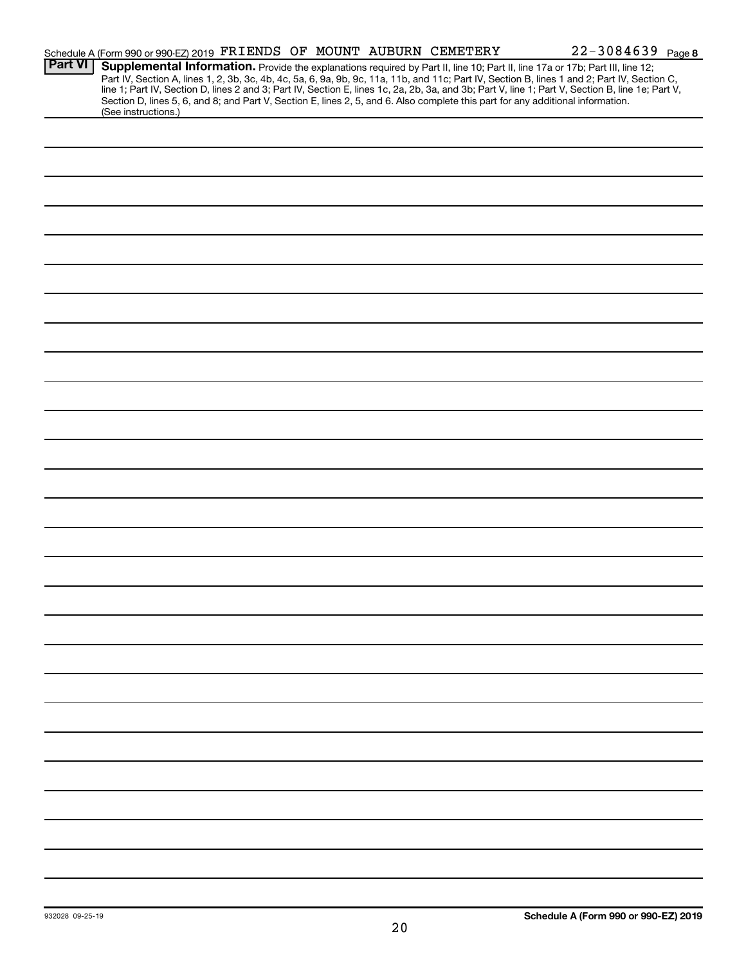|                | Schedule A (Form 990 or 990-EZ) 2019 FRIENDS OF MOUNT AUBURN CEMETERY                                                                                |                                                                                                                                 |  |  | 22-3084639 Page 8                                                                                                                                                                                                                                                                                |  |
|----------------|------------------------------------------------------------------------------------------------------------------------------------------------------|---------------------------------------------------------------------------------------------------------------------------------|--|--|--------------------------------------------------------------------------------------------------------------------------------------------------------------------------------------------------------------------------------------------------------------------------------------------------|--|
| <b>Part VI</b> | Supplemental Information. Provide the explanations required by Part II, line 10; Part II, line 17a or 17b; Part III, line 12;<br>(See instructions.) | Section D, lines 5, 6, and 8; and Part V, Section E, lines 2, 5, and 6. Also complete this part for any additional information. |  |  | Part IV, Section A, lines 1, 2, 3b, 3c, 4b, 4c, 5a, 6, 9a, 9b, 9c, 11a, 11b, and 11c; Part IV, Section B, lines 1 and 2; Part IV, Section C,<br>line 1; Part IV, Section D, lines 2 and 3; Part IV, Section E, lines 1c, 2a, 2b, 3a, and 3b; Part V, line 1; Part V, Section B, line 1e; Part V, |  |
|                |                                                                                                                                                      |                                                                                                                                 |  |  |                                                                                                                                                                                                                                                                                                  |  |
|                |                                                                                                                                                      |                                                                                                                                 |  |  |                                                                                                                                                                                                                                                                                                  |  |
|                |                                                                                                                                                      |                                                                                                                                 |  |  |                                                                                                                                                                                                                                                                                                  |  |
|                |                                                                                                                                                      |                                                                                                                                 |  |  |                                                                                                                                                                                                                                                                                                  |  |
|                |                                                                                                                                                      |                                                                                                                                 |  |  |                                                                                                                                                                                                                                                                                                  |  |
|                |                                                                                                                                                      |                                                                                                                                 |  |  |                                                                                                                                                                                                                                                                                                  |  |
|                |                                                                                                                                                      |                                                                                                                                 |  |  |                                                                                                                                                                                                                                                                                                  |  |
|                |                                                                                                                                                      |                                                                                                                                 |  |  |                                                                                                                                                                                                                                                                                                  |  |
|                |                                                                                                                                                      |                                                                                                                                 |  |  |                                                                                                                                                                                                                                                                                                  |  |
|                |                                                                                                                                                      |                                                                                                                                 |  |  |                                                                                                                                                                                                                                                                                                  |  |
|                |                                                                                                                                                      |                                                                                                                                 |  |  |                                                                                                                                                                                                                                                                                                  |  |
|                |                                                                                                                                                      |                                                                                                                                 |  |  |                                                                                                                                                                                                                                                                                                  |  |
|                |                                                                                                                                                      |                                                                                                                                 |  |  |                                                                                                                                                                                                                                                                                                  |  |
|                |                                                                                                                                                      |                                                                                                                                 |  |  |                                                                                                                                                                                                                                                                                                  |  |
|                |                                                                                                                                                      |                                                                                                                                 |  |  |                                                                                                                                                                                                                                                                                                  |  |
|                |                                                                                                                                                      |                                                                                                                                 |  |  |                                                                                                                                                                                                                                                                                                  |  |
|                |                                                                                                                                                      |                                                                                                                                 |  |  |                                                                                                                                                                                                                                                                                                  |  |
|                |                                                                                                                                                      |                                                                                                                                 |  |  |                                                                                                                                                                                                                                                                                                  |  |
|                |                                                                                                                                                      |                                                                                                                                 |  |  |                                                                                                                                                                                                                                                                                                  |  |
|                |                                                                                                                                                      |                                                                                                                                 |  |  |                                                                                                                                                                                                                                                                                                  |  |
|                |                                                                                                                                                      |                                                                                                                                 |  |  |                                                                                                                                                                                                                                                                                                  |  |
|                |                                                                                                                                                      |                                                                                                                                 |  |  |                                                                                                                                                                                                                                                                                                  |  |
|                |                                                                                                                                                      |                                                                                                                                 |  |  |                                                                                                                                                                                                                                                                                                  |  |
|                |                                                                                                                                                      |                                                                                                                                 |  |  |                                                                                                                                                                                                                                                                                                  |  |
|                |                                                                                                                                                      |                                                                                                                                 |  |  |                                                                                                                                                                                                                                                                                                  |  |
|                |                                                                                                                                                      |                                                                                                                                 |  |  |                                                                                                                                                                                                                                                                                                  |  |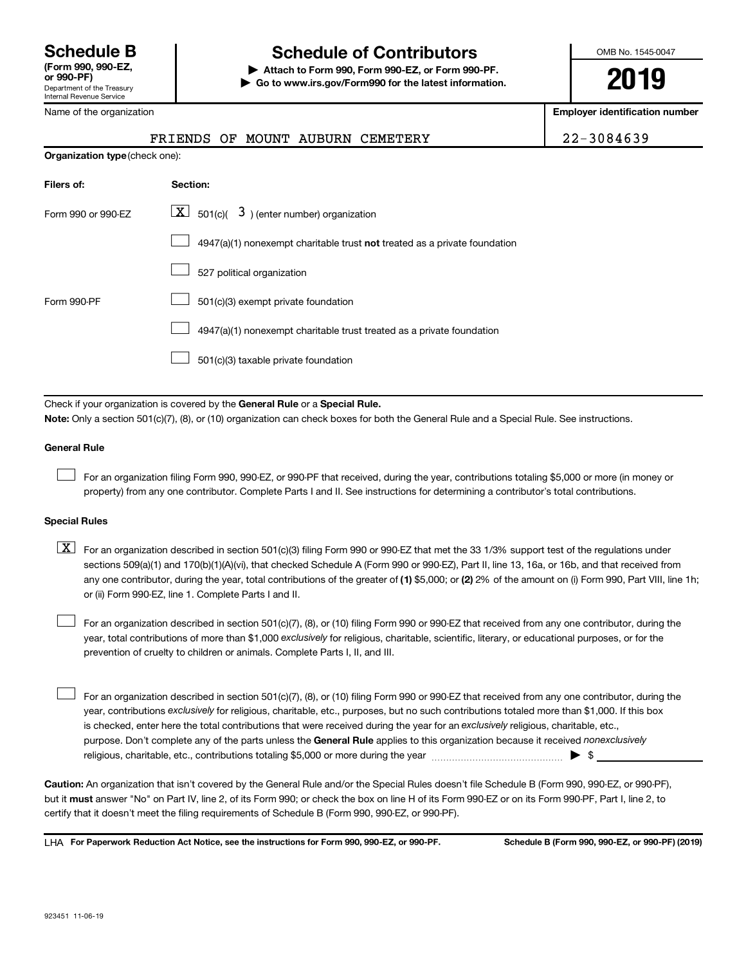#### Name of the organization

# **Schedule B Schedule of Contributors**

**or 990-PF) | Attach to Form 990, Form 990-EZ, or Form 990-PF. | Go to www.irs.gov/Form990 for the latest information.** OMB No. 1545-0047

**2019**

**Employer identification number**

|                                       |            |  |                                              | FRIENDS OF MOUNT AUBURN CEMETERY | 22-3084639 |
|---------------------------------------|------------|--|----------------------------------------------|----------------------------------|------------|
| <b>Organization type (check one):</b> |            |  |                                              |                                  |            |
| Filers of:                            | Section:   |  |                                              |                                  |            |
| Form 990 or 990-EZ                    | <u>x  </u> |  | $501(c)$ ( $3$ ) (enter number) organization |                                  |            |

|             | $4947(a)(1)$ nonexempt charitable trust <b>not</b> treated as a private foundation |
|-------------|------------------------------------------------------------------------------------|
|             | 527 political organization                                                         |
| Form 990-PF | 501(c)(3) exempt private foundation                                                |
|             | 4947(a)(1) nonexempt charitable trust treated as a private foundation              |
|             | 501(c)(3) taxable private foundation                                               |

Check if your organization is covered by the General Rule or a Special Rule.

**Note:**  Only a section 501(c)(7), (8), or (10) organization can check boxes for both the General Rule and a Special Rule. See instructions.

#### **General Rule**

 $\Box$ 

For an organization filing Form 990, 990-EZ, or 990-PF that received, during the year, contributions totaling \$5,000 or more (in money or property) from any one contributor. Complete Parts I and II. See instructions for determining a contributor's total contributions.

#### **Special Rules**

any one contributor, during the year, total contributions of the greater of (1) \$5,000; or (2) 2% of the amount on (i) Form 990, Part VIII, line 1h;  $\boxed{\text{X}}$  For an organization described in section 501(c)(3) filing Form 990 or 990-EZ that met the 33 1/3% support test of the regulations under sections 509(a)(1) and 170(b)(1)(A)(vi), that checked Schedule A (Form 990 or 990-EZ), Part II, line 13, 16a, or 16b, and that received from or (ii) Form 990-EZ, line 1. Complete Parts I and II.

year, total contributions of more than \$1,000 *exclusively* for religious, charitable, scientific, literary, or educational purposes, or for the For an organization described in section 501(c)(7), (8), or (10) filing Form 990 or 990-EZ that received from any one contributor, during the prevention of cruelty to children or animals. Complete Parts I, II, and III.  $\Box$ 

purpose. Don't complete any of the parts unless the General Rule applies to this organization because it received nonexclusively year, contributions exclusively for religious, charitable, etc., purposes, but no such contributions totaled more than \$1,000. If this box is checked, enter here the total contributions that were received during the year for an exclusively religious, charitable, etc., For an organization described in section 501(c)(7), (8), or (10) filing Form 990 or 990-EZ that received from any one contributor, during the religious, charitable, etc., contributions totaling \$5,000 or more during the year  $~\ldots\ldots\ldots\ldots\ldots\ldots\ldots\ldots\ldots\blacktriangleright~$ \$  $\Box$ 

**Caution:**  An organization that isn't covered by the General Rule and/or the Special Rules doesn't file Schedule B (Form 990, 990-EZ, or 990-PF),  **must** but it answer "No" on Part IV, line 2, of its Form 990; or check the box on line H of its Form 990-EZ or on its Form 990-PF, Part I, line 2, to certify that it doesn't meet the filing requirements of Schedule B (Form 990, 990-EZ, or 990-PF).

**For Paperwork Reduction Act Notice, see the instructions for Form 990, 990-EZ, or 990-PF. Schedule B (Form 990, 990-EZ, or 990-PF) (2019)** LHA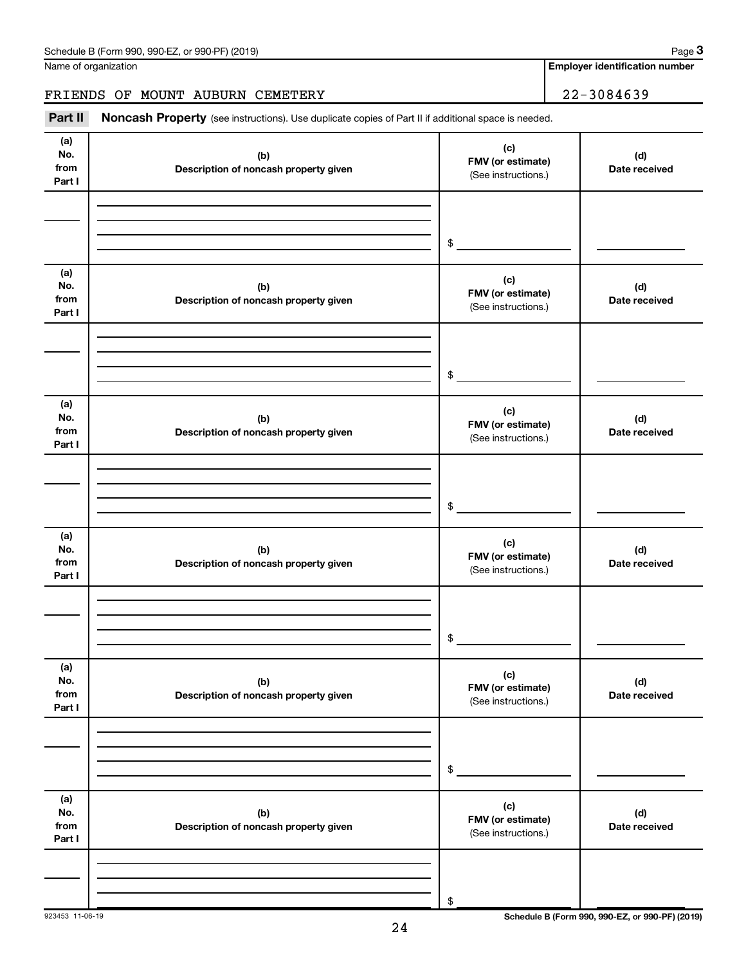**3**

**Employer identification number**

### FRIENDS OF MOUNT AUBURN CEMETERY | 22-3084639

Part II Noncash Property (see instructions). Use duplicate copies of Part II if additional space is needed.

| (a)<br>No.<br>from<br>Part I | (b)<br>Description of noncash property given | (c)<br>FMV (or estimate)<br>(See instructions.) | (d)<br>Date received |
|------------------------------|----------------------------------------------|-------------------------------------------------|----------------------|
|                              |                                              | $\frac{1}{2}$                                   |                      |
| (a)<br>No.<br>from<br>Part I | (b)<br>Description of noncash property given | (c)<br>FMV (or estimate)<br>(See instructions.) | (d)<br>Date received |
|                              |                                              | $\frac{1}{2}$                                   |                      |
| (a)<br>No.<br>from<br>Part I | (b)<br>Description of noncash property given | (c)<br>FMV (or estimate)<br>(See instructions.) | (d)<br>Date received |
|                              |                                              | \$                                              |                      |
| (a)<br>No.<br>from<br>Part I | (b)<br>Description of noncash property given | (c)<br>FMV (or estimate)<br>(See instructions.) | (d)<br>Date received |
|                              |                                              | \$                                              |                      |
| (a)<br>No.<br>from<br>Part I | (b)<br>Description of noncash property given | (c)<br>FMV (or estimate)<br>(See instructions.) | (d)<br>Date received |
|                              |                                              | \$                                              |                      |
| (a)<br>No.<br>from<br>Part I | (b)<br>Description of noncash property given | (c)<br>FMV (or estimate)<br>(See instructions.) | (d)<br>Date received |
|                              |                                              | \$                                              |                      |

923453 11-06-19 **Schedule B (Form 990, 990-EZ, or 990-PF) (2019)**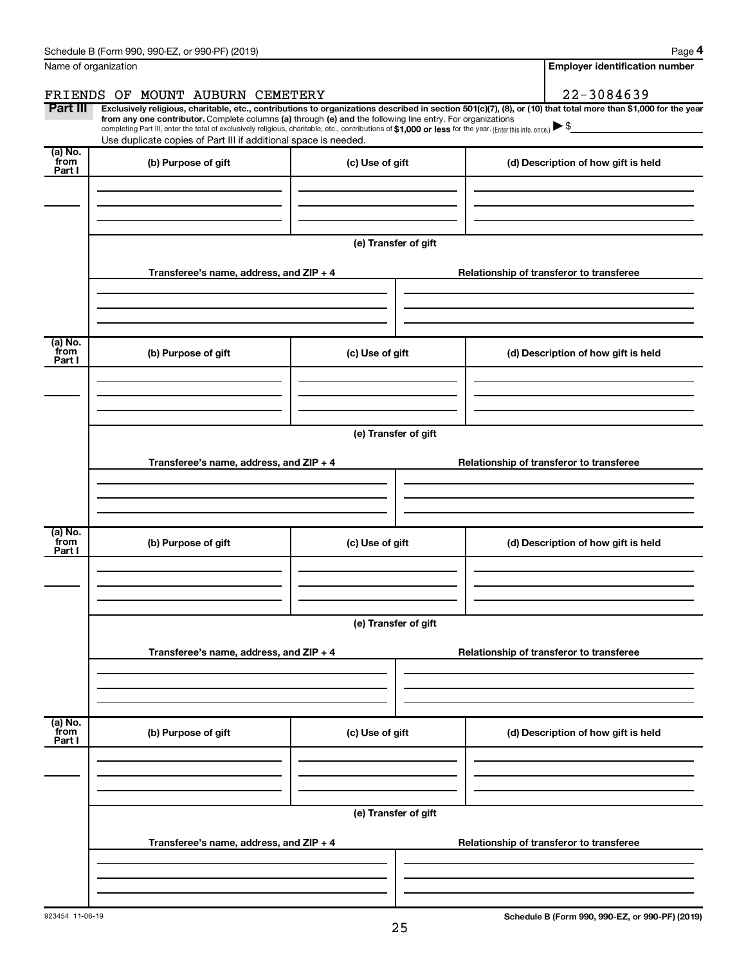| Schedule B (Form 990, 990-EZ, or 990-PF) (2019)   |                                                                                                                                                                                                                                                                              |                      |                                          |                                          | Page 4                                |  |
|---------------------------------------------------|------------------------------------------------------------------------------------------------------------------------------------------------------------------------------------------------------------------------------------------------------------------------------|----------------------|------------------------------------------|------------------------------------------|---------------------------------------|--|
| Name of organization                              |                                                                                                                                                                                                                                                                              |                      |                                          |                                          | <b>Employer identification number</b> |  |
| FRIENDS OF MOUNT AUBURN CEMETERY                  |                                                                                                                                                                                                                                                                              |                      |                                          | 22-3084639                               |                                       |  |
| Part III                                          | Exclusively religious, charitable, etc., contributions to organizations described in section 501(c)(7), (8), or (10) that total more than \$1,000 for the year<br>from any one contributor. Complete columns (a) through (e) and the following line entry. For organizations |                      |                                          |                                          |                                       |  |
|                                                   | completing Part III, enter the total of exclusively religious, charitable, etc., contributions of \$1,000 or less for the year. (Enter this info. once.) ▶ \$<br>Use duplicate copies of Part III if additional space is needed.                                             |                      |                                          |                                          |                                       |  |
| (a) No.<br>`from<br>(b) Purpose of gift           |                                                                                                                                                                                                                                                                              | (c) Use of gift      |                                          | (d) Description of how gift is held      |                                       |  |
| Part I                                            |                                                                                                                                                                                                                                                                              |                      |                                          |                                          |                                       |  |
|                                                   |                                                                                                                                                                                                                                                                              | (e) Transfer of gift |                                          |                                          |                                       |  |
|                                                   | Transferee's name, address, and ZIP + 4                                                                                                                                                                                                                                      |                      |                                          | Relationship of transferor to transferee |                                       |  |
| (a) No.<br>`from<br>(b) Purpose of gift<br>Part I |                                                                                                                                                                                                                                                                              | (c) Use of gift      |                                          | (d) Description of how gift is held      |                                       |  |
|                                                   |                                                                                                                                                                                                                                                                              | (e) Transfer of gift |                                          |                                          |                                       |  |
|                                                   | Transferee's name, address, and ZIP + 4                                                                                                                                                                                                                                      |                      |                                          | Relationship of transferor to transferee |                                       |  |
| (a) No.<br>from<br>(b) Purpose of gift<br>Part I  |                                                                                                                                                                                                                                                                              | (c) Use of gift      |                                          | (d) Description of how gift is held      |                                       |  |
|                                                   |                                                                                                                                                                                                                                                                              | (e) Transfer of gift |                                          |                                          |                                       |  |
|                                                   | Transferee's name, address, and ZIP + 4                                                                                                                                                                                                                                      |                      |                                          | Relationship of transferor to transferee |                                       |  |
| (a) No.<br>from<br>(b) Purpose of gift<br>Part I  |                                                                                                                                                                                                                                                                              | (c) Use of gift      |                                          | (d) Description of how gift is held      |                                       |  |
|                                                   |                                                                                                                                                                                                                                                                              |                      |                                          |                                          |                                       |  |
|                                                   | Transferee's name, address, and ZIP + 4                                                                                                                                                                                                                                      | (e) Transfer of gift | Relationship of transferor to transferee |                                          |                                       |  |
|                                                   |                                                                                                                                                                                                                                                                              |                      |                                          |                                          |                                       |  |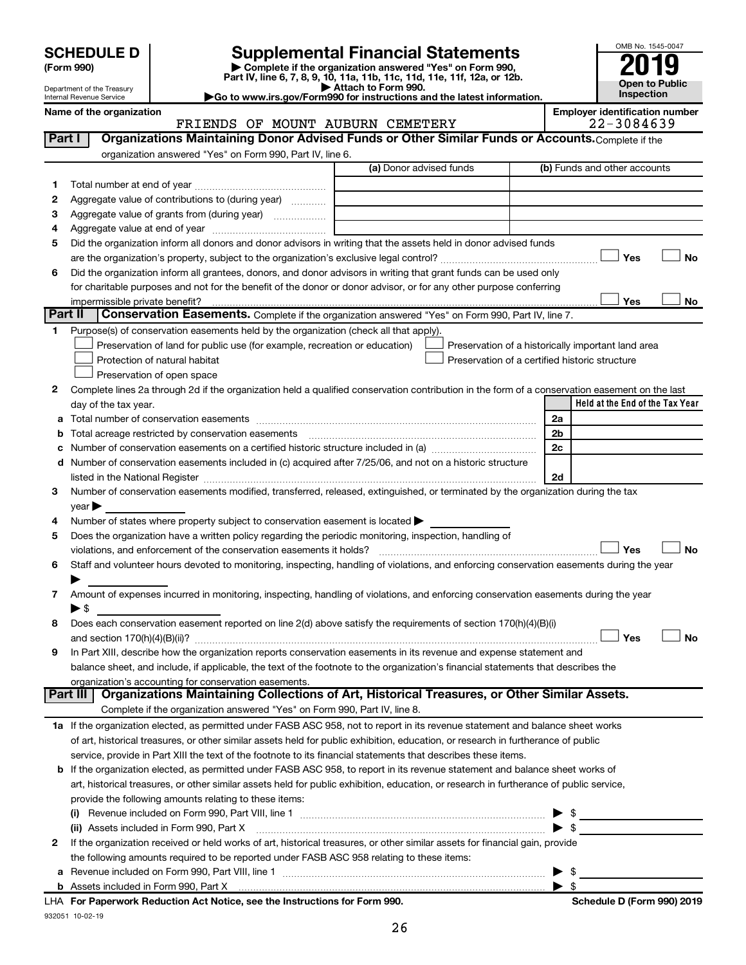| (Form 990) |  |
|------------|--|
|------------|--|

# **SCHEDULE D Supplemental Financial Statements**<br> **Form 990 2019**<br> **Part IV** line 6.7.8.9.10, 11a, 11b, 11d, 11d, 11d, 11d, 11d, 12a, 0r, 12b

**(Form 990) | Complete if the organization answered "Yes" on Form 990, Part IV, line 6, 7, 8, 9, 10, 11a, 11b, 11c, 11d, 11e, 11f, 12a, or 12b.**

**| Attach to Form 990. |Go to www.irs.gov/Form990 for instructions and the latest information.**



Department of the Treasury Internal Revenue Service

#### Name of the organization<br>**ERIENDS OF MOUNT AUBURN CEMETERY** Employer identification number<br>22 – 3084639 FRIENDS OF MOUNT AUBURN CEMETERY

| Part I  | Organizations Maintaining Donor Advised Funds or Other Similar Funds or Accounts. Complete if the                                                                                                                                                                        |                         |                                                    |
|---------|--------------------------------------------------------------------------------------------------------------------------------------------------------------------------------------------------------------------------------------------------------------------------|-------------------------|----------------------------------------------------|
|         | organization answered "Yes" on Form 990, Part IV, line 6.                                                                                                                                                                                                                |                         |                                                    |
|         |                                                                                                                                                                                                                                                                          | (a) Donor advised funds | (b) Funds and other accounts                       |
| 1.      |                                                                                                                                                                                                                                                                          |                         |                                                    |
| 2       | Aggregate value of contributions to (during year)                                                                                                                                                                                                                        |                         |                                                    |
| з       | Aggregate value of grants from (during year)                                                                                                                                                                                                                             |                         |                                                    |
| 4       |                                                                                                                                                                                                                                                                          |                         |                                                    |
| 5       | Did the organization inform all donors and donor advisors in writing that the assets held in donor advised funds                                                                                                                                                         |                         |                                                    |
|         |                                                                                                                                                                                                                                                                          |                         | Yes<br>No                                          |
| 6       | Did the organization inform all grantees, donors, and donor advisors in writing that grant funds can be used only                                                                                                                                                        |                         |                                                    |
|         | for charitable purposes and not for the benefit of the donor or donor advisor, or for any other purpose conferring                                                                                                                                                       |                         |                                                    |
|         | impermissible private benefit?                                                                                                                                                                                                                                           |                         | Yes<br>No                                          |
| Part II | <b>Conservation Easements.</b> Complete if the organization answered "Yes" on Form 990, Part IV, line 7.                                                                                                                                                                 |                         |                                                    |
| 1.      | Purpose(s) of conservation easements held by the organization (check all that apply).                                                                                                                                                                                    |                         |                                                    |
|         | Preservation of land for public use (for example, recreation or education)                                                                                                                                                                                               |                         | Preservation of a historically important land area |
|         | Protection of natural habitat                                                                                                                                                                                                                                            |                         | Preservation of a certified historic structure     |
|         | Preservation of open space                                                                                                                                                                                                                                               |                         |                                                    |
| 2       | Complete lines 2a through 2d if the organization held a qualified conservation contribution in the form of a conservation easement on the last                                                                                                                           |                         |                                                    |
|         | day of the tax year.                                                                                                                                                                                                                                                     |                         | Held at the End of the Tax Year                    |
|         |                                                                                                                                                                                                                                                                          |                         | 2a                                                 |
|         | <b>b</b> Total acreage restricted by conservation easements                                                                                                                                                                                                              |                         | 2b                                                 |
| c       |                                                                                                                                                                                                                                                                          |                         | 2c                                                 |
|         | d Number of conservation easements included in (c) acquired after 7/25/06, and not on a historic structure                                                                                                                                                               |                         |                                                    |
|         | listed in the National Register [111] Marshall Register [11] Marshall Register [11] Marshall Register [11] Marshall Register [11] Marshall Register [11] Marshall Register [11] Marshall Register [11] Marshall Register [11]                                            |                         | 2d                                                 |
| 3       | Number of conservation easements modified, transferred, released, extinguished, or terminated by the organization during the tax                                                                                                                                         |                         |                                                    |
|         | $year \triangleright$                                                                                                                                                                                                                                                    |                         |                                                    |
| 4       | Number of states where property subject to conservation easement is located >                                                                                                                                                                                            |                         |                                                    |
| 5       | Does the organization have a written policy regarding the periodic monitoring, inspection, handling of                                                                                                                                                                   |                         |                                                    |
|         | violations, and enforcement of the conservation easements it holds?                                                                                                                                                                                                      |                         | Yes<br>No                                          |
| 6       | Staff and volunteer hours devoted to monitoring, inspecting, handling of violations, and enforcing conservation easements during the year                                                                                                                                |                         |                                                    |
|         |                                                                                                                                                                                                                                                                          |                         |                                                    |
| 7       | Amount of expenses incurred in monitoring, inspecting, handling of violations, and enforcing conservation easements during the year                                                                                                                                      |                         |                                                    |
|         | $\blacktriangleright$ \$                                                                                                                                                                                                                                                 |                         |                                                    |
| 8       | Does each conservation easement reported on line 2(d) above satisfy the requirements of section 170(h)(4)(B)(i)                                                                                                                                                          |                         |                                                    |
|         |                                                                                                                                                                                                                                                                          |                         | Yes<br>No                                          |
| 9       | In Part XIII, describe how the organization reports conservation easements in its revenue and expense statement and                                                                                                                                                      |                         |                                                    |
|         | balance sheet, and include, if applicable, the text of the footnote to the organization's financial statements that describes the                                                                                                                                        |                         |                                                    |
|         | organization's accounting for conservation easements.<br>Organizations Maintaining Collections of Art, Historical Treasures, or Other Similar Assets.<br>Part III                                                                                                        |                         |                                                    |
|         | Complete if the organization answered "Yes" on Form 990, Part IV, line 8.                                                                                                                                                                                                |                         |                                                    |
|         | 1a If the organization elected, as permitted under FASB ASC 958, not to report in its revenue statement and balance sheet works                                                                                                                                          |                         |                                                    |
|         | of art, historical treasures, or other similar assets held for public exhibition, education, or research in furtherance of public                                                                                                                                        |                         |                                                    |
|         | service, provide in Part XIII the text of the footnote to its financial statements that describes these items.                                                                                                                                                           |                         |                                                    |
|         |                                                                                                                                                                                                                                                                          |                         |                                                    |
|         | b If the organization elected, as permitted under FASB ASC 958, to report in its revenue statement and balance sheet works of<br>art, historical treasures, or other similar assets held for public exhibition, education, or research in furtherance of public service, |                         |                                                    |
|         | provide the following amounts relating to these items:                                                                                                                                                                                                                   |                         |                                                    |
|         |                                                                                                                                                                                                                                                                          |                         |                                                    |
|         | (i)                                                                                                                                                                                                                                                                      |                         | ► \$                                               |
|         | (ii) Assets included in Form 990, Part X [11] [2000] [2010] Assets included in Form 990, Part X [11] [11] [200<br>If the organization received or held works of art, historical treasures, or other similar assets for financial gain, provide                           |                         |                                                    |
| 2       | the following amounts required to be reported under FASB ASC 958 relating to these items:                                                                                                                                                                                |                         |                                                    |
|         |                                                                                                                                                                                                                                                                          |                         |                                                    |
| а       |                                                                                                                                                                                                                                                                          |                         | $\blacktriangleright$ s                            |
|         |                                                                                                                                                                                                                                                                          |                         |                                                    |

932051 10-02-19 **For Paperwork Reduction Act Notice, see the Instructions for Form 990. Schedule D (Form 990) 2019** LHA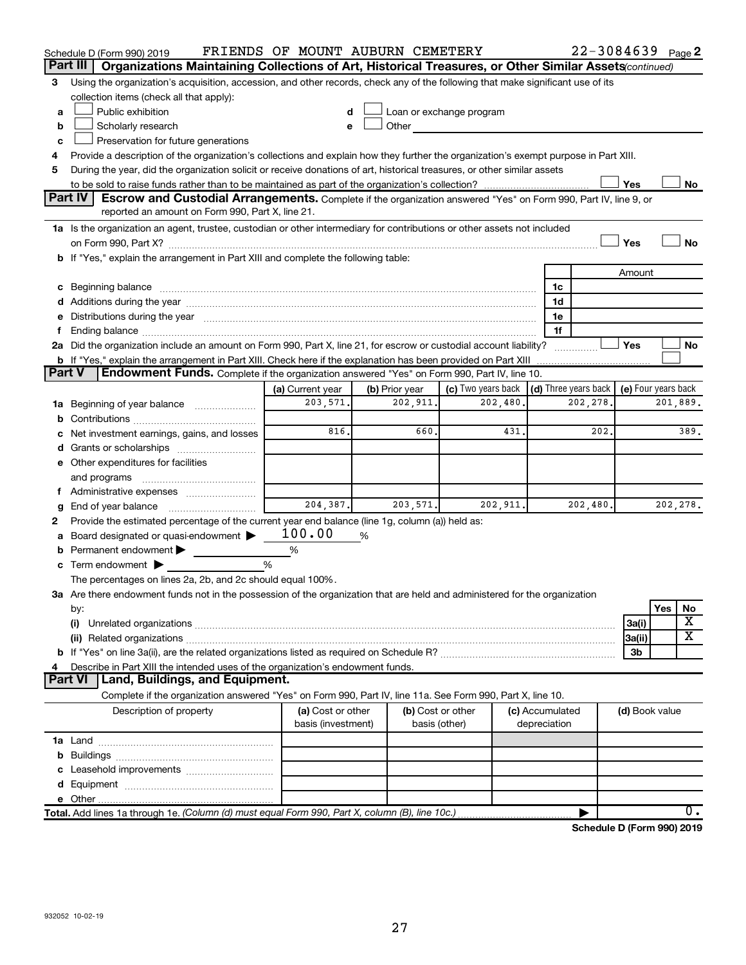| Part III      | Schedule D (Form 990) 2019                                                                                                                                                                                                     | FRIENDS OF MOUNT AUBURN CEMETERY        |                                    |                              |                                      |          |                | 22-3084639 Page 2               |
|---------------|--------------------------------------------------------------------------------------------------------------------------------------------------------------------------------------------------------------------------------|-----------------------------------------|------------------------------------|------------------------------|--------------------------------------|----------|----------------|---------------------------------|
|               | Organizations Maintaining Collections of Art, Historical Treasures, or Other Similar Assets(continued)                                                                                                                         |                                         |                                    |                              |                                      |          |                |                                 |
| 3             | Using the organization's acquisition, accession, and other records, check any of the following that make significant use of its<br>collection items (check all that apply):                                                    |                                         |                                    |                              |                                      |          |                |                                 |
| a             | Public exhibition                                                                                                                                                                                                              |                                         |                                    | Loan or exchange program     |                                      |          |                |                                 |
| b             | Scholarly research                                                                                                                                                                                                             | e                                       | Other                              | <u>and a strategic state</u> |                                      |          |                |                                 |
| c             | Preservation for future generations                                                                                                                                                                                            |                                         |                                    |                              |                                      |          |                |                                 |
| 4             | Provide a description of the organization's collections and explain how they further the organization's exempt purpose in Part XIII.                                                                                           |                                         |                                    |                              |                                      |          |                |                                 |
| 5             | During the year, did the organization solicit or receive donations of art, historical treasures, or other similar assets                                                                                                       |                                         |                                    |                              |                                      |          |                |                                 |
|               |                                                                                                                                                                                                                                |                                         |                                    |                              |                                      |          | Yes            | No                              |
|               | Part IV<br><b>Escrow and Custodial Arrangements.</b> Complete if the organization answered "Yes" on Form 990, Part IV, line 9, or                                                                                              |                                         |                                    |                              |                                      |          |                |                                 |
|               | reported an amount on Form 990, Part X, line 21.                                                                                                                                                                               |                                         |                                    |                              |                                      |          |                |                                 |
|               | 1a Is the organization an agent, trustee, custodian or other intermediary for contributions or other assets not included                                                                                                       |                                         |                                    |                              |                                      |          |                |                                 |
|               |                                                                                                                                                                                                                                |                                         |                                    |                              |                                      |          | Yes            | No                              |
|               | b If "Yes," explain the arrangement in Part XIII and complete the following table:                                                                                                                                             |                                         |                                    |                              |                                      |          |                |                                 |
|               |                                                                                                                                                                                                                                |                                         |                                    |                              |                                      |          | Amount         |                                 |
|               | c Beginning balance measurements and the contract of the contract of the contract of the contract of the contract of the contract of the contract of the contract of the contract of the contract of the contract of the contr |                                         |                                    |                              | 1c                                   |          |                |                                 |
|               |                                                                                                                                                                                                                                |                                         |                                    |                              | 1d                                   |          |                |                                 |
|               | e Distributions during the year manufactured and continuum and contact the year manufactured and contact the year manufactured and contact the year manufactured and contact the year manufactured and contact the year manufa |                                         |                                    |                              | 1e                                   |          |                |                                 |
| f.            |                                                                                                                                                                                                                                |                                         |                                    |                              | 1f                                   |          |                |                                 |
|               | 2a Did the organization include an amount on Form 990, Part X, line 21, for escrow or custodial account liability?                                                                                                             |                                         |                                    |                              |                                      |          | Yes            | No                              |
| <b>Part V</b> | <b>b</b> If "Yes," explain the arrangement in Part XIII. Check here if the explanation has been provided on Part XIII                                                                                                          |                                         |                                    |                              |                                      |          |                |                                 |
|               | Endowment Funds. Complete if the organization answered "Yes" on Form 990, Part IV, line 10.                                                                                                                                    |                                         |                                    | (c) Two years back           |                                      |          |                |                                 |
|               |                                                                                                                                                                                                                                | (a) Current year<br>203,571.            | (b) Prior year<br>202,911.         | 202, 480.                    | $\vert$ (d) Three years back $\vert$ | 202,278. |                | (e) Four years back<br>201,889. |
|               | 1a Beginning of year balance                                                                                                                                                                                                   |                                         |                                    |                              |                                      |          |                |                                 |
| b             |                                                                                                                                                                                                                                | 816                                     | 660.                               | 431                          |                                      | 202.     |                | 389.                            |
| с             | Net investment earnings, gains, and losses                                                                                                                                                                                     |                                         |                                    |                              |                                      |          |                |                                 |
| d             | Grants or scholarships [ <i>[[[[[[[[[[[[[[[[[[[[[[[[[[[[[[[]]]]]</i><br>e Other expenditures for facilities                                                                                                                    |                                         |                                    |                              |                                      |          |                |                                 |
|               |                                                                                                                                                                                                                                |                                         |                                    |                              |                                      |          |                |                                 |
|               | and programs<br>f Administrative expenses <i></i>                                                                                                                                                                              |                                         |                                    |                              |                                      |          |                |                                 |
| g             | End of year balance <i></i>                                                                                                                                                                                                    | 204,387.                                | 203, 571.                          | 202,911.                     |                                      | 202,480. |                | 202,278.                        |
| 2             | Provide the estimated percentage of the current year end balance (line 1g, column (a)) held as:                                                                                                                                |                                         |                                    |                              |                                      |          |                |                                 |
| а             | Board designated or quasi-endowment                                                                                                                                                                                            | 100.00                                  | %                                  |                              |                                      |          |                |                                 |
| b             | Permanent endowment                                                                                                                                                                                                            | %                                       |                                    |                              |                                      |          |                |                                 |
|               | c Term endowment $\blacktriangleright$                                                                                                                                                                                         | %                                       |                                    |                              |                                      |          |                |                                 |
|               | The percentages on lines 2a, 2b, and 2c should equal 100%.                                                                                                                                                                     |                                         |                                    |                              |                                      |          |                |                                 |
|               | 3a Are there endowment funds not in the possession of the organization that are held and administered for the organization                                                                                                     |                                         |                                    |                              |                                      |          |                |                                 |
|               | by:                                                                                                                                                                                                                            |                                         |                                    |                              |                                      |          |                | Yes<br>No                       |
|               | (i)                                                                                                                                                                                                                            |                                         |                                    |                              |                                      |          | 3a(i)          | х                               |
|               |                                                                                                                                                                                                                                |                                         |                                    |                              |                                      |          | 3a(ii)         | х                               |
|               |                                                                                                                                                                                                                                |                                         |                                    |                              |                                      |          | 3b             |                                 |
| 4             | Describe in Part XIII the intended uses of the organization's endowment funds.                                                                                                                                                 |                                         |                                    |                              |                                      |          |                |                                 |
|               | Part VI   Land, Buildings, and Equipment.                                                                                                                                                                                      |                                         |                                    |                              |                                      |          |                |                                 |
|               | Complete if the organization answered "Yes" on Form 990, Part IV, line 11a. See Form 990, Part X, line 10.                                                                                                                     |                                         |                                    |                              |                                      |          |                |                                 |
|               | Description of property                                                                                                                                                                                                        | (a) Cost or other<br>basis (investment) | (b) Cost or other<br>basis (other) |                              | (c) Accumulated<br>depreciation      |          | (d) Book value |                                 |
|               |                                                                                                                                                                                                                                |                                         |                                    |                              |                                      |          |                |                                 |
|               |                                                                                                                                                                                                                                |                                         |                                    |                              |                                      |          |                |                                 |
|               |                                                                                                                                                                                                                                |                                         |                                    |                              |                                      |          |                |                                 |
|               |                                                                                                                                                                                                                                |                                         |                                    |                              |                                      |          |                |                                 |
|               |                                                                                                                                                                                                                                |                                         |                                    |                              |                                      |          |                |                                 |
|               | Total. Add lines 1a through 1e. (Column (d) must equal Form 990, Part X, column (B), line 10c.)                                                                                                                                |                                         |                                    |                              |                                      |          |                | $0$ .                           |

**Schedule D (Form 990) 2019**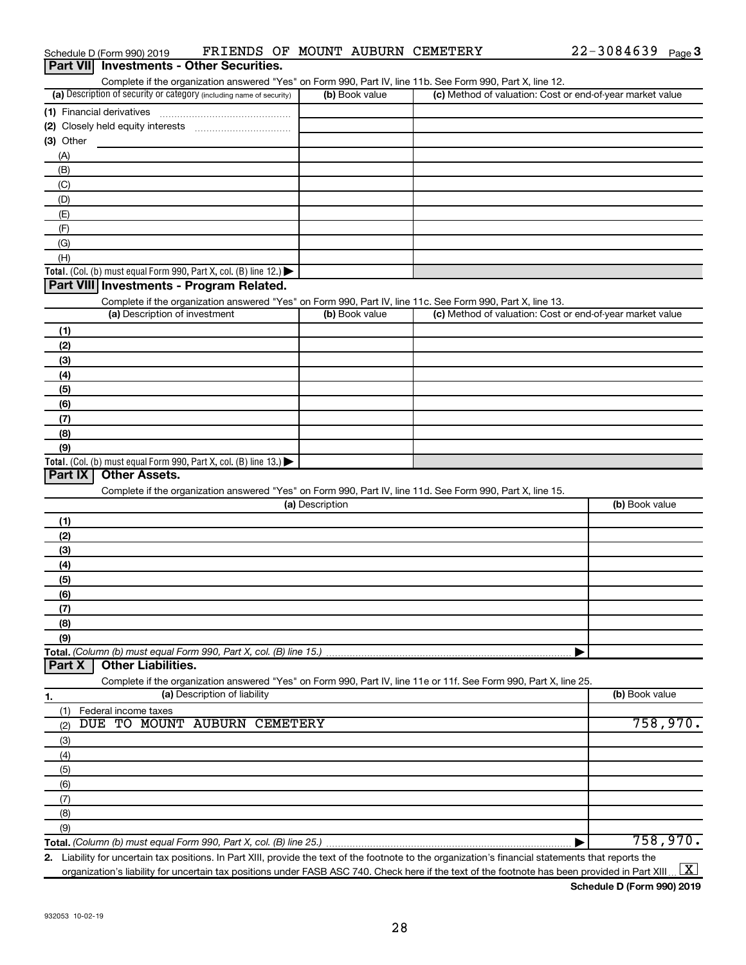|                                                                                                                                                     | Complete if the organization answered "Yes" on Form 990, Part IV, line 11b. See Form 990, Part X, line 12.                    |                                                           |                |
|-----------------------------------------------------------------------------------------------------------------------------------------------------|-------------------------------------------------------------------------------------------------------------------------------|-----------------------------------------------------------|----------------|
| (a) Description of security or category (including name of security)                                                                                | (b) Book value                                                                                                                | (c) Method of valuation: Cost or end-of-year market value |                |
|                                                                                                                                                     |                                                                                                                               |                                                           |                |
| (2) Closely held equity interests                                                                                                                   |                                                                                                                               |                                                           |                |
| (3) Other                                                                                                                                           |                                                                                                                               |                                                           |                |
| (A)                                                                                                                                                 |                                                                                                                               |                                                           |                |
| (B)                                                                                                                                                 |                                                                                                                               |                                                           |                |
| (C)                                                                                                                                                 |                                                                                                                               |                                                           |                |
| (D)                                                                                                                                                 |                                                                                                                               |                                                           |                |
| (E)                                                                                                                                                 |                                                                                                                               |                                                           |                |
| (F)                                                                                                                                                 |                                                                                                                               |                                                           |                |
| (G)                                                                                                                                                 |                                                                                                                               |                                                           |                |
| (H)                                                                                                                                                 |                                                                                                                               |                                                           |                |
| Total. (Col. (b) must equal Form 990, Part X, col. (B) line 12.) $\blacktriangleright$                                                              |                                                                                                                               |                                                           |                |
| Part VIII Investments - Program Related.                                                                                                            |                                                                                                                               |                                                           |                |
|                                                                                                                                                     | Complete if the organization answered "Yes" on Form 990, Part IV, line 11c. See Form 990, Part X, line 13.                    |                                                           |                |
| (a) Description of investment                                                                                                                       | (b) Book value                                                                                                                | (c) Method of valuation: Cost or end-of-year market value |                |
| (1)                                                                                                                                                 |                                                                                                                               |                                                           |                |
| (2)                                                                                                                                                 |                                                                                                                               |                                                           |                |
| (3)                                                                                                                                                 |                                                                                                                               |                                                           |                |
| (4)                                                                                                                                                 |                                                                                                                               |                                                           |                |
| (5)                                                                                                                                                 |                                                                                                                               |                                                           |                |
| (6)                                                                                                                                                 |                                                                                                                               |                                                           |                |
| (7)                                                                                                                                                 |                                                                                                                               |                                                           |                |
| (8)                                                                                                                                                 |                                                                                                                               |                                                           |                |
| (9)                                                                                                                                                 |                                                                                                                               |                                                           |                |
| Total. (Col. (b) must equal Form 990, Part X, col. (B) line 13.) $\blacktriangleright$<br><b>Other Assets.</b>                                      |                                                                                                                               |                                                           |                |
| Part IX                                                                                                                                             |                                                                                                                               |                                                           |                |
|                                                                                                                                                     | Complete if the organization answered "Yes" on Form 990, Part IV, line 11d. See Form 990, Part X, line 15.<br>(a) Description |                                                           | (b) Book value |
|                                                                                                                                                     |                                                                                                                               |                                                           |                |
| (1)                                                                                                                                                 |                                                                                                                               |                                                           |                |
| (2)                                                                                                                                                 |                                                                                                                               |                                                           |                |
| (3)                                                                                                                                                 |                                                                                                                               |                                                           |                |
| (4)                                                                                                                                                 |                                                                                                                               |                                                           |                |
| (5)                                                                                                                                                 |                                                                                                                               |                                                           |                |
| (6)                                                                                                                                                 |                                                                                                                               |                                                           |                |
| (7)                                                                                                                                                 |                                                                                                                               |                                                           |                |
| (8)                                                                                                                                                 |                                                                                                                               |                                                           |                |
| (9)<br>Total. (Column (b) must equal Form 990, Part X, col. (B) line 15.)                                                                           |                                                                                                                               |                                                           |                |
| <b>Other Liabilities.</b><br>Part X                                                                                                                 |                                                                                                                               |                                                           |                |
|                                                                                                                                                     | Complete if the organization answered "Yes" on Form 990, Part IV, line 11e or 11f. See Form 990, Part X, line 25.             |                                                           |                |
| (a) Description of liability<br>1.                                                                                                                  |                                                                                                                               |                                                           | (b) Book value |
| (1)<br>Federal income taxes                                                                                                                         |                                                                                                                               |                                                           |                |
| TO MOUNT AUBURN<br>DUE<br>(2)                                                                                                                       | <b>CEMETERY</b>                                                                                                               |                                                           | 758,970.       |
| (3)                                                                                                                                                 |                                                                                                                               |                                                           |                |
| (4)                                                                                                                                                 |                                                                                                                               |                                                           |                |
| (5)                                                                                                                                                 |                                                                                                                               |                                                           |                |
| (6)                                                                                                                                                 |                                                                                                                               |                                                           |                |
| (7)                                                                                                                                                 |                                                                                                                               |                                                           |                |
| (8)                                                                                                                                                 |                                                                                                                               |                                                           |                |
| (9)                                                                                                                                                 |                                                                                                                               |                                                           |                |
| Total. (Column (b) must equal Form 990, Part X, col. (B) line 25.)                                                                                  |                                                                                                                               |                                                           | 758,970.       |
| 2 Lighility for uncertain tay positions. In Part YIII, provide the text of the footpote to the organization's financial statements that reports the |                                                                                                                               |                                                           |                |

Schedule D (Form 990) 2019 FRIENDS OF MOUNT AUBURN CEMETERY 22-3084639 Page

**Part VII Investments - Other Securities.** 

**2.** Liability for uncertain tax positions. In Part XIII, provide the text of the footnote to the organization's financial statements that reports the organization's liability for uncertain tax positions under FASB ASC 740. Check here if the text of the footnote has been provided in Part XIII ...  $\fbox{\bf X}$ 

**Schedule D (Form 990) 2019**

22-3084639 <sub>Page</sub> 3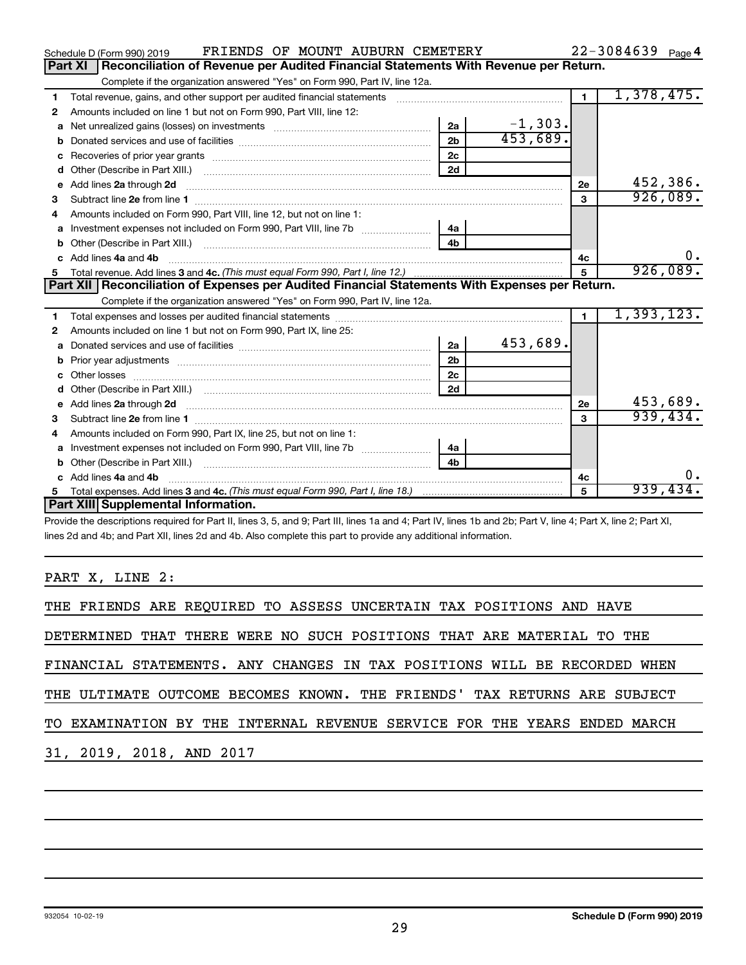|    | FRIENDS OF MOUNT AUBURN CEMETERY<br>Schedule D (Form 990) 2019                                                                                                                                                                 |                |           |                | $22 - 3084639$ Page 4 |
|----|--------------------------------------------------------------------------------------------------------------------------------------------------------------------------------------------------------------------------------|----------------|-----------|----------------|-----------------------|
|    | Reconciliation of Revenue per Audited Financial Statements With Revenue per Return.<br><b>Part XI</b>                                                                                                                          |                |           |                |                       |
|    | Complete if the organization answered "Yes" on Form 990, Part IV, line 12a.                                                                                                                                                    |                |           |                |                       |
| 1  | Total revenue, gains, and other support per audited financial statements                                                                                                                                                       |                |           | $\blacksquare$ | 1,378,475.            |
| 2  | Amounts included on line 1 but not on Form 990, Part VIII, line 12:                                                                                                                                                            |                |           |                |                       |
| a  | Net unrealized gains (losses) on investments [111] Net unrealized mains (losses) on investments [11] Metaman mains and the unrealized mains and the unrealized mains (losses) on investments [11] Metaman mains and the unreal | 2a             | $-1,303.$ |                |                       |
|    |                                                                                                                                                                                                                                | 2 <sub>h</sub> | 453,689.  |                |                       |
| с  |                                                                                                                                                                                                                                | 2 <sub>c</sub> |           |                |                       |
| d  |                                                                                                                                                                                                                                | 2d             |           |                |                       |
| е  | Add lines 2a through 2d                                                                                                                                                                                                        |                |           | 2е             | 452,386.              |
| з  |                                                                                                                                                                                                                                |                |           | 3              | 926,089.              |
| 4  | Amounts included on Form 990, Part VIII, line 12, but not on line 1:                                                                                                                                                           |                |           |                |                       |
|    | Investment expenses not included on Form 990, Part VIII, line 7b [                                                                                                                                                             | l 4a           |           |                |                       |
|    |                                                                                                                                                                                                                                | 4 <sub>b</sub> |           |                |                       |
| C. | Add lines 4a and 4b                                                                                                                                                                                                            |                |           | 4c             | 0.                    |
|    |                                                                                                                                                                                                                                |                |           | 5              | 926,089.              |
|    |                                                                                                                                                                                                                                |                |           |                |                       |
|    | Part XII   Reconciliation of Expenses per Audited Financial Statements With Expenses per Return.                                                                                                                               |                |           |                |                       |
|    | Complete if the organization answered "Yes" on Form 990, Part IV, line 12a.                                                                                                                                                    |                |           |                |                       |
| 1  |                                                                                                                                                                                                                                |                |           | $\blacksquare$ | 1,393,123.            |
| 2  | Amounts included on line 1 but not on Form 990, Part IX, line 25:                                                                                                                                                              |                |           |                |                       |
| a  |                                                                                                                                                                                                                                | 2a             | 453,689.  |                |                       |
|    |                                                                                                                                                                                                                                | 2 <sub>b</sub> |           |                |                       |
| с  |                                                                                                                                                                                                                                | 2 <sub>c</sub> |           |                |                       |
| d  |                                                                                                                                                                                                                                | 2d             |           |                |                       |
| е  | Add lines 2a through 2d <b>must be a constructed as the constant of the constant of the constant of the construction</b>                                                                                                       |                |           | <b>2e</b>      | 453,689.              |
| з  |                                                                                                                                                                                                                                |                |           | 3              | 939,434.              |
| 4  | Amounts included on Form 990, Part IX, line 25, but not on line 1:                                                                                                                                                             |                |           |                |                       |
| a  |                                                                                                                                                                                                                                | - 4a           |           |                |                       |
|    |                                                                                                                                                                                                                                | 4 <sub>b</sub> |           |                |                       |
| c. | Add lines 4a and 4b                                                                                                                                                                                                            |                |           | 4c             | 0.                    |
|    | Part XIII Supplemental Information.                                                                                                                                                                                            |                |           | 5              | 939,434.              |

Provide the descriptions required for Part II, lines 3, 5, and 9; Part III, lines 1a and 4; Part IV, lines 1b and 2b; Part V, line 4; Part X, line 2; Part XI, lines 2d and 4b; and Part XII, lines 2d and 4b. Also complete this part to provide any additional information.

PART X, LINE 2:

| THE FRIENDS ARE REQUIRED TO ASSESS UNCERTAIN TAX POSITIONS AND HAVE      |  |  |  |  |  |  |
|--------------------------------------------------------------------------|--|--|--|--|--|--|
| DETERMINED THAT THERE WERE NO SUCH POSITIONS THAT ARE MATERIAL TO THE    |  |  |  |  |  |  |
| FINANCIAL STATEMENTS. ANY CHANGES IN TAX POSITIONS WILL BE RECORDED WHEN |  |  |  |  |  |  |
| THE ULTIMATE OUTCOME BECOMES KNOWN. THE FRIENDS' TAX RETURNS ARE SUBJECT |  |  |  |  |  |  |
| TO EXAMINATION BY THE INTERNAL REVENUE SERVICE FOR THE YEARS ENDED MARCH |  |  |  |  |  |  |
| 31, 2019, 2018, AND 2017                                                 |  |  |  |  |  |  |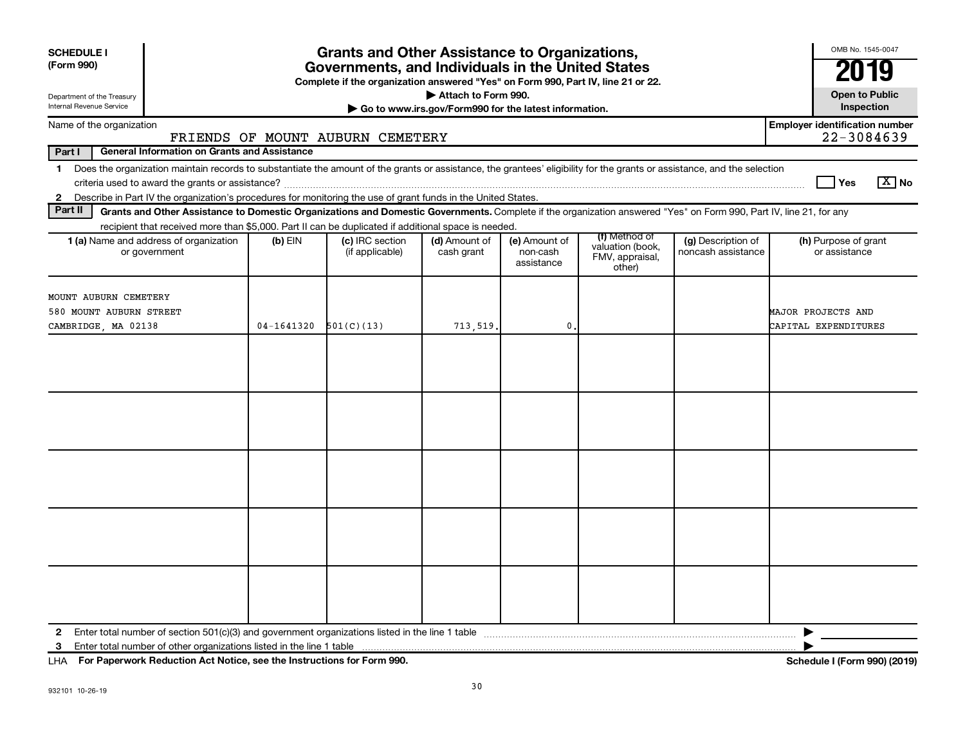| <b>SCHEDULE I</b><br>(Form 990)                                                                                                                                                                                                                                           |                | <b>Grants and Other Assistance to Organizations,</b><br>Governments, and Individuals in the United States<br>Complete if the organization answered "Yes" on Form 990, Part IV, line 21 or 22. |                                                       |                                         |                                                                |                                          | OMB No. 1545-0047                                   |
|---------------------------------------------------------------------------------------------------------------------------------------------------------------------------------------------------------------------------------------------------------------------------|----------------|-----------------------------------------------------------------------------------------------------------------------------------------------------------------------------------------------|-------------------------------------------------------|-----------------------------------------|----------------------------------------------------------------|------------------------------------------|-----------------------------------------------------|
| Department of the Treasury                                                                                                                                                                                                                                                |                |                                                                                                                                                                                               | Attach to Form 990.                                   |                                         |                                                                |                                          | <b>Open to Public</b>                               |
| Internal Revenue Service                                                                                                                                                                                                                                                  |                |                                                                                                                                                                                               | Go to www.irs.gov/Form990 for the latest information. |                                         |                                                                |                                          | Inspection                                          |
| Name of the organization                                                                                                                                                                                                                                                  |                | FRIENDS OF MOUNT AUBURN CEMETERY                                                                                                                                                              |                                                       |                                         |                                                                |                                          | <b>Employer identification number</b><br>22-3084639 |
| Part I<br><b>General Information on Grants and Assistance</b>                                                                                                                                                                                                             |                |                                                                                                                                                                                               |                                                       |                                         |                                                                |                                          |                                                     |
| Does the organization maintain records to substantiate the amount of the grants or assistance, the grantees' eligibility for the grants or assistance, and the selection<br>$\mathbf 1$                                                                                   |                |                                                                                                                                                                                               |                                                       |                                         |                                                                |                                          | $\sqrt{X}$ No<br>l Yes                              |
| 2 Describe in Part IV the organization's procedures for monitoring the use of grant funds in the United States.<br>Part II                                                                                                                                                |                |                                                                                                                                                                                               |                                                       |                                         |                                                                |                                          |                                                     |
| Grants and Other Assistance to Domestic Organizations and Domestic Governments. Complete if the organization answered "Yes" on Form 990, Part IV, line 21, for any<br>recipient that received more than \$5,000. Part II can be duplicated if additional space is needed. |                |                                                                                                                                                                                               |                                                       |                                         |                                                                |                                          |                                                     |
| 1 (a) Name and address of organization<br>or government                                                                                                                                                                                                                   | $(b)$ EIN      | (c) IRC section<br>(if applicable)                                                                                                                                                            | (d) Amount of<br>cash grant                           | (e) Amount of<br>non-cash<br>assistance | (f) Method of<br>valuation (book,<br>FMV, appraisal,<br>other) | (g) Description of<br>noncash assistance | (h) Purpose of grant<br>or assistance               |
| MOUNT AUBURN CEMETERY<br>580 MOUNT AUBURN STREET                                                                                                                                                                                                                          |                |                                                                                                                                                                                               |                                                       |                                         |                                                                |                                          | MAJOR PROJECTS AND                                  |
| CAMBRIDGE, MA 02138                                                                                                                                                                                                                                                       | $04 - 1641320$ | 501(C)(13)                                                                                                                                                                                    | 713,519.                                              | $\mathbf{0}$                            |                                                                |                                          | CAPITAL EXPENDITURES                                |
|                                                                                                                                                                                                                                                                           |                |                                                                                                                                                                                               |                                                       |                                         |                                                                |                                          |                                                     |
|                                                                                                                                                                                                                                                                           |                |                                                                                                                                                                                               |                                                       |                                         |                                                                |                                          |                                                     |
| $\mathbf{2}$<br>3                                                                                                                                                                                                                                                         |                |                                                                                                                                                                                               |                                                       |                                         |                                                                |                                          |                                                     |

**For Paperwork Reduction Act Notice, see the Instructions for Form 990. Schedule I (Form 990) (2019)** LHA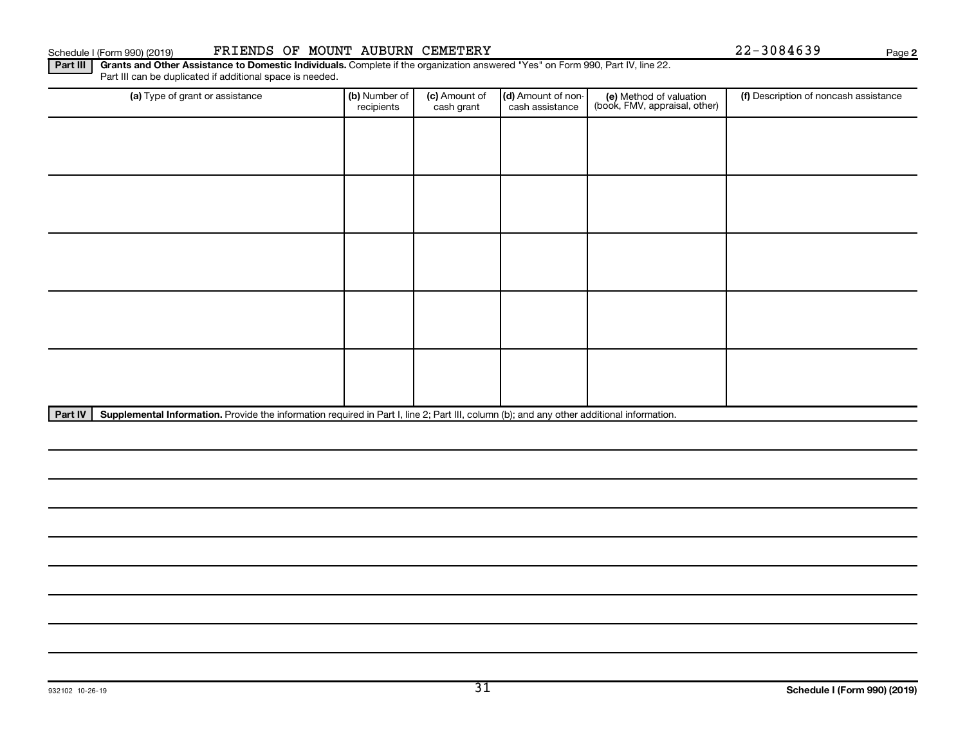#### Schedule I (Form 990) (2019) PRIENDS OF MOUNT AUBURN CEMETERY CONTRACT PAGE 22-3084639 Page

**2**

Part III | Grants and Other Assistance to Domestic Individuals. Complete if the organization answered "Yes" on Form 990, Part IV, line 22. Part III can be duplicated if additional space is needed.

| (a) Type of grant or assistance | (b) Number of<br>recipients | (c) Amount of<br>cash grant | (d) Amount of non-<br>cash assistance | (e) Method of valuation<br>(book, FMV, appraisal, other) | (f) Description of noncash assistance |
|---------------------------------|-----------------------------|-----------------------------|---------------------------------------|----------------------------------------------------------|---------------------------------------|
|                                 |                             |                             |                                       |                                                          |                                       |
|                                 |                             |                             |                                       |                                                          |                                       |
|                                 |                             |                             |                                       |                                                          |                                       |
|                                 |                             |                             |                                       |                                                          |                                       |
|                                 |                             |                             |                                       |                                                          |                                       |
|                                 |                             |                             |                                       |                                                          |                                       |
|                                 |                             |                             |                                       |                                                          |                                       |
|                                 |                             |                             |                                       |                                                          |                                       |
|                                 |                             |                             |                                       |                                                          |                                       |
|                                 |                             |                             |                                       |                                                          |                                       |

Part IV | Supplemental Information. Provide the information required in Part I, line 2; Part III, column (b); and any other additional information.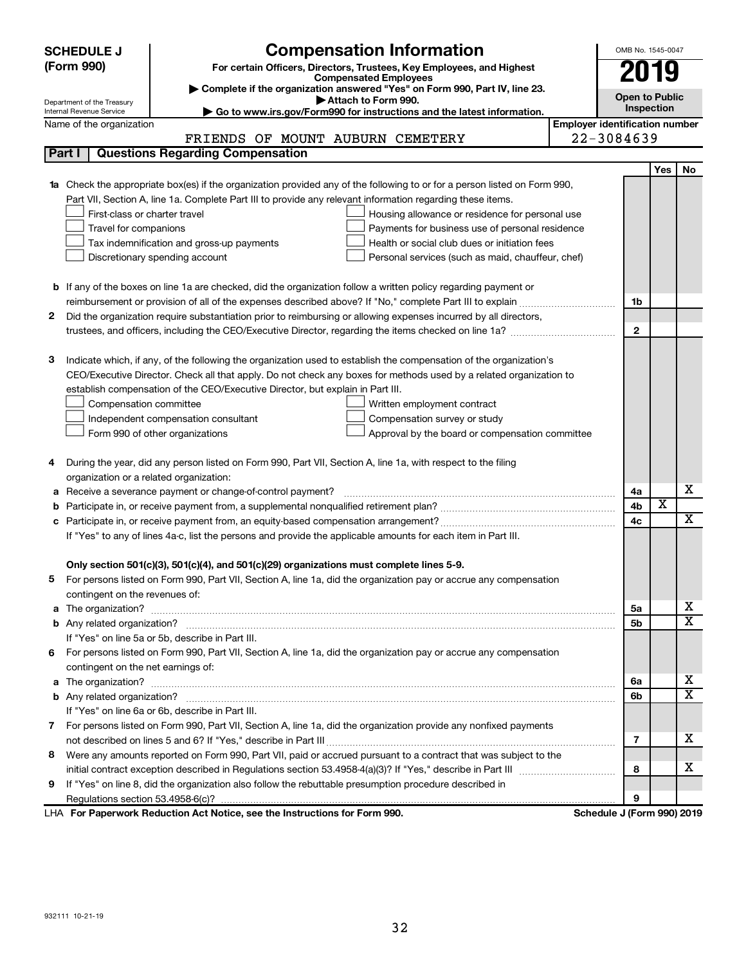|    | <b>SCHEDULE J</b>                       | <b>Compensation Information</b>                                                                                                                                                                               |                                       | OMB No. 1545-0047          |                         |                         |
|----|-----------------------------------------|---------------------------------------------------------------------------------------------------------------------------------------------------------------------------------------------------------------|---------------------------------------|----------------------------|-------------------------|-------------------------|
|    | (Form 990)                              | For certain Officers, Directors, Trustees, Key Employees, and Highest                                                                                                                                         |                                       | 2019                       |                         |                         |
|    |                                         | <b>Compensated Employees</b>                                                                                                                                                                                  |                                       |                            |                         |                         |
|    | Department of the Treasury              | Complete if the organization answered "Yes" on Form 990, Part IV, line 23.<br>Attach to Form 990.                                                                                                             |                                       | <b>Open to Public</b>      |                         |                         |
|    | Internal Revenue Service                | Go to www.irs.gov/Form990 for instructions and the latest information.                                                                                                                                        |                                       | Inspection                 |                         |                         |
|    | Name of the organization                |                                                                                                                                                                                                               | <b>Employer identification number</b> |                            |                         |                         |
|    |                                         | FRIENDS OF MOUNT AUBURN CEMETERY                                                                                                                                                                              |                                       | 22-3084639                 |                         |                         |
|    | Part I                                  | <b>Questions Regarding Compensation</b>                                                                                                                                                                       |                                       |                            |                         |                         |
|    |                                         |                                                                                                                                                                                                               |                                       |                            | Yes                     | No                      |
|    |                                         | 1a Check the appropriate box(es) if the organization provided any of the following to or for a person listed on Form 990,                                                                                     |                                       |                            |                         |                         |
|    |                                         | Part VII, Section A, line 1a. Complete Part III to provide any relevant information regarding these items.                                                                                                    |                                       |                            |                         |                         |
|    | First-class or charter travel           | Housing allowance or residence for personal use                                                                                                                                                               |                                       |                            |                         |                         |
|    | Travel for companions                   | Payments for business use of personal residence                                                                                                                                                               |                                       |                            |                         |                         |
|    |                                         | Health or social club dues or initiation fees<br>Tax indemnification and gross-up payments                                                                                                                    |                                       |                            |                         |                         |
|    |                                         | Discretionary spending account<br>Personal services (such as maid, chauffeur, chef)                                                                                                                           |                                       |                            |                         |                         |
|    |                                         |                                                                                                                                                                                                               |                                       |                            |                         |                         |
|    |                                         | <b>b</b> If any of the boxes on line 1a are checked, did the organization follow a written policy regarding payment or                                                                                        |                                       |                            |                         |                         |
|    |                                         | reimbursement or provision of all of the expenses described above? If "No," complete Part III to explain                                                                                                      |                                       | 1b                         |                         |                         |
| 2  |                                         | Did the organization require substantiation prior to reimbursing or allowing expenses incurred by all directors,                                                                                              |                                       |                            |                         |                         |
|    |                                         | trustees, and officers, including the CEO/Executive Director, regarding the items checked on line 1a?                                                                                                         |                                       | $\mathbf{2}$               |                         |                         |
|    |                                         |                                                                                                                                                                                                               |                                       |                            |                         |                         |
| з  |                                         | Indicate which, if any, of the following the organization used to establish the compensation of the organization's                                                                                            |                                       |                            |                         |                         |
|    |                                         | CEO/Executive Director. Check all that apply. Do not check any boxes for methods used by a related organization to                                                                                            |                                       |                            |                         |                         |
|    |                                         | establish compensation of the CEO/Executive Director, but explain in Part III.                                                                                                                                |                                       |                            |                         |                         |
|    | Compensation committee                  | Written employment contract                                                                                                                                                                                   |                                       |                            |                         |                         |
|    |                                         | Independent compensation consultant<br>Compensation survey or study                                                                                                                                           |                                       |                            |                         |                         |
|    |                                         | Form 990 of other organizations<br>Approval by the board or compensation committee                                                                                                                            |                                       |                            |                         |                         |
|    |                                         |                                                                                                                                                                                                               |                                       |                            |                         |                         |
| 4  |                                         | During the year, did any person listed on Form 990, Part VII, Section A, line 1a, with respect to the filing                                                                                                  |                                       |                            |                         |                         |
|    | organization or a related organization: |                                                                                                                                                                                                               |                                       |                            |                         | х                       |
| а  |                                         | Receive a severance payment or change-of-control payment?                                                                                                                                                     |                                       | 4a                         | $\overline{\textbf{x}}$ |                         |
| b  |                                         |                                                                                                                                                                                                               |                                       | 4b                         |                         | $\overline{\mathbf{X}}$ |
|    |                                         |                                                                                                                                                                                                               |                                       | 4c                         |                         |                         |
|    |                                         | If "Yes" to any of lines 4a-c, list the persons and provide the applicable amounts for each item in Part III.                                                                                                 |                                       |                            |                         |                         |
|    |                                         |                                                                                                                                                                                                               |                                       |                            |                         |                         |
|    |                                         | Only section 501(c)(3), 501(c)(4), and 501(c)(29) organizations must complete lines 5-9.<br>For persons listed on Form 990, Part VII, Section A, line 1a, did the organization pay or accrue any compensation |                                       |                            |                         |                         |
|    | contingent on the revenues of:          |                                                                                                                                                                                                               |                                       |                            |                         |                         |
|    |                                         |                                                                                                                                                                                                               |                                       | 5а                         |                         | х                       |
|    |                                         |                                                                                                                                                                                                               |                                       | 5b                         |                         | x                       |
|    |                                         | If "Yes" on line 5a or 5b, describe in Part III.                                                                                                                                                              |                                       |                            |                         |                         |
| 6. |                                         | For persons listed on Form 990, Part VII, Section A, line 1a, did the organization pay or accrue any compensation                                                                                             |                                       |                            |                         |                         |
|    | contingent on the net earnings of:      |                                                                                                                                                                                                               |                                       |                            |                         |                         |
|    |                                         |                                                                                                                                                                                                               |                                       | 6a                         |                         | х                       |
|    |                                         |                                                                                                                                                                                                               |                                       | 6b                         |                         | x                       |
|    |                                         | If "Yes" on line 6a or 6b, describe in Part III.                                                                                                                                                              |                                       |                            |                         |                         |
|    |                                         | 7 For persons listed on Form 990, Part VII, Section A, line 1a, did the organization provide any nonfixed payments                                                                                            |                                       |                            |                         |                         |
|    |                                         |                                                                                                                                                                                                               |                                       | 7                          |                         | х                       |
| 8  |                                         | Were any amounts reported on Form 990, Part VII, paid or accrued pursuant to a contract that was subject to the                                                                                               |                                       |                            |                         |                         |
|    |                                         |                                                                                                                                                                                                               |                                       | 8                          |                         | х                       |
| 9  |                                         | If "Yes" on line 8, did the organization also follow the rebuttable presumption procedure described in                                                                                                        |                                       |                            |                         |                         |
|    |                                         |                                                                                                                                                                                                               |                                       | 9                          |                         |                         |
|    |                                         | LHA For Paperwork Reduction Act Notice, see the Instructions for Form 990.                                                                                                                                    |                                       | Schedule J (Form 990) 2019 |                         |                         |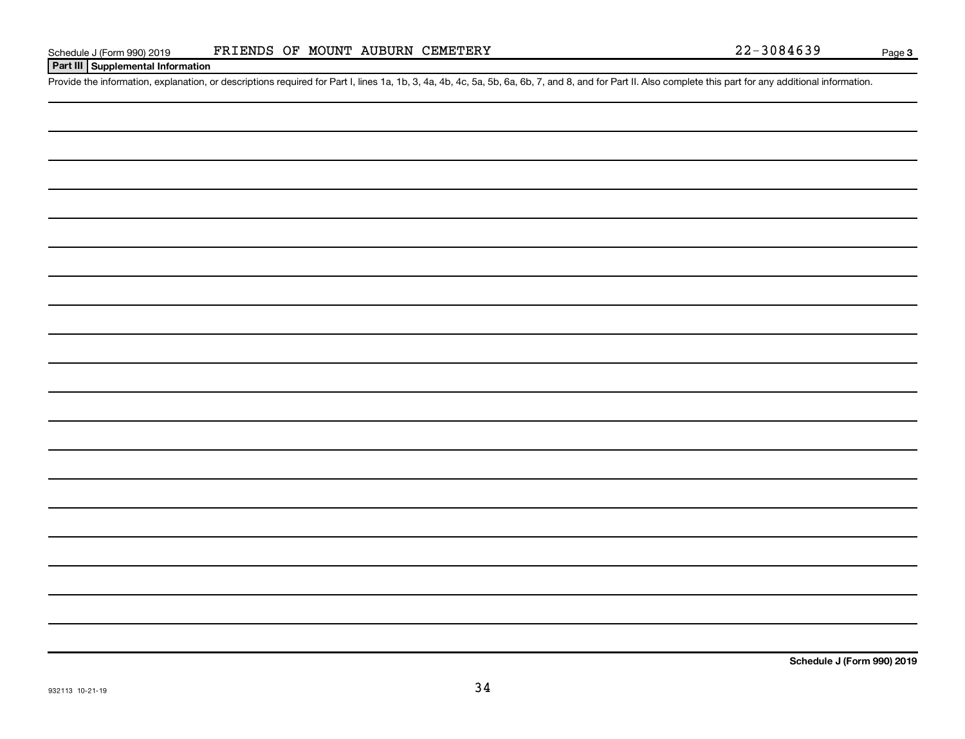#### **Part III Supplemental Information**

Provide the information, explanation, or descriptions required for Part I, lines 1a, 1b, 3, 4a, 4b, 4c, 5a, 5b, 6a, 6b, 7, and 8, and for Part II. Also complete this part for any additional information.

**Schedule J (Form 990) 2019**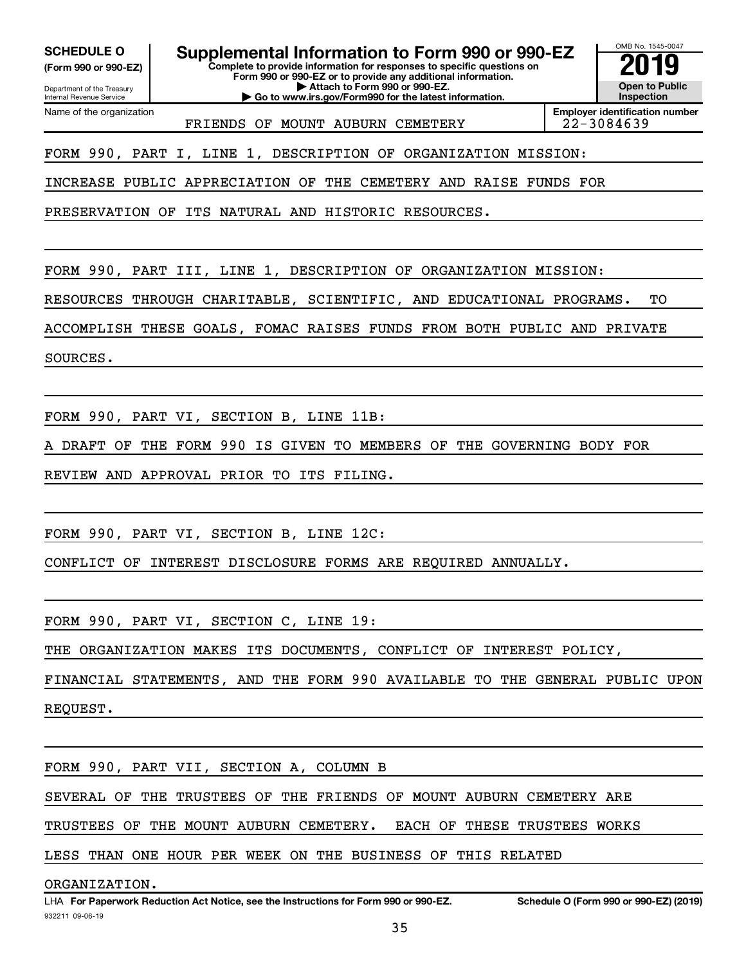Department of the Treasury **(Form 990 or 990-EZ)**

Name of the organization

Internal Revenue Service

**SCHEDULE O Supplemental Information to Form 990 or 990-EZ 2019** 

**Complete to provide information for responses to specific questions on Form 990 or 990-EZ or to provide any additional information. | Attach to Form 990 or 990-EZ.**

**| Go to www.irs.gov/Form990 for the latest information.**

OMB No. 1545-0047 **Open to Public Inspection**

FRIENDS OF MOUNT AUBURN CEMETERY 22-3084639

**Employer identification number**

FORM 990, PART I, LINE 1, DESCRIPTION OF ORGANIZATION MISSION:

INCREASE PUBLIC APPRECIATION OF THE CEMETERY AND RAISE FUNDS FOR

PRESERVATION OF ITS NATURAL AND HISTORIC RESOURCES.

FORM 990, PART III, LINE 1, DESCRIPTION OF ORGANIZATION MISSION:

RESOURCES THROUGH CHARITABLE, SCIENTIFIC, AND EDUCATIONAL PROGRAMS. TO

ACCOMPLISH THESE GOALS, FOMAC RAISES FUNDS FROM BOTH PUBLIC AND PRIVATE

SOURCES.

FORM 990, PART VI, SECTION B, LINE 11B:

DRAFT OF THE FORM 990 IS GIVEN TO MEMBERS OF THE GOVERNING BODY FOR

REVIEW AND APPROVAL PRIOR TO ITS FILING.

FORM 990, PART VI, SECTION B, LINE 12C:

CONFLICT OF INTEREST DISCLOSURE FORMS ARE REQUIRED ANNUALLY.

FORM 990, PART VI, SECTION C, LINE 19:

THE ORGANIZATION MAKES ITS DOCUMENTS, CONFLICT OF INTEREST POLICY,

FINANCIAL STATEMENTS, AND THE FORM 990 AVAILABLE TO THE GENERAL PUBLIC UPON REQUEST.

FORM 990, PART VII, SECTION A, COLUMN B

SEVERAL OF THE TRUSTEES OF THE FRIENDS OF MOUNT AUBURN CEMETERY ARE

TRUSTEES OF THE MOUNT AUBURN CEMETERY. EACH OF THESE TRUSTEES WORKS

LESS THAN ONE HOUR PER WEEK ON THE BUSINESS OF THIS RELATED

ORGANIZATION.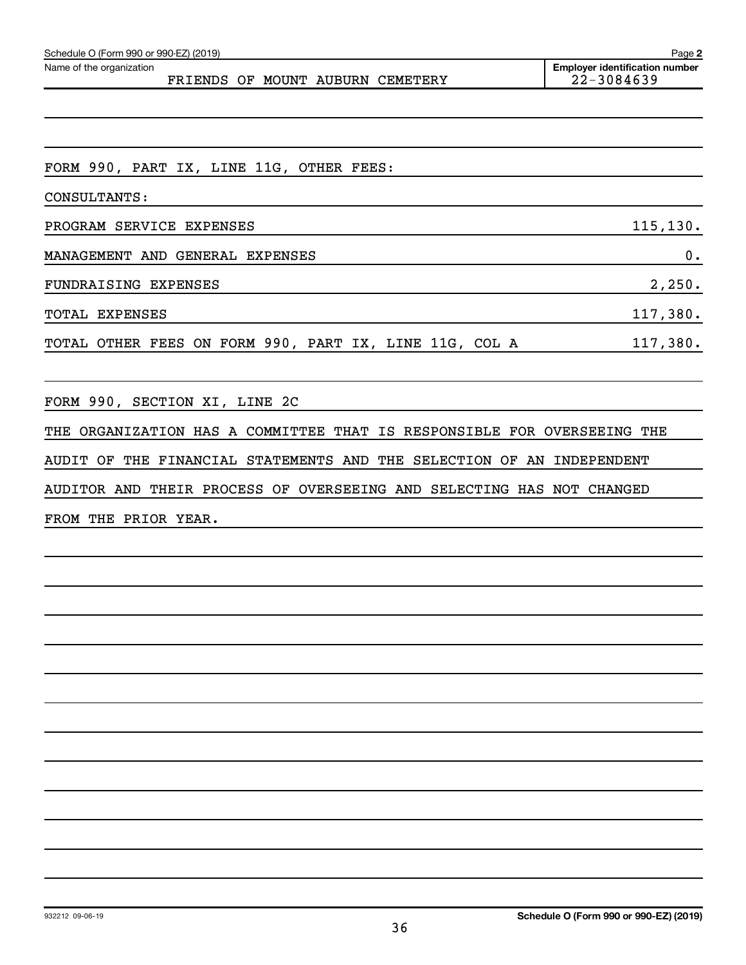| Schedule O (Form 990 or 990-EZ) (2019)                                  | Page 2                                              |
|-------------------------------------------------------------------------|-----------------------------------------------------|
| Name of the organization<br>FRIENDS OF MOUNT AUBURN CEMETERY            | <b>Employer identification number</b><br>22-3084639 |
|                                                                         |                                                     |
|                                                                         |                                                     |
|                                                                         |                                                     |
| FORM 990, PART IX, LINE 11G, OTHER FEES:                                |                                                     |
| CONSULTANTS:                                                            |                                                     |
| PROGRAM SERVICE EXPENSES                                                | 115, 130.                                           |
| MANAGEMENT AND GENERAL EXPENSES                                         | 0.                                                  |
| FUNDRAISING EXPENSES                                                    | 2,250.                                              |
| <b>TOTAL EXPENSES</b>                                                   | 117,380.                                            |
| TOTAL OTHER FEES ON FORM 990, PART IX, LINE 11G, COL A                  | 117,380.                                            |
|                                                                         |                                                     |
| FORM 990, SECTION XI, LINE 2C                                           |                                                     |
| THE ORGANIZATION HAS A COMMITTEE THAT IS RESPONSIBLE FOR OVERSEEING THE |                                                     |
| AUDIT OF THE FINANCIAL STATEMENTS AND THE SELECTION OF AN INDEPENDENT   |                                                     |
| AUDITOR AND THEIR PROCESS OF OVERSEEING AND SELECTING HAS NOT CHANGED   |                                                     |
| FROM THE PRIOR YEAR.                                                    |                                                     |
|                                                                         |                                                     |
|                                                                         |                                                     |
|                                                                         |                                                     |
|                                                                         |                                                     |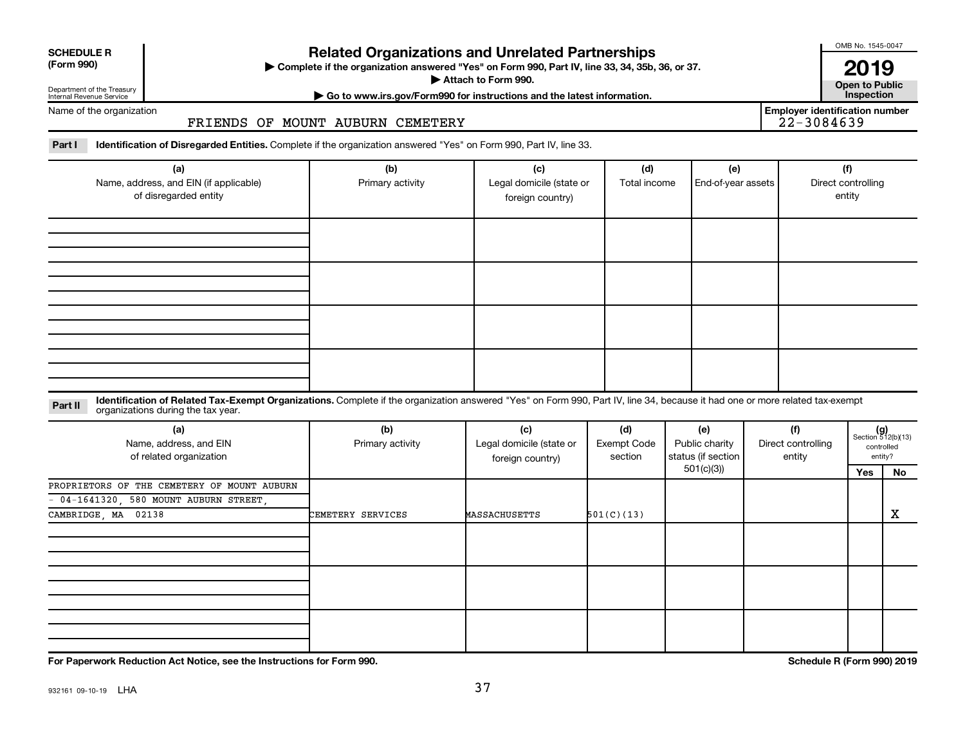| <b>SCHEDULE R</b> |
|-------------------|
|                   |

Department of the Treasury Internal Revenue Service

# **Related Organizations and Unrelated Partnerships**

**(Form 990) Complete if the organization answered "Yes" on Form 990, Part IV, line 33, 34, 35b, 36, or 37.** |

**Attach to Form 990. Contract to Form 990. Contract to Public** 

OMB No. 1545-0047 **2019**<br>Open to Public

**Employer identification number**

**| Go to www.irs.gov/Form990 for instructions and the latest information. Inspection**

Name of the organization

#### FRIENDS OF MOUNT AUBURN CEMETERY

Part I ldentification of Disregarded Entities. Complete if the organization answered "Yes" on Form 990, Part IV, line 33.

| (a)<br>Name, address, and EIN (if applicable)<br>of disregarded entity | (b)<br>Primary activity | (c)<br>Legal domicile (state or<br>foreign country) | (d)<br>Total income | (e)<br>End-of-year assets | (f)<br>Direct controlling<br>entity |
|------------------------------------------------------------------------|-------------------------|-----------------------------------------------------|---------------------|---------------------------|-------------------------------------|
|                                                                        |                         |                                                     |                     |                           |                                     |
|                                                                        |                         |                                                     |                     |                           |                                     |
|                                                                        |                         |                                                     |                     |                           |                                     |
|                                                                        |                         |                                                     |                     |                           |                                     |

#### **Part II** Identification of Related Tax-Exempt Organizations. Complete if the organization answered "Yes" on Form 990, Part IV, line 34, because it had one or more related tax-exempt<br>Part II acconizations during the tax ye organizations during the tax year.

| (a)<br>Name, address, and EIN<br>of related organization | (b)<br>Primary activity | (c)<br>Legal domicile (state or<br>foreign country) | (d)<br>Exempt Code<br>section | (e)<br>Public charity<br>status (if section | (f)<br>Direct controlling<br>entity |     | $(g)$<br>Section 512(b)(13)<br>controlled<br>entity? |
|----------------------------------------------------------|-------------------------|-----------------------------------------------------|-------------------------------|---------------------------------------------|-------------------------------------|-----|------------------------------------------------------|
|                                                          |                         |                                                     |                               | 501(c)(3))                                  |                                     | Yes | No                                                   |
| PROPRIETORS OF THE CEMETERY OF MOUNT AUBURN              |                         |                                                     |                               |                                             |                                     |     |                                                      |
| $-04-1641320$ , 580 MOUNT AUBURN STREET,                 |                         |                                                     |                               |                                             |                                     |     |                                                      |
| CAMBRIDGE, MA 02138                                      | CEMETERY SERVICES       | <b>MASSACHUSETTS</b>                                | 501(C)(13)                    |                                             |                                     |     | X                                                    |
|                                                          |                         |                                                     |                               |                                             |                                     |     |                                                      |
|                                                          |                         |                                                     |                               |                                             |                                     |     |                                                      |
|                                                          |                         |                                                     |                               |                                             |                                     |     |                                                      |

**For Paperwork Reduction Act Notice, see the Instructions for Form 990. Schedule R (Form 990) 2019**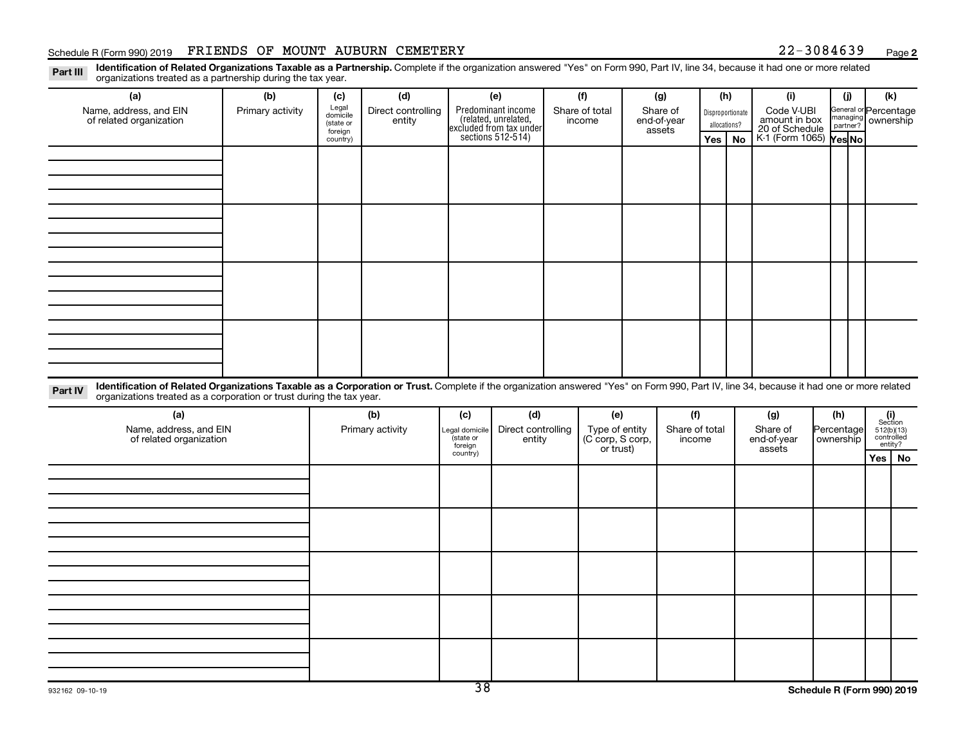#### Schedule R (Form 990) 2019 FRIENDS OF MOUNT AUBURN CEMETERY 22-3084639 Page

**2**

Disproportionate allocations? Legal domicile (state or foreign country) General or Percentage managing partner? Part III Identification of Related Organizations Taxable as a Partnership. Complete if the organization answered "Yes" on Form 990, Part IV, line 34, because it had one or more related<br>Read to the organizations tracted as **(a) (b) (c) (d) (e) (f) (g) (h) (i) (j) (k) Yes No Yes No** K-1 (Form 1065) Predominant income (related, unrelated, excluded from tax under sections 512-514) organizations treated as a partnership during the tax year. Name, address, and EIN of related organization Primary activity  $\left| \begin{array}{c} \text{Legal} \\ \text{diamial} \end{array} \right|$  Direct controlling entity Share of total income Share of end-of-year assets Code V-UBI<br>amount in box 20 of Schedule ownership

| dentific |
|----------|

Part IV Identification of Related Organizations Taxable as a Corporation or Trust. Complete if the organization answered "Yes" on Form 990, Part IV, line 34, because it had one or more related organizations treated as a corporation or trust during the tax year.

| (a)<br>Name, address, and EIN<br>of related organization | (b)<br>Primary activity | (c)<br>Legal domicile<br>(state or<br>foreign | (d)<br>Direct controlling<br>entity | (e)<br>Type of entity<br>(C corp, S corp,<br>or trust) | (f)<br>Share of total<br>income | (g)<br>Share of<br>end-of-year<br>assets | (h)<br>Percentage<br>  ownership | $\begin{array}{c} \textbf{(i)}\\ \text{Section}\\ 5\,12 \text{(b)} \text{(13)}\\ \text{controlled} \\ \text{entity?} \end{array}$ |
|----------------------------------------------------------|-------------------------|-----------------------------------------------|-------------------------------------|--------------------------------------------------------|---------------------------------|------------------------------------------|----------------------------------|-----------------------------------------------------------------------------------------------------------------------------------|
|                                                          |                         | country)                                      |                                     |                                                        |                                 |                                          |                                  | Yes   No                                                                                                                          |
|                                                          |                         |                                               |                                     |                                                        |                                 |                                          |                                  |                                                                                                                                   |
|                                                          |                         |                                               |                                     |                                                        |                                 |                                          |                                  |                                                                                                                                   |
|                                                          |                         |                                               |                                     |                                                        |                                 |                                          |                                  |                                                                                                                                   |
|                                                          |                         |                                               |                                     |                                                        |                                 |                                          |                                  |                                                                                                                                   |
|                                                          |                         |                                               |                                     |                                                        |                                 |                                          |                                  |                                                                                                                                   |
|                                                          |                         |                                               |                                     |                                                        |                                 |                                          |                                  |                                                                                                                                   |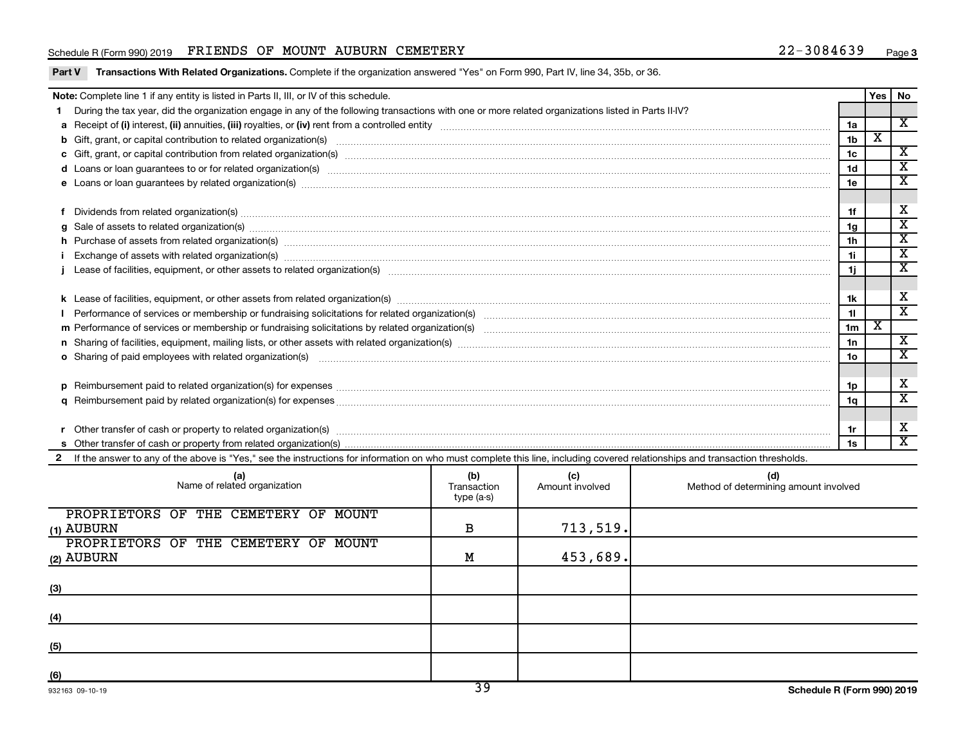#### Schedule R (Form 990) 2019 FRIENDS OF MOUNT AUBURN CEMETERY 22-3084639 Page

|  | Part V Transactions With Related Organizations. Complete if the organization answered "Yes" on Form 990, Part IV, line 34, 35b, or 36. |
|--|----------------------------------------------------------------------------------------------------------------------------------------|
|  |                                                                                                                                        |

| Yes   No<br>Note: Complete line 1 if any entity is listed in Parts II, III, or IV of this schedule.                                                                                                                            |                 |   |                             |  |  |
|--------------------------------------------------------------------------------------------------------------------------------------------------------------------------------------------------------------------------------|-----------------|---|-----------------------------|--|--|
| During the tax year, did the organization engage in any of the following transactions with one or more related organizations listed in Parts II-IV?                                                                            |                 |   |                             |  |  |
|                                                                                                                                                                                                                                | 1a              |   | $\overline{\mathbf{x}}$     |  |  |
|                                                                                                                                                                                                                                | 1 <sub>b</sub>  | X |                             |  |  |
|                                                                                                                                                                                                                                | 1c              |   | $\overline{\texttt{x}}$     |  |  |
| d Loans or loan guarantees to or for related organization(s) www.communities.com/www.communities.com/www.communities.com/www.communities.com/www.communities.com/www.communities.com/www.communities.com/www.communities.com/w | 1 <sub>d</sub>  |   | $\overline{\textbf{x}}$     |  |  |
|                                                                                                                                                                                                                                | 1e              |   | х                           |  |  |
|                                                                                                                                                                                                                                |                 |   |                             |  |  |
| Dividends from related organization(s) machinesis and contract and contract and contract and contract and contract and contract and contract and contract and contract and contract and contract and contract and contract and | 1f              |   | х                           |  |  |
| g Sale of assets to related organization(s) www.assettion.com/www.assettion.com/www.assettion.com/www.assettion.com/www.assettion.com/www.assettion.com/www.assettion.com/www.assettion.com/www.assettion.com/www.assettion.co | 1 <sub>g</sub>  |   | $\mathbf{x}$                |  |  |
|                                                                                                                                                                                                                                | 1 <sub>h</sub>  |   | X                           |  |  |
|                                                                                                                                                                                                                                | 11              |   | $\overline{\text{x}}$       |  |  |
|                                                                                                                                                                                                                                | 1j              |   | $\overline{\textbf{x}}$     |  |  |
|                                                                                                                                                                                                                                |                 |   |                             |  |  |
|                                                                                                                                                                                                                                | 1k              |   | X                           |  |  |
|                                                                                                                                                                                                                                | 11              |   | $\overline{\textnormal{x}}$ |  |  |
|                                                                                                                                                                                                                                | 1 <sub>m</sub>  | х |                             |  |  |
|                                                                                                                                                                                                                                | 1n              |   | $\overline{\mathbf{X}}$     |  |  |
| <b>o</b> Sharing of paid employees with related organization(s)                                                                                                                                                                | 10 <sub>o</sub> |   | $\overline{\textbf{x}}$     |  |  |
|                                                                                                                                                                                                                                |                 |   |                             |  |  |
|                                                                                                                                                                                                                                | 1p              |   | X                           |  |  |
|                                                                                                                                                                                                                                | 1q              |   | $\overline{\texttt{x}}$     |  |  |
|                                                                                                                                                                                                                                |                 |   |                             |  |  |
|                                                                                                                                                                                                                                | 1r              |   | х                           |  |  |
|                                                                                                                                                                                                                                | 1s              |   | X                           |  |  |
| If the answer to any of the above is "Yes," see the instructions for information on who must complete this line, including covered relationships and transaction thresholds.                                                   |                 |   |                             |  |  |

| (a)<br>Name of related organization            | (b)<br>Transaction<br>type (a-s) | (c)<br>Amount involved | (d)<br>Method of determining amount involved |
|------------------------------------------------|----------------------------------|------------------------|----------------------------------------------|
| PROPRIETORS OF THE CEMETERY OF<br>MOUNT        |                                  |                        |                                              |
| (1) AUBURN                                     | в                                | 713, 519.              |                                              |
| PROPRIETORS OF THE CEMETERY OF<br><b>MOUNT</b> |                                  |                        |                                              |
| (2) AUBURN                                     | M                                | 453,689.               |                                              |
| (3)                                            |                                  |                        |                                              |
| (4)                                            |                                  |                        |                                              |
|                                                |                                  |                        |                                              |
| (5)                                            |                                  |                        |                                              |
| (6)                                            | $\overline{\phantom{a}}$         |                        |                                              |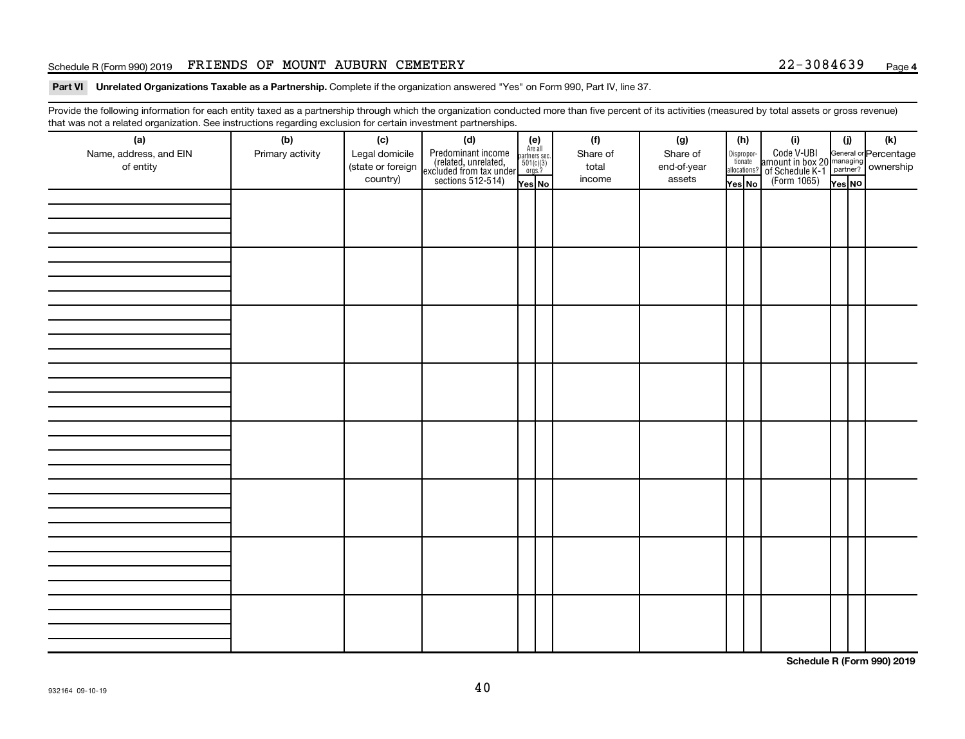#### Schedule R (Form 990) 2019 FRIENDS OF MOUNT AUBURN CEMETERY 22-3084639 Page

Part VI Unrelated Organizations Taxable as a Partnership. Complete if the organization answered "Yes" on Form 990, Part IV, line 37.

Provide the following information for each entity taxed as a partnership through which the organization conducted more than five percent of its activities (measured by total assets or gross revenue) that was not a related organization. See instructions regarding exclusion for certain investment partnerships.

| mat mac not a rolated organization. Oce included by regarding exercision for contain invectment partneremper<br>(a)<br>Name, address, and EIN<br>of entity | (b)<br>Primary activity | (c)<br>Legal domicile<br>(state or foreign<br>country) | (d)<br>Predominant income<br>(related, unrelated,<br>excluded from tax under<br>sections 512-514) | (e)<br>Are all<br>partners sec.<br>$501(c)(3)$<br>orgs.? | (f)<br>Share of<br>total<br>income | (g)<br>Share of<br>end-of-year<br>assets | (h)<br>Disproportionate<br>allocations? | (i)<br>Code V-UBI<br>amount in box 20 managing<br>of Schedule K-1<br>(Form 1065)<br>$\overline{Y}_{res}$ No | (i)    | (k) |
|------------------------------------------------------------------------------------------------------------------------------------------------------------|-------------------------|--------------------------------------------------------|---------------------------------------------------------------------------------------------------|----------------------------------------------------------|------------------------------------|------------------------------------------|-----------------------------------------|-------------------------------------------------------------------------------------------------------------|--------|-----|
|                                                                                                                                                            |                         |                                                        |                                                                                                   | Yes No                                                   |                                    |                                          | Yes No                                  |                                                                                                             | Yes NO |     |
|                                                                                                                                                            |                         |                                                        |                                                                                                   |                                                          |                                    |                                          |                                         |                                                                                                             |        |     |
|                                                                                                                                                            |                         |                                                        |                                                                                                   |                                                          |                                    |                                          |                                         |                                                                                                             |        |     |
|                                                                                                                                                            |                         |                                                        |                                                                                                   |                                                          |                                    |                                          |                                         |                                                                                                             |        |     |
|                                                                                                                                                            |                         |                                                        |                                                                                                   |                                                          |                                    |                                          |                                         |                                                                                                             |        |     |
|                                                                                                                                                            |                         |                                                        |                                                                                                   |                                                          |                                    |                                          |                                         |                                                                                                             |        |     |
|                                                                                                                                                            |                         |                                                        |                                                                                                   |                                                          |                                    |                                          |                                         |                                                                                                             |        |     |
|                                                                                                                                                            |                         |                                                        |                                                                                                   |                                                          |                                    |                                          |                                         |                                                                                                             |        |     |

**Schedule R (Form 990) 2019**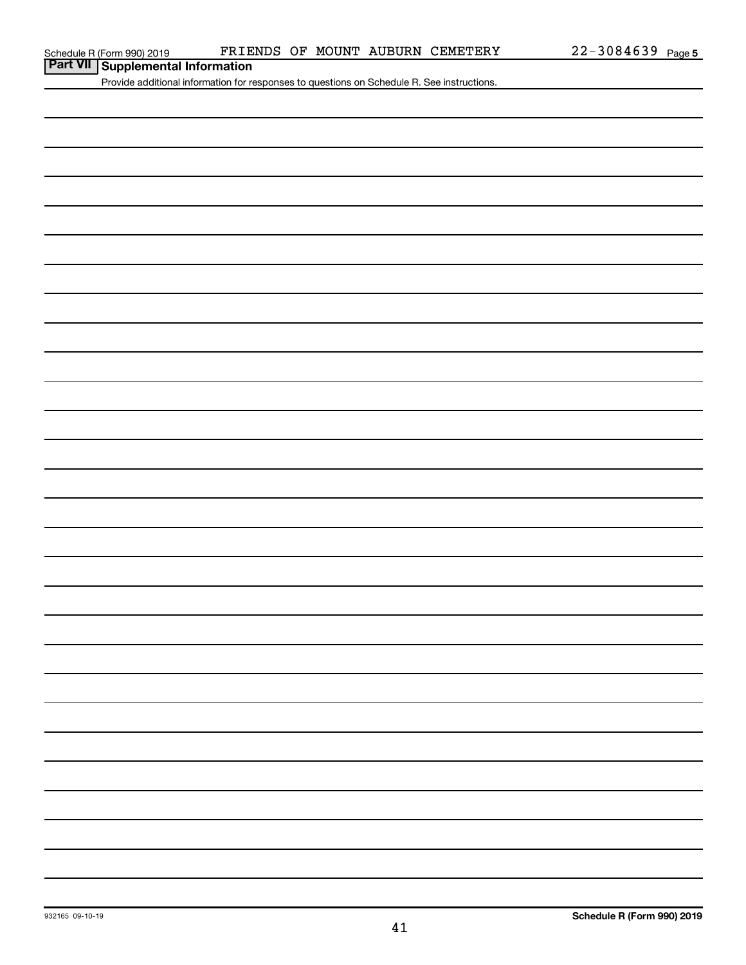**Part VII Schedule R (Form 990) 2019** FRIE

Provide additional information for responses to questions on Schedule R. See instructions.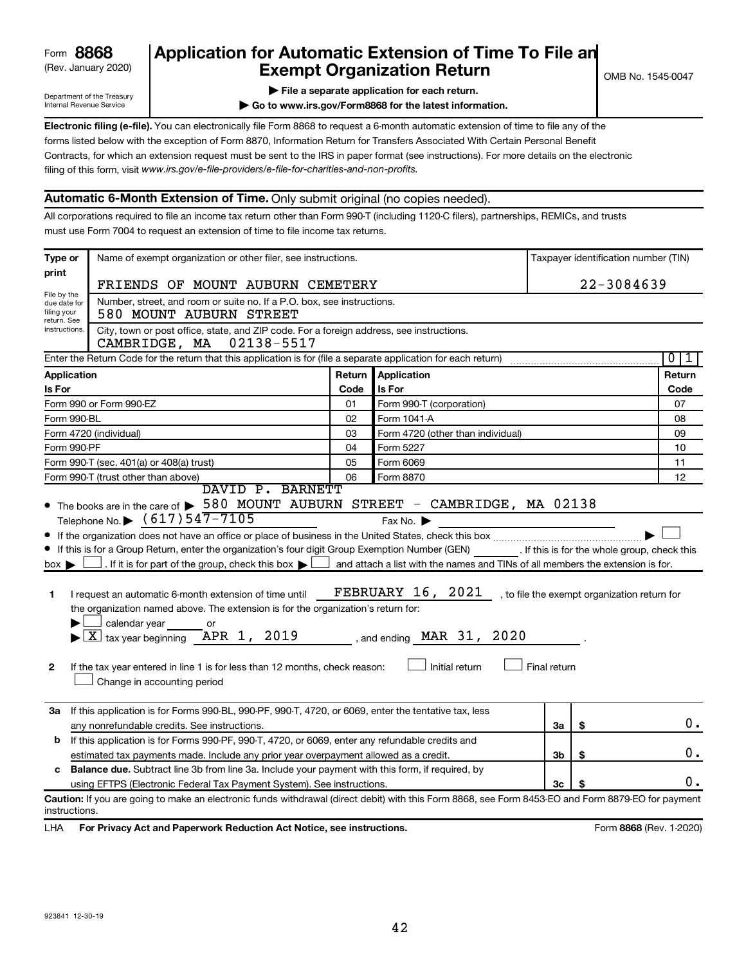| 8868<br>Form |  |
|--------------|--|
|--------------|--|

# (Rev. January 2020) **Cxempt Organization Return** Manuary 2020) and the settern **Canadian Exempt Organization Return** Form **8868 Application for Automatic Extension of Time To File an**<br>**Exempt Organization Beturn**

Department of the Treasury Internal Revenue Service

|  | File a separate application for each return. |  |  |
|--|----------------------------------------------|--|--|
|  |                                              |  |  |

**| Go to www.irs.gov/Form8868 for the latest information.**

**Electronic filing (e-file).** You can electronically file Form 8868 to request a 6-month automatic extension of time to file any of the filing of this form, visit www.irs.gov/e-file-providers/e-file-for-charities-and-non-profits. forms listed below with the exception of Form 8870, Information Return for Transfers Associated With Certain Personal Benefit Contracts, for which an extension request must be sent to the IRS in paper format (see instructions). For more details on the electronic

# **Automatic 6-Month Extension of Time.** Only submit original (no copies needed).

All corporations required to file an income tax return other than Form 990-T (including 1120-C filers), partnerships, REMICs, and trusts must use Form 7004 to request an extension of time to file income tax returns.

| Type or                                                                                              | Name of exempt organization or other filer, see instructions.                                                                                                                                                                                                                                                                                                                                                                         | Taxpayer identification number (TIN) |                                                                                                                                                                 |                |                                              |                     |
|------------------------------------------------------------------------------------------------------|---------------------------------------------------------------------------------------------------------------------------------------------------------------------------------------------------------------------------------------------------------------------------------------------------------------------------------------------------------------------------------------------------------------------------------------|--------------------------------------|-----------------------------------------------------------------------------------------------------------------------------------------------------------------|----------------|----------------------------------------------|---------------------|
| print                                                                                                | FRIENDS OF MOUNT AUBURN CEMETERY                                                                                                                                                                                                                                                                                                                                                                                                      |                                      | 22-3084639                                                                                                                                                      |                |                                              |                     |
| File by the<br>due date for<br>filing your                                                           | Number, street, and room or suite no. If a P.O. box, see instructions.<br>580 MOUNT AUBURN STREET                                                                                                                                                                                                                                                                                                                                     |                                      |                                                                                                                                                                 |                |                                              |                     |
| return. See<br>instructions.                                                                         | City, town or post office, state, and ZIP code. For a foreign address, see instructions.<br>CAMBRIDGE, MA 02138-5517                                                                                                                                                                                                                                                                                                                  |                                      |                                                                                                                                                                 |                |                                              |                     |
|                                                                                                      | Enter the Return Code for the return that this application is for (file a separate application for each return)                                                                                                                                                                                                                                                                                                                       |                                      |                                                                                                                                                                 |                |                                              | $\overline{0}$<br>1 |
| <b>Application</b>                                                                                   |                                                                                                                                                                                                                                                                                                                                                                                                                                       | Return                               | <b>Application</b>                                                                                                                                              |                |                                              | Return              |
| Is For                                                                                               |                                                                                                                                                                                                                                                                                                                                                                                                                                       | Code                                 | Is For                                                                                                                                                          |                |                                              | Code                |
|                                                                                                      | Form 990 or Form 990-EZ                                                                                                                                                                                                                                                                                                                                                                                                               | 01                                   | Form 990-T (corporation)                                                                                                                                        |                |                                              | 07                  |
| Form 990-BL                                                                                          |                                                                                                                                                                                                                                                                                                                                                                                                                                       | 02                                   | Form 1041-A                                                                                                                                                     |                |                                              | 08                  |
| Form 4720 (individual)                                                                               |                                                                                                                                                                                                                                                                                                                                                                                                                                       |                                      | Form 4720 (other than individual)                                                                                                                               |                |                                              | 09                  |
| Form 990-PF<br>04<br>Form 5227                                                                       |                                                                                                                                                                                                                                                                                                                                                                                                                                       |                                      |                                                                                                                                                                 |                |                                              | 10                  |
| Form 6069<br>Form 990-T (sec. 401(a) or 408(a) trust)<br>05                                          |                                                                                                                                                                                                                                                                                                                                                                                                                                       |                                      |                                                                                                                                                                 |                |                                              | 11                  |
|                                                                                                      | Form 990-T (trust other than above)<br>DAVID P. BARNETT                                                                                                                                                                                                                                                                                                                                                                               | 06                                   | Form 8870                                                                                                                                                       |                |                                              | 12                  |
| $box \blacktriangleright$<br>1<br>2                                                                  | . If it is for part of the group, check this box $\blacktriangleright$<br>I request an automatic 6-month extension of time until<br>the organization named above. The extension is for the organization's return for:<br>calendar year<br>or<br>$\blacktriangleright$ $\boxed{\text{X}}$ tax year beginning APR 1, 2019<br>If the tax year entered in line 1 is for less than 12 months, check reason:<br>Change in accounting period |                                      | and attach a list with the names and TINs of all members the extension is for.<br><b>FEBRUARY 16, 2021</b><br>, and ending $\n  MAR$ 31, 2020<br>Initial return | Final return   | , to file the exempt organization return for |                     |
|                                                                                                      | 3a If this application is for Forms 990-BL, 990-PF, 990-T, 4720, or 6069, enter the tentative tax, less                                                                                                                                                                                                                                                                                                                               |                                      |                                                                                                                                                                 |                |                                              |                     |
|                                                                                                      | any nonrefundable credits. See instructions.                                                                                                                                                                                                                                                                                                                                                                                          |                                      |                                                                                                                                                                 | За             | \$                                           | 0.                  |
| If this application is for Forms 990-PF, 990-T, 4720, or 6069, enter any refundable credits and<br>b |                                                                                                                                                                                                                                                                                                                                                                                                                                       |                                      |                                                                                                                                                                 |                |                                              |                     |
|                                                                                                      | estimated tax payments made. Include any prior year overpayment allowed as a credit.                                                                                                                                                                                                                                                                                                                                                  |                                      |                                                                                                                                                                 | Зb             | \$                                           | 0.                  |
| c                                                                                                    | <b>Balance due.</b> Subtract line 3b from line 3a. Include your payment with this form, if required, by                                                                                                                                                                                                                                                                                                                               |                                      |                                                                                                                                                                 |                |                                              |                     |
|                                                                                                      | using EFTPS (Electronic Federal Tax Payment System). See instructions.                                                                                                                                                                                                                                                                                                                                                                |                                      |                                                                                                                                                                 | 3 <sub>c</sub> |                                              | 0.                  |
| instructions.                                                                                        | Caution: If you are going to make an electronic funds withdrawal (direct debit) with this Form 8868, see Form 8453-EO and Form 8879-EO for payment                                                                                                                                                                                                                                                                                    |                                      |                                                                                                                                                                 |                |                                              |                     |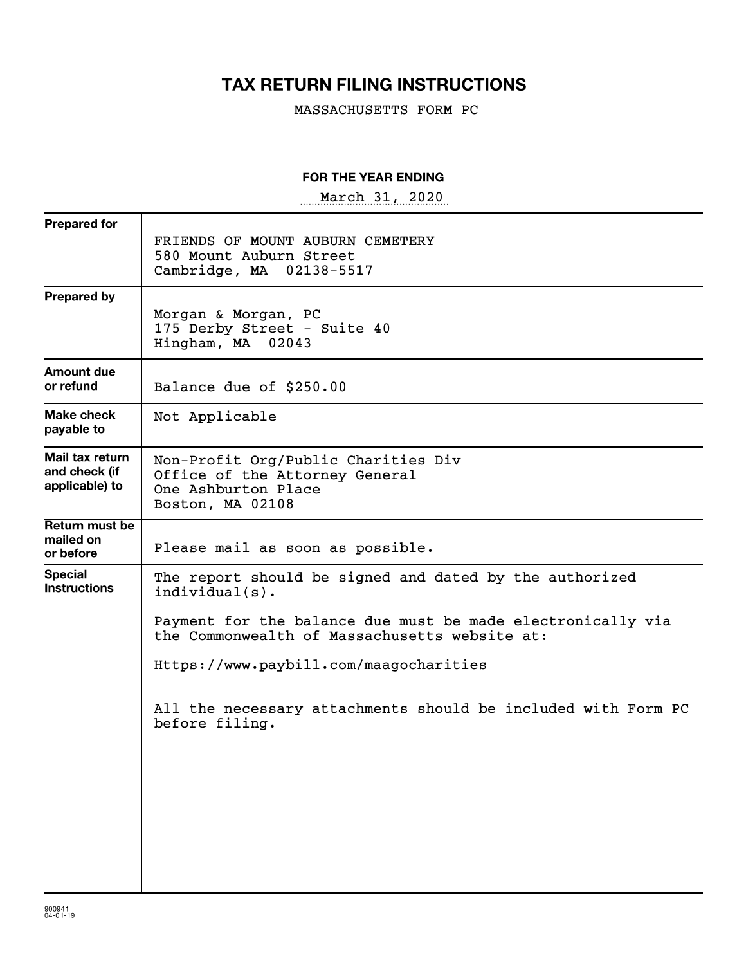# **TAX RETURN FILING INSTRUCTIONS**

MASSACHUSETTS FORM PC

#### **FOR THE YEAR ENDING**

~~~~~~~~~~~~~~~~~ March 31, 2020

| <b>Prepared for</b>                                |                                                                                                                  |
|----------------------------------------------------|------------------------------------------------------------------------------------------------------------------|
|                                                    | FRIENDS OF MOUNT AUBURN CEMETERY<br>580 Mount Auburn Street<br>Cambridge, MA 02138-5517                          |
| <b>Prepared by</b>                                 |                                                                                                                  |
|                                                    | Morgan & Morgan, PC<br>175 Derby Street - Suite 40<br>Hingham, MA 02043                                          |
| Amount due<br>or refund                            | Balance due of \$250.00                                                                                          |
| Make check<br>payable to                           | Not Applicable                                                                                                   |
| Mail tax return<br>and check (if<br>applicable) to | Non-Profit Org/Public Charities Div<br>Office of the Attorney General<br>One Ashburton Place<br>Boston, MA 02108 |
| Return must be<br>mailed on<br>or before           | Please mail as soon as possible.                                                                                 |
| <b>Special</b><br><b>Instructions</b>              | The report should be signed and dated by the authorized<br>$indivial(s)$ .                                       |
|                                                    | Payment for the balance due must be made electronically via<br>the Commonwealth of Massachusetts website at:     |
|                                                    | Https://www.paybill.com/maagocharities                                                                           |
|                                                    | All the necessary attachments should be included with Form PC<br>before filing.                                  |
|                                                    |                                                                                                                  |
|                                                    |                                                                                                                  |
|                                                    |                                                                                                                  |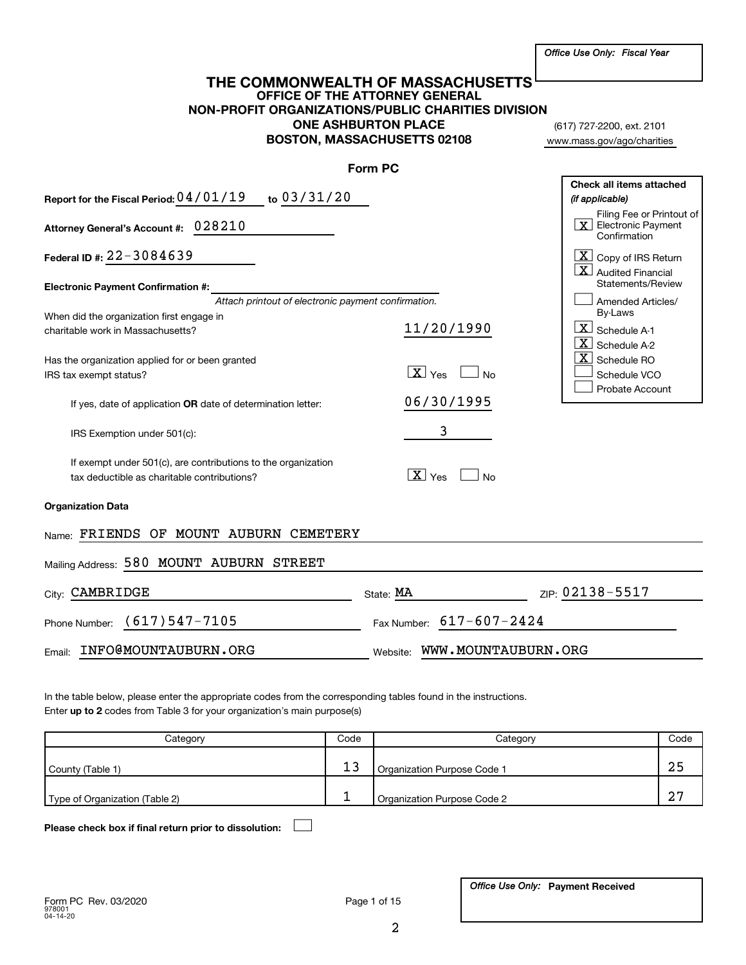#### **OFFICE OF THE ATTORNEY GENERAL NON-PROFIT ORGANIZATIONS/PUBLIC CHARITIES DIVISION ONE ASHBURTON PLACE BOSTON, MASSACHUSETTS 02108 THE COMMONWEALTH OF MASSACHUSETTS**

(617) 727-2200, ext. 2101 www.mass.gov/ago/charities

|                                                                                                              | <b>Form PC</b>                      |                                                                                      |
|--------------------------------------------------------------------------------------------------------------|-------------------------------------|--------------------------------------------------------------------------------------|
| Report for the Fiscal Period: 04/01/19 to 03/31/20                                                           |                                     | Check all items attached<br>(if applicable)                                          |
| Attorney General's Account #: 028210                                                                         |                                     | Filing Fee or Printout of<br>$\boxed{\mathbf{X}}$ Electronic Payment<br>Confirmation |
| Federal ID #: $22 - 3084639$                                                                                 |                                     | $\lfloor x \rfloor$ Copy of IRS Return<br>$\overline{\mathbf{X}}$ Audited Financial  |
| <b>Electronic Payment Confirmation #:</b>                                                                    |                                     | Statements/Review                                                                    |
| Attach printout of electronic payment confirmation.                                                          |                                     | Amended Articles/                                                                    |
| When did the organization first engage in                                                                    |                                     | By-Laws                                                                              |
| charitable work in Massachusetts?                                                                            | 11/20/1990                          | $\lfloor x \rfloor$ Schedule A-1                                                     |
|                                                                                                              |                                     | $X$ Schedule A-2                                                                     |
|                                                                                                              |                                     | $\overline{\textbf{X}}$ Schedule RO                                                  |
| Has the organization applied for or been granted                                                             | $X \vert_{\text{Yes}}$<br><b>No</b> |                                                                                      |
| IRS tax exempt status?                                                                                       |                                     | Schedule VCO                                                                         |
| If yes, date of application OR date of determination letter:                                                 | 06/30/1995                          | Probate Account                                                                      |
| IRS Exemption under 501(c):                                                                                  | 3                                   |                                                                                      |
| If exempt under 501(c), are contributions to the organization<br>tax deductible as charitable contributions? | $\boxed{\mathbf{X}}$ Yes<br>No      |                                                                                      |
| <b>Organization Data</b>                                                                                     |                                     |                                                                                      |
| Name: FRIENDS OF MOUNT AUBURN CEMETERY                                                                       |                                     |                                                                                      |
| Mailing Address: 580 MOUNT AUBURN STREET                                                                     |                                     |                                                                                      |
| City: CAMBRIDGE                                                                                              | State: MA                           | ZIP: 02138-5517                                                                      |
| (617)547-7105<br>Phone Number:                                                                               | Fax Number: 617-607-2424            |                                                                                      |
| INFO@MOUNTAUBURN.ORG<br>Email:                                                                               | WWW.MOUNTAUBURN.ORG<br>Website:     |                                                                                      |
|                                                                                                              |                                     |                                                                                      |

Enter up to 2 codes from Table 3 for your organization's main purpose(s) In the table below, please enter the appropriate codes from the corresponding tables found in the instructions.

| Category                       | Code | Category                    | Code   |
|--------------------------------|------|-----------------------------|--------|
| County (Table 1)               |      | Organization Purpose Code 1 |        |
| Type of Organization (Table 2) |      | Organization Purpose Code 2 | $\sim$ |

**Please check box if final return prior to dissolution:** †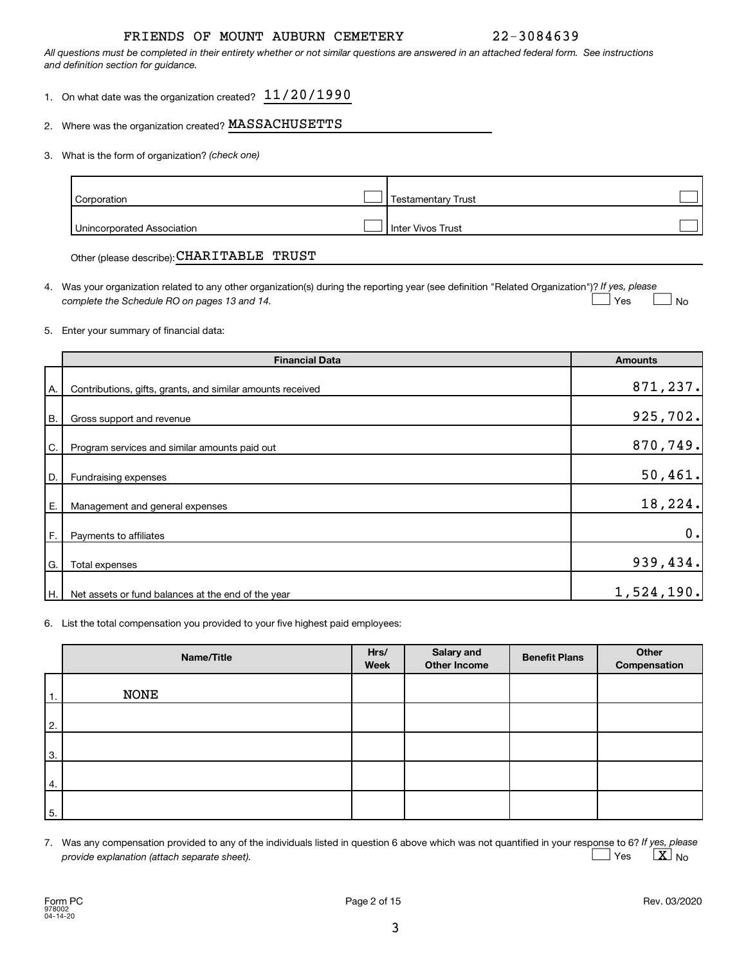### FRIENDS OF MOUNT AUBURN CEMETERY 22-3084639

*All questions must be completed in their entirety whether or not similar questions are answered in an attached federal form. See instructions and definition section for guidance.*

- 1. On what date was the organization created?  $11/20/1990$
- 2. Where was the organization created?  $\texttt{MASKCHUSETTS}$
- *(check one)* 3. What is the form of organization?

| Corporation                | <b>Testamentary Trust</b> |  |
|----------------------------|---------------------------|--|
| Unincorporated Association | I Inter Vivos Trust       |  |

Other (please describe): CHARITABLE TRUST

4. Was your organization related to any other organization(s) during the reporting year (see definition "Related Organization")? If yes, please *complete the Schedule RO on pages 13 and 14.*  $\mathsf{\bot}$  No  $\mid$  Yes

5. Enter your summary of financial data:

|           | <b>Financial Data</b>                                      | <b>Amounts</b> |
|-----------|------------------------------------------------------------|----------------|
| Α.        | Contributions, gifts, grants, and similar amounts received | 871,237.       |
| <b>B.</b> | Gross support and revenue                                  | 925,702.       |
| C.        | Program services and similar amounts paid out              | 870,749.       |
| D.        | Fundraising expenses                                       | 50,461.        |
| Ε.        | Management and general expenses                            | 18,224         |
| F.        | Payments to affiliates                                     | 0.             |
| G.        | Total expenses                                             | 939,434.       |
| H.        | Net assets or fund balances at the end of the year         | 1,524,190.     |

6. List the total compensation you provided to your five highest paid employees:

|    | Name/Title  | Hrs/<br>Week | <b>Salary and</b><br>Other Income | <b>Benefit Plans</b> | Other<br>Compensation |
|----|-------------|--------------|-----------------------------------|----------------------|-----------------------|
| 1. | <b>NONE</b> |              |                                   |                      |                       |
| 2. |             |              |                                   |                      |                       |
| 3. |             |              |                                   |                      |                       |
| 4. |             |              |                                   |                      |                       |
| 5. |             |              |                                   |                      |                       |

7. Was any compensation provided to any of the individuals listed in question 6 above which was not quantified in your response to 6? If yes, please *provide explanation (attach separate sheet).* Yes  $\qquad \qquad \boxed{\textbf{X}}$  No  $\Box$  Yes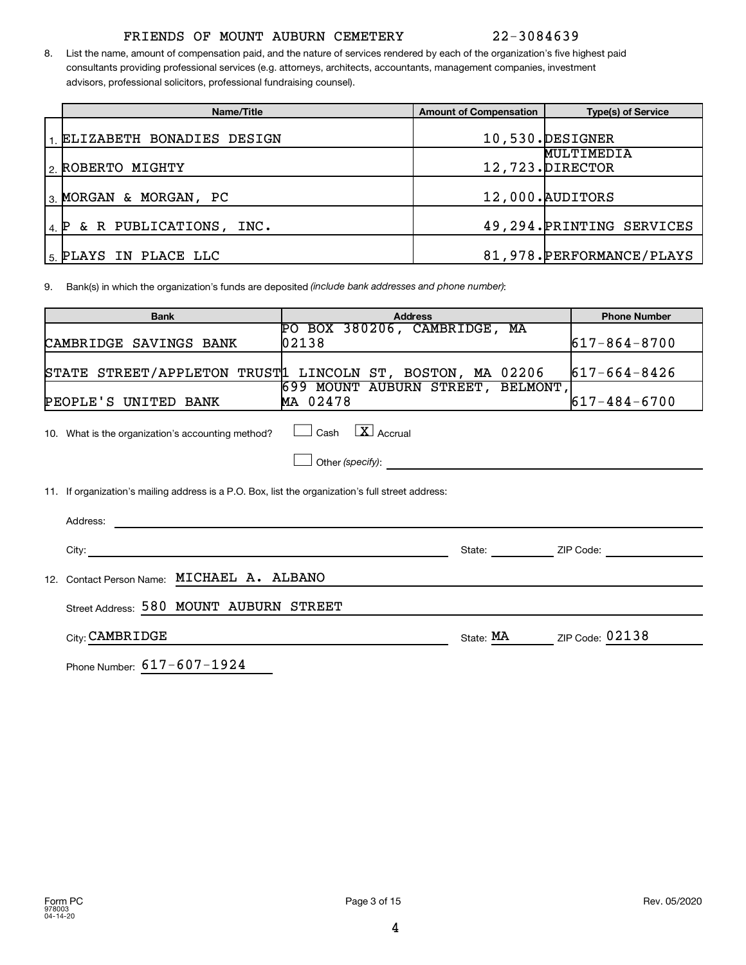# FRIENDS OF MOUNT AUBURN CEMETERY 22-3084639

8. List the name, amount of compensation paid, and the nature of services rendered by each of the organization's five highest paid consultants providing professional services (e.g. attorneys, architects, accountants, management companies, investment advisors, professional solicitors, professional fundraising counsel).

|      | Name/Title                | <b>Amount of Compensation</b> | <b>Type(s) of Service</b>      |
|------|---------------------------|-------------------------------|--------------------------------|
|      | ELIZABETH BONADIES DESIGN |                               | 10,530. DESIGNER               |
|      | 2 ROBERTO MIGHTY          |                               | MULTIMEDIA<br>12,723. DIRECTOR |
|      | 3. MORGAN & MORGAN, PC    |                               | 12,000. AUDITORS               |
| 4. P | & R PUBLICATIONS, INC.    |                               | 49, 294. PRINTING SERVICES     |
|      | 5. PLAYS IN PLACE LLC     |                               | 81, 978. PERFORMANCE/PLAYS     |

9. Bank(s) in which the organization's funds are deposited *(include bank addresses and phone number)*:

| <b>Bank</b>                                                                                                                                                                                                                               | <b>Phone Number</b>                                                                                                                                                                                                                  |                    |
|-------------------------------------------------------------------------------------------------------------------------------------------------------------------------------------------------------------------------------------------|--------------------------------------------------------------------------------------------------------------------------------------------------------------------------------------------------------------------------------------|--------------------|
| CAMBRIDGE SAVINGS BANK                                                                                                                                                                                                                    | PO BOX 380206, CAMBRIDGE, MA<br>02138                                                                                                                                                                                                | $617 - 864 - 8700$ |
|                                                                                                                                                                                                                                           | STATE STREET/APPLETON TRUST1 LINCOLN ST, BOSTON, MA 02206                                                                                                                                                                            | $617 - 664 - 8426$ |
| PEOPLE'S UNITED BANK                                                                                                                                                                                                                      | 699 MOUNT AUBURN STREET, BELMONT,<br>MA 02478                                                                                                                                                                                        | $617 - 484 - 6700$ |
| 10. What is the organization's accounting method?                                                                                                                                                                                         | Cash $\boxed{\textbf{X}}$ Accrual                                                                                                                                                                                                    |                    |
|                                                                                                                                                                                                                                           | Other (specify): <u>contract and contract and contract and contract and contract and contract and contract and contract and contract and contract and contract and contract and contract and contract and contract and contract </u> |                    |
| 11. If organization's mailing address is a P.O. Box, list the organization's full street address:                                                                                                                                         |                                                                                                                                                                                                                                      |                    |
| Address:<br>the control of the control of the control of the control of the control of the control of the control of the control of the control of the control of the control of the control of the control of the control of the control |                                                                                                                                                                                                                                      |                    |
|                                                                                                                                                                                                                                           |                                                                                                                                                                                                                                      | State: ZIP Code:   |
| Contact Person Name: MICHAEL A. ALBANO<br>12 <sup>1</sup>                                                                                                                                                                                 |                                                                                                                                                                                                                                      |                    |
| Street Address: 580 MOUNT AUBURN STREET                                                                                                                                                                                                   |                                                                                                                                                                                                                                      |                    |
| City: CAMBRIDGE                                                                                                                                                                                                                           | State: MA                                                                                                                                                                                                                            | ZIP Code: 02138    |
| Phone Number: 617-607-1924                                                                                                                                                                                                                |                                                                                                                                                                                                                                      |                    |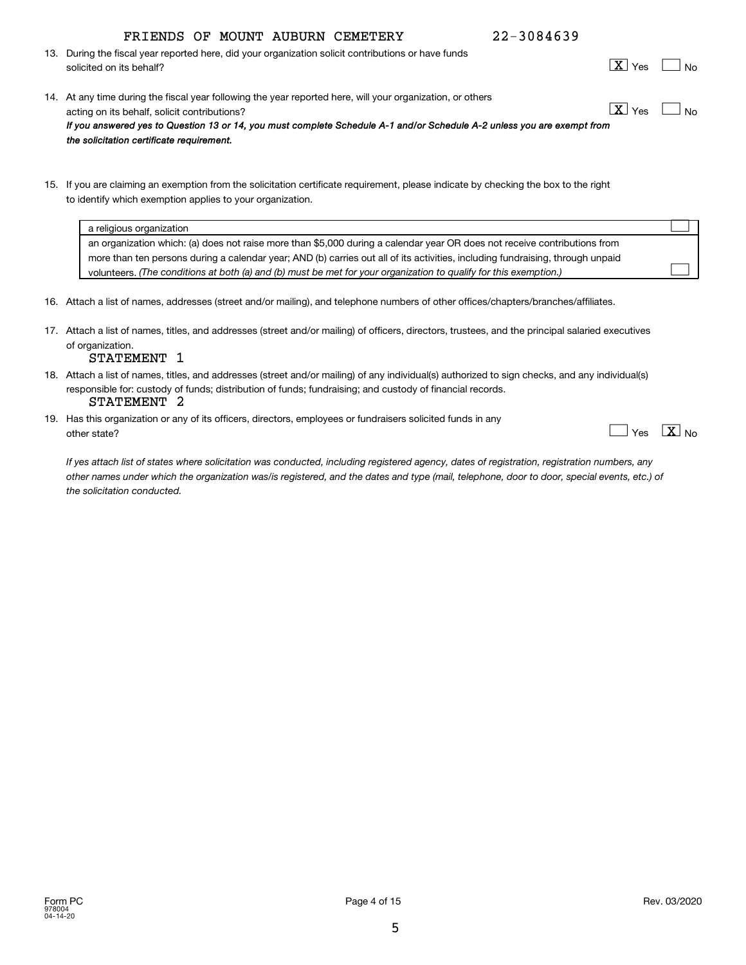5

# FRIENDS OF MOUNT AUBURN CEMETERY 22-3084639

- 13. During the fiscal year reported here, did your organization solicit contributions or have funds solicited on its behalf?
- 14. At any time during the fiscal year following the year reported here, will your organization, or others acting on its behalf, solicit contributions? *If you answered yes to Question 13 or 14, you must complete Schedule A-1 and/or Schedule A-2 unless you are exempt from the solicitation certificate requirement.*  $\boxed{\text{X}}$  Yes  $\boxed{\phantom{1}}$
- 15. If you are claiming an exemption from the solicitation certificate requirement, please indicate by checking the box to the right to identify which exemption applies to your organization.

- 16. Attach a list of names, addresses (street and/or mailing), and telephone numbers of other offices/chapters/branches/affiliates.
- 17. Attach a list of names, titles, and addresses (street and/or mailing) of officers, directors, trustees, and the principal salaried executives of organization.

#### STATEMENT 1

- 18. Attach a list of names, titles, and addresses (street and/or mailing) of any individual(s) authorized to sign checks, and any individual(s) responsible for: custody of funds; distribution of funds; fundraising; and custody of financial records. STATEMENT 2
- 19. Has this organization or any of its officers, directors, employees or fundraisers solicited funds in any other state? No research in the state of the state of the state of the state of the state of the state of the state of the state of the state of the state of the state of the state of the state of the state of the state of

*If yes attach list of states where solicitation was conducted, including registered agency, dates of registration, registration numbers, any other names under which the organization was/is registered, and the dates and type (mail, telephone, door to door, special events, etc.) of the solicitation conducted.*

 $\Box$  Yes  $\boxed{\textbf{X}}$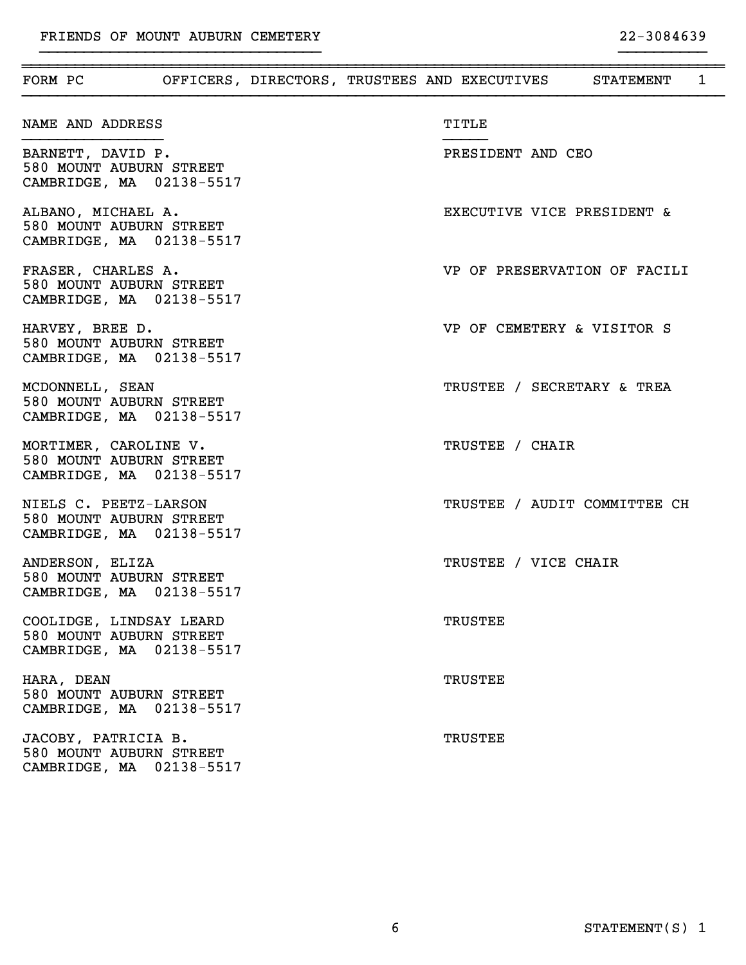| FORM PC <b>OFFICERS, DIRECTORS, TRUSTEES AND EXECUTIVES</b> STATEMENT          |  |  |                            |                              | $\mathbf{1}$ |
|--------------------------------------------------------------------------------|--|--|----------------------------|------------------------------|--------------|
| NAME AND ADDRESS                                                               |  |  | TITLE                      |                              |              |
| BARNETT, DAVID P.<br>580 MOUNT AUBURN STREET<br>CAMBRIDGE, MA 02138-5517       |  |  | PRESIDENT AND CEO          |                              |              |
| ALBANO, MICHAEL A.<br>580 MOUNT AUBURN STREET<br>CAMBRIDGE, MA 02138-5517      |  |  | EXECUTIVE VICE PRESIDENT & |                              |              |
| FRASER, CHARLES A.<br>580 MOUNT AUBURN STREET<br>CAMBRIDGE, MA 02138-5517      |  |  |                            | VP OF PRESERVATION OF FACILI |              |
| HARVEY, BREE D.<br>580 MOUNT AUBURN STREET<br>CAMBRIDGE, MA 02138-5517         |  |  | VP OF CEMETERY & VISITOR S |                              |              |
| MCDONNELL, SEAN<br>580 MOUNT AUBURN STREET<br>CAMBRIDGE, MA 02138-5517         |  |  | TRUSTEE / SECRETARY & TREA |                              |              |
| MORTIMER, CAROLINE V.<br>580 MOUNT AUBURN STREET<br>CAMBRIDGE, MA 02138-5517   |  |  | TRUSTEE / CHAIR            |                              |              |
| NIELS C. PEETZ-LARSON<br>580 MOUNT AUBURN STREET<br>CAMBRIDGE, MA 02138-5517   |  |  |                            | TRUSTEE / AUDIT COMMITTEE CH |              |
| ANDERSON, ELIZA<br>580 MOUNT AUBURN STREET<br>CAMBRIDGE, MA 02138-5517         |  |  | TRUSTEE / VICE CHAIR       |                              |              |
| COOLIDGE, LINDSAY LEARD<br>580 MOUNT AUBURN STREET<br>CAMBRIDGE, MA 02138-5517 |  |  | TRUSTEE                    |                              |              |
| HARA, DEAN<br>580 MOUNT AUBURN STREET<br>CAMBRIDGE, MA 02138-5517              |  |  | <b>TRUSTEE</b>             |                              |              |
| JACOBY, PATRICIA B.<br>580 MOUNT AUBURN STREET<br>CAMBRIDGE, MA 02138-5517     |  |  | <b>TRUSTEE</b>             |                              |              |

}}}}}}}}}}}}}}}}}}}}}}}}}}}}}}}} }}}}}}}}}}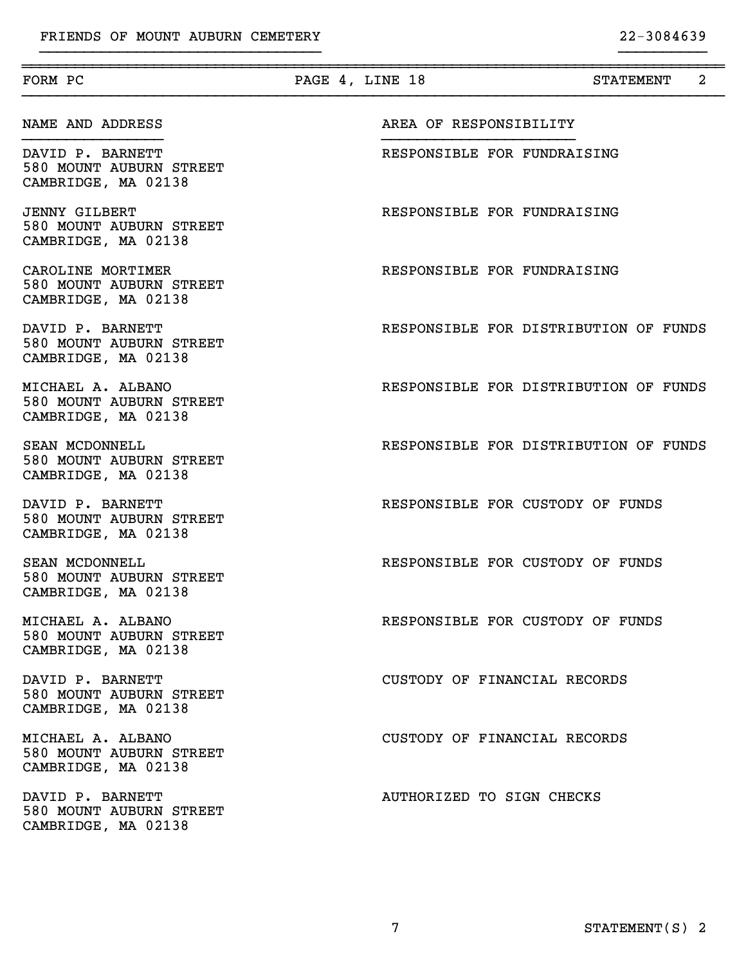| FORM PC                                                                | PAGE 4, LINE 18<br>2<br><b>STATEMENT</b> |  |
|------------------------------------------------------------------------|------------------------------------------|--|
| NAME AND ADDRESS                                                       | AREA OF RESPONSIBILITY                   |  |
| DAVID P. BARNETT<br>580 MOUNT AUBURN STREET<br>CAMBRIDGE, MA 02138     | RESPONSIBLE FOR FUNDRAISING              |  |
| <b>JENNY GILBERT</b><br>580 MOUNT AUBURN STREET<br>CAMBRIDGE, MA 02138 | RESPONSIBLE FOR FUNDRAISING              |  |
| CAROLINE MORTIMER<br>580 MOUNT AUBURN STREET<br>CAMBRIDGE, MA 02138    | RESPONSIBLE FOR FUNDRAISING              |  |
| DAVID P. BARNETT<br>580 MOUNT AUBURN STREET<br>CAMBRIDGE, MA 02138     | RESPONSIBLE FOR DISTRIBUTION OF FUNDS    |  |
| MICHAEL A. ALBANO<br>580 MOUNT AUBURN STREET<br>CAMBRIDGE, MA 02138    | RESPONSIBLE FOR DISTRIBUTION OF FUNDS    |  |
| SEAN MCDONNELL<br>580 MOUNT AUBURN STREET<br>CAMBRIDGE, MA 02138       | RESPONSIBLE FOR DISTRIBUTION OF FUNDS    |  |
| DAVID P. BARNETT<br>580 MOUNT AUBURN STREET<br>CAMBRIDGE, MA 02138     | RESPONSIBLE FOR CUSTODY OF FUNDS         |  |
| SEAN MCDONNELL<br>580 MOUNT AUBURN STREET<br>CAMBRIDGE, MA 02138       | RESPONSIBLE FOR CUSTODY OF FUNDS         |  |
| MICHAEL A. ALBANO<br>580 MOUNT AUBURN STREET<br>CAMBRIDGE, MA 02138    | RESPONSIBLE FOR CUSTODY OF FUNDS         |  |
| DAVID P. BARNETT<br>580 MOUNT AUBURN STREET<br>CAMBRIDGE, MA 02138     | CUSTODY OF FINANCIAL RECORDS             |  |
| MICHAEL A. ALBANO<br>580 MOUNT AUBURN STREET<br>CAMBRIDGE, MA 02138    | CUSTODY OF FINANCIAL RECORDS             |  |
| DAVID P. BARNETT<br>580 MOUNT AUBURN STREET<br>CAMBRIDGE, MA 02138     | AUTHORIZED TO SIGN CHECKS                |  |

}}}}}}}}}}}}}}}}}}}}}}}}}}}}}}}} }}}}}}}}}}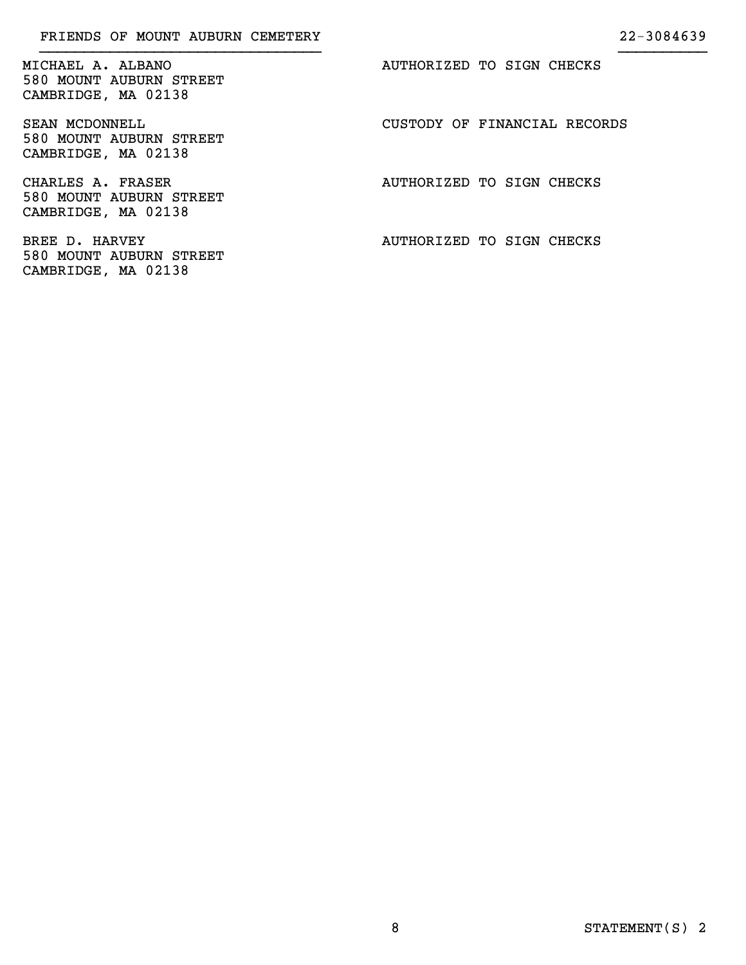580 MOUNT AUBURN STREET CAMBRIDGE, MA 02138

580 MOUNT AUBURN STREET CAMBRIDGE, MA 02138

CHARLES A. FRASER **AUTHORIZED** TO SIGN CHECKS 580 MOUNT AUBURN STREET CAMBRIDGE, MA 02138

580 MOUNT AUBURN STREET CAMBRIDGE, MA 02138

MICHAEL A. ALBANO **AUTHORIZED** TO SIGN CHECKS

}}}}}}}}}}}}}}}}}}}}}}}}}}}}}}}} }}}}}}}}}}

SEAN MCDONNELL **SEAN MEDONNELL** SEAN CUSTODY OF FINANCIAL RECORDS

BREE D. HARVEY **AUTHORIZED** TO SIGN CHECKS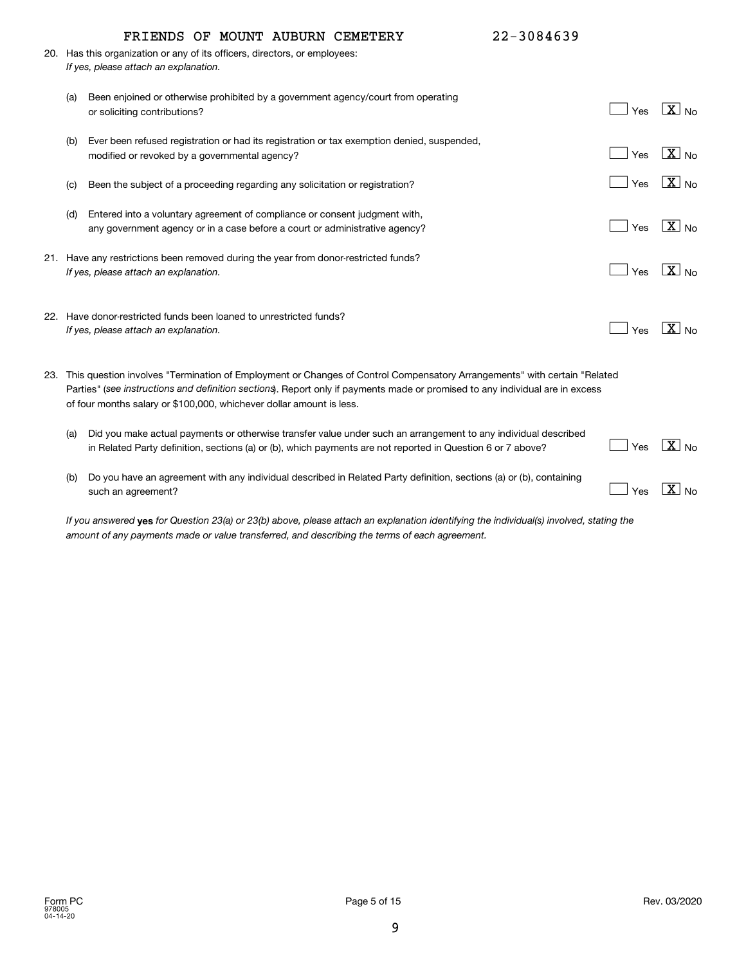|     | FRIENDS OF MOUNT AUBURN CEMETERY                                                                                              | 22-3084639 |                       |
|-----|-------------------------------------------------------------------------------------------------------------------------------|------------|-----------------------|
|     | 20. Has this organization or any of its officers, directors, or employees:                                                    |            |                       |
|     | If yes, please attach an explanation.                                                                                         |            |                       |
|     |                                                                                                                               |            |                       |
| (a) | Been enjoined or otherwise prohibited by a government agency/court from operating                                             |            |                       |
|     | or soliciting contributions?                                                                                                  | Yes        | $\boxed{\text{X}}$ No |
|     |                                                                                                                               |            |                       |
| (b) | Ever been refused registration or had its registration or tax exemption denied, suspended,                                    |            |                       |
|     | modified or revoked by a governmental agency?                                                                                 | Yes        | $X_{N0}$              |
|     |                                                                                                                               | Yes        | $X_{N0}$              |
| (c) | Been the subject of a proceeding regarding any solicitation or registration?                                                  |            |                       |
| (d) | Entered into a voluntary agreement of compliance or consent judgment with,                                                    |            |                       |
|     | any government agency or in a case before a court or administrative agency?                                                   | Yes        | $X_{N0}$              |
|     |                                                                                                                               |            |                       |
|     | 21. Have any restrictions been removed during the year from donor-restricted funds?                                           |            |                       |
|     | If yes, please attach an explanation.                                                                                         | Yes        | $\sqrt{X}$ No         |
|     |                                                                                                                               |            |                       |
|     |                                                                                                                               |            |                       |
|     | 22. Have donor-restricted funds been loaned to unrestricted funds?                                                            |            |                       |
|     | If yes, please attach an explanation.                                                                                         | Yes        | $\sqrt{X}$ No         |
|     |                                                                                                                               |            |                       |
|     |                                                                                                                               |            |                       |
|     | 23. This question involves "Termination of Employment or Changes of Control Compensatory Arrangements" with certain "Related  |            |                       |
|     | Parties" (see instructions and definition sections). Report only if payments made or promised to any individual are in excess |            |                       |
|     | of four months salary or \$100,000, whichever dollar amount is less.                                                          |            |                       |
| (a) | Did you make actual payments or otherwise transfer value under such an arrangement to any individual described                |            |                       |
|     | in Related Party definition, sections (a) or (b), which payments are not reported in Question 6 or 7 above?                   | Yes        | $\boxed{\text{X}}$ No |
|     |                                                                                                                               |            |                       |
| (b) | Do you have an agreement with any individual described in Related Party definition, sections (a) or (b), containing           |            |                       |
|     | such an agreement?                                                                                                            | Yes        | $\overline{X}$ No     |
|     |                                                                                                                               |            |                       |

If you answered **yes** for Question 23(a) or 23(b) above, please attach an explanation identifying the individual(s) involved, stating the *amount of any payments made or value transferred, and describing the terms of each agreement.*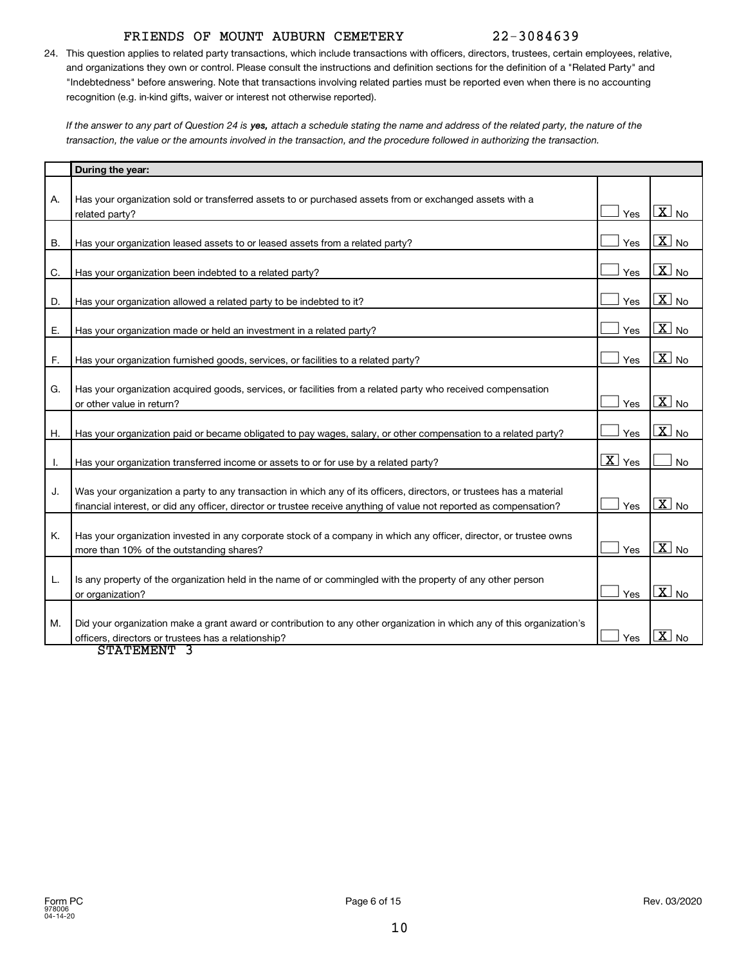### FRIENDS OF MOUNT AUBURN CEMETERY 22-3084639

24. This question applies to related party transactions, which include transactions with officers, directors, trustees, certain employees, relative, and organizations they own or control. Please consult the instructions and definition sections for the definition of a "Related Party" and "Indebtedness" before answering. Note that transactions involving related parties must be reported even when there is no accounting recognition (e.g. in-kind gifts, waiver or interest not otherwise reported).

If the answer to any part of Question 24 is **yes,** attach a schedule stating the name and address of the related party, the nature of the *transaction, the value or the amounts involved in the transaction, and the procedure followed in authorizing the transaction.*

|    | During the year:                                                                                                                                                                                                                            |                             |                                      |
|----|---------------------------------------------------------------------------------------------------------------------------------------------------------------------------------------------------------------------------------------------|-----------------------------|--------------------------------------|
| А. | Has your organization sold or transferred assets to or purchased assets from or exchanged assets with a<br>related party?                                                                                                                   | Yes                         | $\overline{X}$ No                    |
| В. | Has your organization leased assets to or leased assets from a related party?                                                                                                                                                               | Yes                         | $\overline{\mathbf{X}}$ No           |
| C. | Has your organization been indebted to a related party?                                                                                                                                                                                     | Yes                         | $\overline{\mathbf{X}}$ No           |
| D. | Has your organization allowed a related party to be indebted to it?                                                                                                                                                                         | Yes                         | $\overline{\mathbf{X}}$ No           |
| Е. | Has your organization made or held an investment in a related party?                                                                                                                                                                        | Yes                         | $\overline{\mathbf{X}}$ No           |
| F. | Has your organization furnished goods, services, or facilities to a related party?                                                                                                                                                          | Yes                         | $\boxed{\text{X}}$ No                |
| G. | Has your organization acquired goods, services, or facilities from a related party who received compensation<br>or other value in return?                                                                                                   | Yes                         | $\overline{X}$ No                    |
| Η. | Has your organization paid or became obligated to pay wages, salary, or other compensation to a related party?                                                                                                                              | Yes                         | $\overline{X}$ No                    |
| Ι. | Has your organization transferred income or assets to or for use by a related party?                                                                                                                                                        | $\overline{\mathbf{X}}$ Yes | <b>No</b>                            |
| J. | Was your organization a party to any transaction in which any of its officers, directors, or trustees has a material<br>financial interest, or did any officer, director or trustee receive anything of value not reported as compensation? | Yes                         | $\overline{X}$ No                    |
| Κ. | Has your organization invested in any corporate stock of a company in which any officer, director, or trustee owns<br>more than 10% of the outstanding shares?                                                                              | Yes                         | $\overline{\mathbf{x}}$<br><b>No</b> |
| L. | Is any property of the organization held in the name of or commingled with the property of any other person<br>or organization?                                                                                                             | Yes                         | $\overline{\mathbf{X}}$ No           |
| М. | Did your organization make a grant award or contribution to any other organization in which any of this organization's<br>officers, directors or trustees has a relationship?<br>$G$ manufarm $\Omega$                                      | Yes                         | $\overline{\mathbf{X}}$ No           |

STATEMENT 3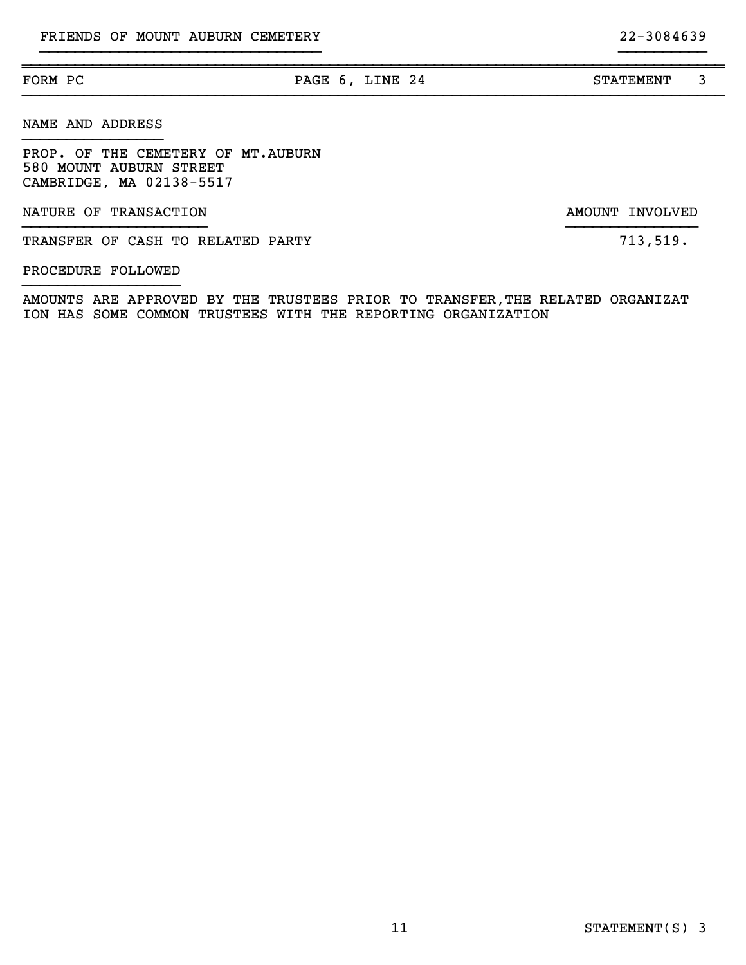# NAME AND ADDRESS

PROP. OF THE CEMETERY OF MT.AUBURN 580 MOUNT AUBURN STREET CAMBRIDGE, MA 02138-5517

NATURE OF TRANSACTION **AMOUNT INVOLVED** 

TRANSFER OF CASH TO RELATED PARTY **12, 12, 13, 13, 13, 13, 14** 

#### PROCEDURE FOLLOWED }}}}}}}}}}}}}}}}}}

}}}}}}}}}}}}}}}}

AMOUNTS ARE APPROVED BY THE TRUSTEES PRIOR TO TRANSFER,THE RELATED ORGANIZAT ION HAS SOME COMMON TRUSTEES WITH THE REPORTING ORGANIZATION

}}}}}}}}}}}}}}}}}}}}}}}}}}}}}}}}}}}}}}}}}}}}}}}}}}}}}}}}}}}}}}}}}}}}}}}}}}}}}}}}

~~~~~~~~~~~~~~~~~~~~~~~~~~~~~~~~~~~~~~~~~~~~~~~~~~~~~~~~~~~~~~~~~~~~~~~~~~~~~~~~

}}}}}}}}}}}}}}}}}}}}}}}}}}}}}}}} }}}}}}}}}}

}}}}}}}}}}}}}}}}}}}}} }}}}}}}}}}}}}}}

FORM PC **PAGE 6, LINE 24** STATEMENT 3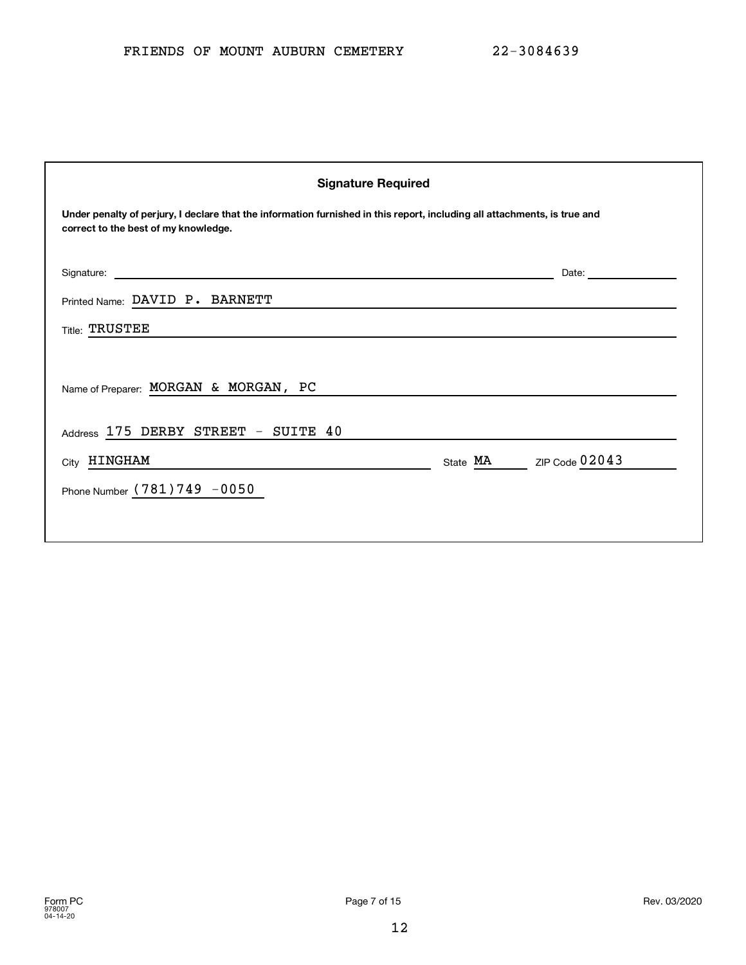| <b>Signature Required</b>                                                                                                                                         |                            |  |  |  |
|-------------------------------------------------------------------------------------------------------------------------------------------------------------------|----------------------------|--|--|--|
| Under penalty of perjury, I declare that the information furnished in this report, including all attachments, is true and<br>correct to the best of my knowledge. |                            |  |  |  |
| Signature:                                                                                                                                                        | Date:                      |  |  |  |
| Printed Name: DAVID P. BARNETT                                                                                                                                    |                            |  |  |  |
| <b>Title: TRUSTEE</b>                                                                                                                                             |                            |  |  |  |
| Name of Preparer: MORGAN & MORGAN, PC                                                                                                                             |                            |  |  |  |
| Address 175 DERBY STREET - SUITE 40                                                                                                                               |                            |  |  |  |
| City HINGHAM                                                                                                                                                      | ZIP Code 02043<br>State MA |  |  |  |
| Phone Number (781) 749 -0050                                                                                                                                      |                            |  |  |  |
|                                                                                                                                                                   |                            |  |  |  |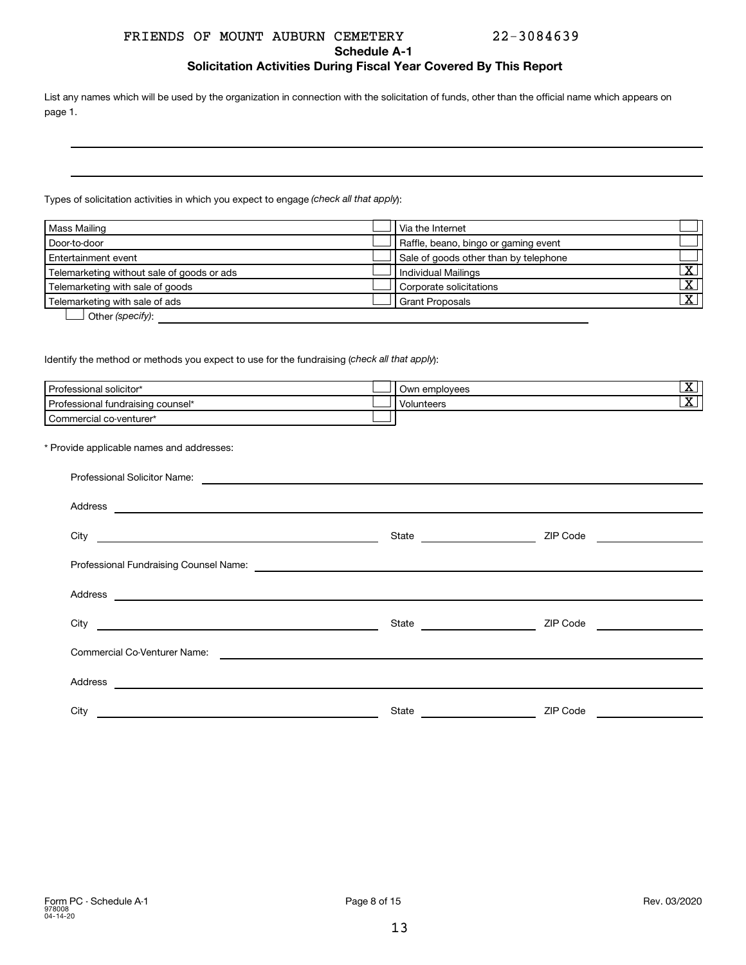#### FRIENDS OF MOUNT AUBURN CEMETERY 22-3084639

**Schedule A-1**

#### **Solicitation Activities During Fiscal Year Covered By This Report**

List any names which will be used by the organization in connection with the solicitation of funds, other than the official name which appears on page 1.

Types of solicitation activities in which you expect to engage (check all that apply):

| Mass Mailing                               | Via the Internet                      |                         |
|--------------------------------------------|---------------------------------------|-------------------------|
| Door-to-door                               | Raffle, beano, bingo or gaming event  |                         |
| Entertainment event                        | Sale of goods other than by telephone |                         |
| Telemarketing without sale of goods or ads | <b>Individual Mailings</b>            | х                       |
| Telemarketing with sale of goods           | Corporate solicitations               | $\overline{\mathbf{X}}$ |
| Telemarketing with sale of ads             | <b>Grant Proposals</b>                | x                       |
| O <sub>thor</sub> (onocifi).               |                                       |                         |

**letter** (specify):

Identify the method or methods you expect to use for the fundraising (check all that apply):

| Professional solicitor*                   | Own employees     | ▵ |
|-------------------------------------------|-------------------|---|
| Professional fundraising counsel*         | <b>Volunteers</b> | х |
| Commercial co-venturer*                   |                   |   |
| * Provide applicable names and addresses: |                   |   |

| Professional Solicitor Name:<br><u> 1989 - Johann John Stein, fransk politik (d. 1989)</u>                                                           |                                                  |                                                                                                                                                                                          |  |  |  |
|------------------------------------------------------------------------------------------------------------------------------------------------------|--------------------------------------------------|------------------------------------------------------------------------------------------------------------------------------------------------------------------------------------------|--|--|--|
| Address                                                                                                                                              |                                                  |                                                                                                                                                                                          |  |  |  |
|                                                                                                                                                      | State<br><u> 1990 - Johann Barbara, martxa a</u> | ZIP Code<br>$\mathcal{L}^{\mathcal{L}}(\mathcal{L}^{\mathcal{L}})$ and $\mathcal{L}^{\mathcal{L}}(\mathcal{L}^{\mathcal{L}})$ and $\mathcal{L}^{\mathcal{L}}(\mathcal{L}^{\mathcal{L}})$ |  |  |  |
|                                                                                                                                                      |                                                  |                                                                                                                                                                                          |  |  |  |
| Address<br><u> 1989 - Johann Stein, mars and de Brandenburg and de Brandenburg and de Brandenburg and de Brandenburg and de</u>                      |                                                  |                                                                                                                                                                                          |  |  |  |
|                                                                                                                                                      | State <u>__________________</u>                  | ZIP Code <u>____________________</u>                                                                                                                                                     |  |  |  |
| Commercial Co-Venturer Name:<br><u> Andreas Andreas Andreas Andreas Andreas Andreas Andreas Andreas Andreas Andreas Andreas Andreas Andreas Andr</u> |                                                  |                                                                                                                                                                                          |  |  |  |
| Address                                                                                                                                              |                                                  |                                                                                                                                                                                          |  |  |  |
| City                                                                                                                                                 | State                                            | ZIP Code                                                                                                                                                                                 |  |  |  |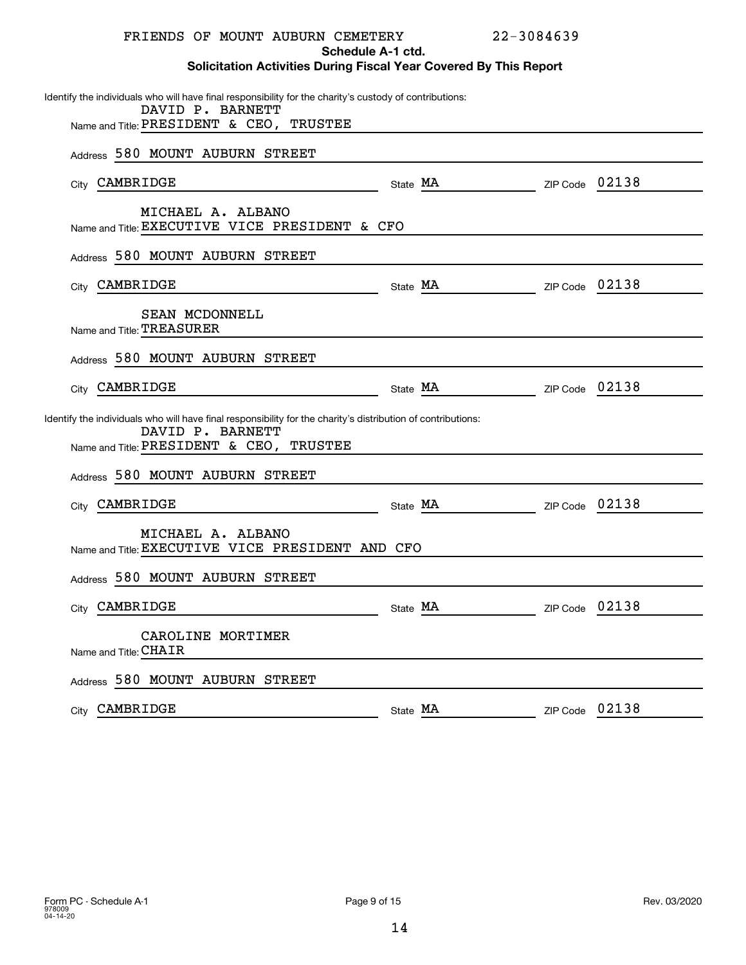| FRIENDS OF MOUNT AUBURN CEMETERY                                                                                                                                             |                   | 22-3084639              |       |
|------------------------------------------------------------------------------------------------------------------------------------------------------------------------------|-------------------|-------------------------|-------|
| <b>Solicitation Activities During Fiscal Year Covered By This Report</b>                                                                                                     | Schedule A-1 ctd. |                         |       |
| Identify the individuals who will have final responsibility for the charity's custody of contributions:<br>DAVID P. BARNETT<br>Name and Title: PRESIDENT & CEO, TRUSTEE      |                   |                         |       |
| Address 580 MOUNT AUBURN STREET                                                                                                                                              |                   |                         |       |
| City CAMBRIDGE                                                                                                                                                               |                   | State MA ZIP Code 02138 |       |
| MICHAEL A. ALBANO<br>Name and Title: EXECUTIVE VICE PRESIDENT & CFO                                                                                                          |                   |                         |       |
| Address 580 MOUNT AUBURN STREET                                                                                                                                              |                   |                         |       |
| City CAMBRIDGE<br><u> 1980 - Jan Barbara Barat, politik a</u>                                                                                                                |                   | State MA ZIP Code 02138 |       |
| SEAN MCDONNELL<br>Name and Title: TREASURER                                                                                                                                  |                   |                         |       |
| Address 580 MOUNT AUBURN STREET                                                                                                                                              |                   |                         |       |
| City CAMBRIDGE<br><u> 1980 - Johann Barbara, martin a</u>                                                                                                                    |                   | State MA ZIP Code 02138 |       |
| Identify the individuals who will have final responsibility for the charity's distribution of contributions:<br>DAVID P. BARNETT<br>Name and Title: PRESIDENT & CEO, TRUSTEE |                   |                         |       |
| Address 580 MOUNT AUBURN STREET                                                                                                                                              |                   |                         |       |
| City CAMBRIDGE                                                                                                                                                               |                   | State MA ZIP Code 02138 |       |
| MICHAEL A. ALBANO<br>Name and Title: EXECUTIVE VICE PRESIDENT AND CFO                                                                                                        |                   |                         |       |
| Address 580 MOUNT AUBURN STREET                                                                                                                                              |                   |                         |       |
| CAMBRIDGE<br>City                                                                                                                                                            | State MA          | ZIP Code                | 02138 |
| CAROLINE MORTIMER<br>Name and Title: CHAIR                                                                                                                                   |                   |                         |       |
| Address 580 MOUNT AUBURN STREET                                                                                                                                              |                   |                         |       |
| CAMBRIDGE<br>City                                                                                                                                                            | State MA          | ZIP Code                | 02138 |
|                                                                                                                                                                              |                   |                         |       |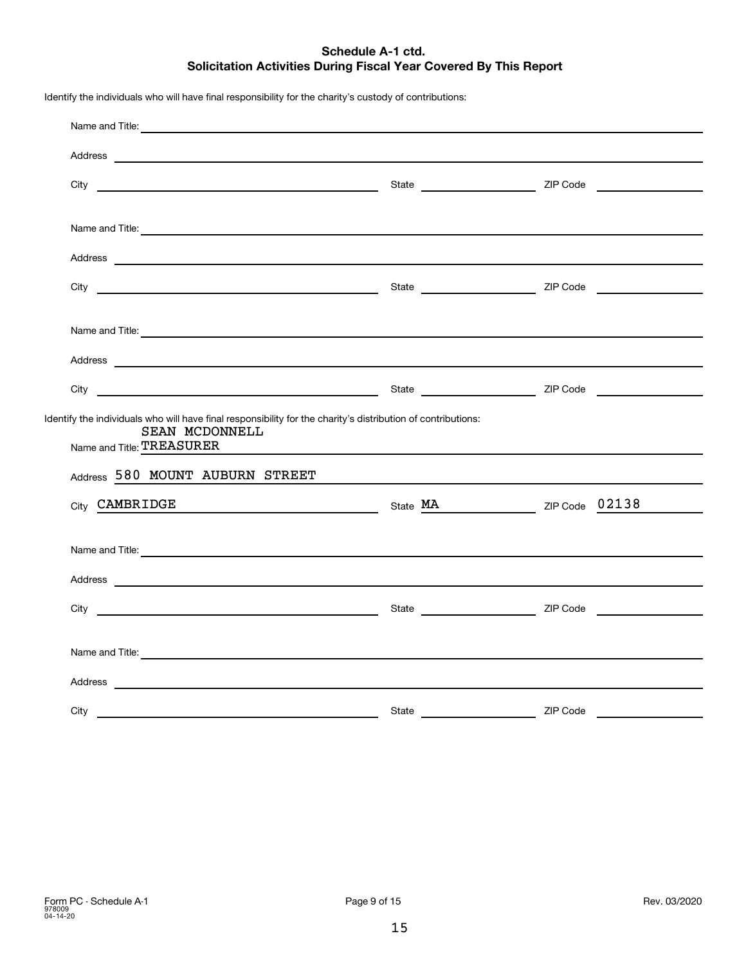#### **Schedule A-1 ctd. Solicitation Activities During Fiscal Year Covered By This Report**

Identify the individuals who will have final responsibility for the charity's custody of contributions:

| Name and Title: <u>Contract Communications</u> and Title:                                                                                                                                                                            |       |          |
|--------------------------------------------------------------------------------------------------------------------------------------------------------------------------------------------------------------------------------------|-------|----------|
|                                                                                                                                                                                                                                      |       |          |
|                                                                                                                                                                                                                                      |       |          |
|                                                                                                                                                                                                                                      |       |          |
| Name and Title: <u>Contract Communications and Titles and Titles and Titles and Titles and Titles and Titles and Titles and Titles and Titles and Titles and Titles and Titles and Titles and Titles and Titles and Titles and T</u> |       |          |
|                                                                                                                                                                                                                                      |       |          |
|                                                                                                                                                                                                                                      |       |          |
|                                                                                                                                                                                                                                      |       |          |
| Name and Title: <u>example and the second contract of the second contract of the second contract of the second contract of the second contract of the second contract of the second contract of the second contract of the secon</u> |       |          |
|                                                                                                                                                                                                                                      |       |          |
|                                                                                                                                                                                                                                      |       |          |
|                                                                                                                                                                                                                                      |       |          |
| Identify the individuals who will have final responsibility for the charity's distribution of contributions:<br>SEAN MCDONNELL                                                                                                       |       |          |
| Name and Title: TREASURER                                                                                                                                                                                                            |       |          |
| Address 580 MOUNT AUBURN STREET                                                                                                                                                                                                      |       |          |
| City CAMBRIDGE<br>State MA ZIP Code 02138                                                                                                                                                                                            |       |          |
|                                                                                                                                                                                                                                      |       |          |
| Name and Title:                                                                                                                                                                                                                      |       |          |
|                                                                                                                                                                                                                                      |       |          |
|                                                                                                                                                                                                                                      |       |          |
|                                                                                                                                                                                                                                      |       |          |
|                                                                                                                                                                                                                                      |       |          |
| Name and Title: <u>example and the second contract of the second contract of the second contract of the second contract of the second contract of the second contract of the second contract of the second contract of the secon</u> |       |          |
|                                                                                                                                                                                                                                      |       |          |
| City                                                                                                                                                                                                                                 | State | ZIP Code |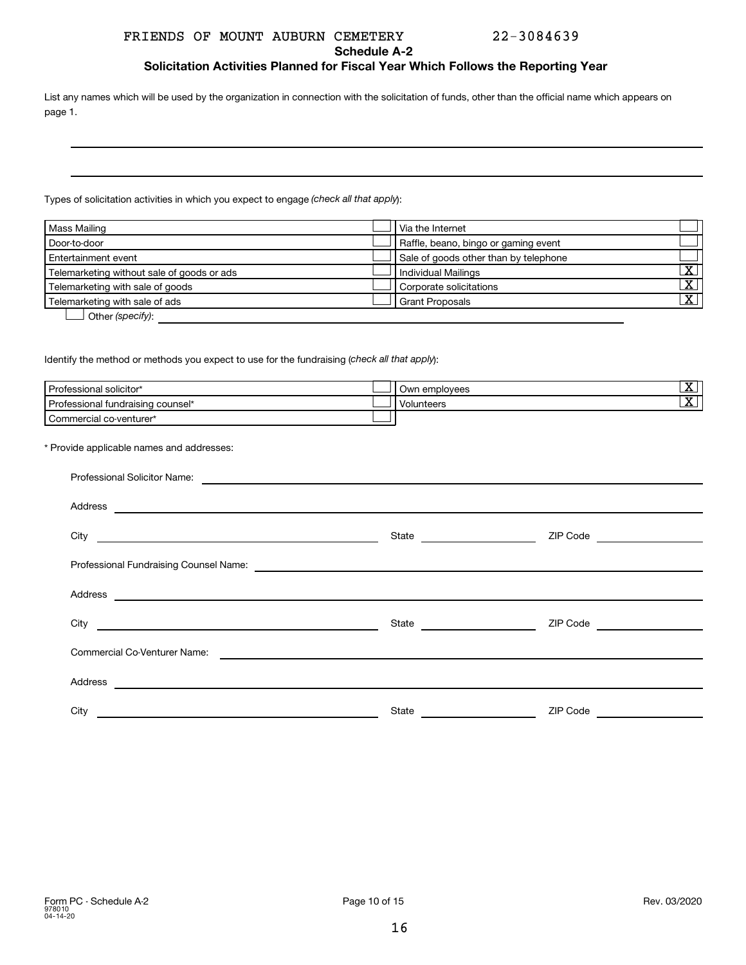#### FRIENDS OF MOUNT AUBURN CEMETERY 22-3084639

#### **Schedule A-2**

**Solicitation Activities Planned for Fiscal Year Which Follows the Reporting Year**

List any names which will be used by the organization in connection with the solicitation of funds, other than the official name which appears on page 1.

Types of solicitation activities in which you expect to engage (check all that apply):

| Mass Mailing                               | Via the Internet                      |                         |
|--------------------------------------------|---------------------------------------|-------------------------|
| Door-to-door                               | Raffle, beano, bingo or gaming event  |                         |
| Entertainment event                        | Sale of goods other than by telephone |                         |
| Telemarketing without sale of goods or ads | Individual Mailings                   | $\overline{\textbf{X}}$ |
| Telemarketing with sale of goods           | Corporate solicitations               | $\overline{X}$          |
| Telemarketing with sale of ads             | <b>Grant Proposals</b>                | x                       |
| O <sub>thor</sub> (onocifi).               |                                       |                         |

**letter** (specify):

Identify the method or methods you expect to use for the fundraising (check all that apply):

| Professional solicitor*                   | Own employees     | х                       |
|-------------------------------------------|-------------------|-------------------------|
| Professional fundraising counsel*         | <b>Volunteers</b> | $\overline{\textbf{X}}$ |
| Commercial co-venturer*                   |                   |                         |
|                                           |                   |                         |
| * Provide applicable names and addresses: |                   |                         |

| Professional Solicitor Name:                                                                                                    |       |                 |  |  |
|---------------------------------------------------------------------------------------------------------------------------------|-------|-----------------|--|--|
| Address<br><u> 1989 - Johann John Stein, fransk politik (d. 1989)</u>                                                           |       |                 |  |  |
| City<br><u> 1989 - John Harry Harry Harry Harry Harry Harry Harry Harry Harry Harry Harry Harry Harry Harry Harry Harry</u>     |       | ZIP Code        |  |  |
|                                                                                                                                 |       |                 |  |  |
| Address<br><u> 1989 - Johann John Stein, markin fan it ferstjer fan de ferstjer fan it ferstjer fan de ferstjer fan de fers</u> |       |                 |  |  |
| City                                                                                                                            |       | ZIP Code        |  |  |
| Commercial Co-Venturer Name:                                                                                                    |       |                 |  |  |
| Address<br><u> 1989 - Johann Stein, mars an deus Amerikaansk kommunister (</u>                                                  |       |                 |  |  |
| City                                                                                                                            | State | <b>ZIP Code</b> |  |  |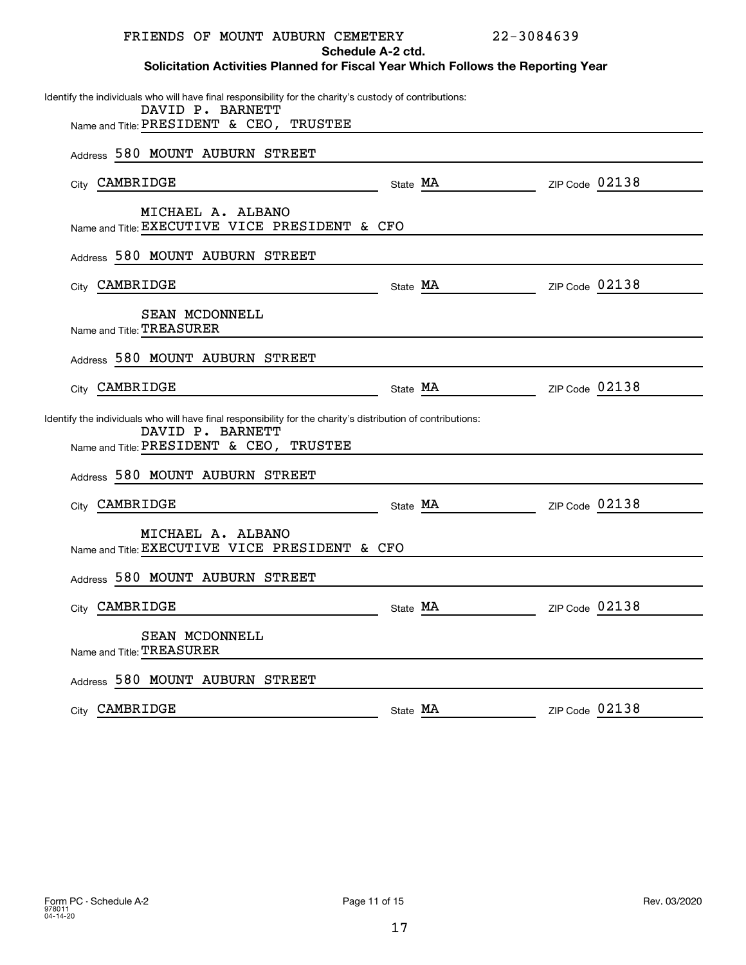| FRIENDS OF MOUNT AUBURN CEMETERY                                                                                                                                             | Schedule A-2 ctd. | 22-3084639     |
|------------------------------------------------------------------------------------------------------------------------------------------------------------------------------|-------------------|----------------|
| Solicitation Activities Planned for Fiscal Year Which Follows the Reporting Year                                                                                             |                   |                |
| Identify the individuals who will have final responsibility for the charity's custody of contributions:<br>DAVID P. BARNETT<br>Name and Title: PRESIDENT & CEO, TRUSTEE      |                   |                |
|                                                                                                                                                                              |                   |                |
| Address 580 MOUNT AUBURN STREET                                                                                                                                              |                   |                |
| City CAMBRIDGE                                                                                                                                                               | State MA          | ZIP Code 02138 |
| MICHAEL A. ALBANO<br>Name and Title: EXECUTIVE VICE PRESIDENT & CFO                                                                                                          |                   |                |
| Address 580 MOUNT AUBURN STREET                                                                                                                                              |                   |                |
| City CAMBRIDGE                                                                                                                                                               | State MA          | ZIP Code 02138 |
| SEAN MCDONNELL<br>Name and Title: TREASURER                                                                                                                                  |                   |                |
| Address 580 MOUNT AUBURN STREET                                                                                                                                              |                   |                |
| City CAMBRIDGE                                                                                                                                                               | State MA          | ZIP Code 02138 |
| Identify the individuals who will have final responsibility for the charity's distribution of contributions:<br>DAVID P. BARNETT<br>Name and Title: PRESIDENT & CEO, TRUSTEE |                   |                |
| Address 580 MOUNT AUBURN STREET                                                                                                                                              |                   |                |
| City CAMBRIDGE                                                                                                                                                               | State MA          | ZIP Code 02138 |
| MICHAEL A. ALBANO<br>Name and Title: EXECUTIVE VICE PRESIDENT & CFO                                                                                                          |                   |                |
| Address 580 MOUNT AUBURN STREET                                                                                                                                              |                   |                |
| City CAMBRIDGE                                                                                                                                                               | State MA          | ZIP Code 02138 |
| SEAN MCDONNELL<br>Name and Title: TREASURER                                                                                                                                  |                   |                |
| Address 580 MOUNT AUBURN STREET                                                                                                                                              |                   |                |
| City CAMBRIDGE                                                                                                                                                               | State MA          | ZIP Code 02138 |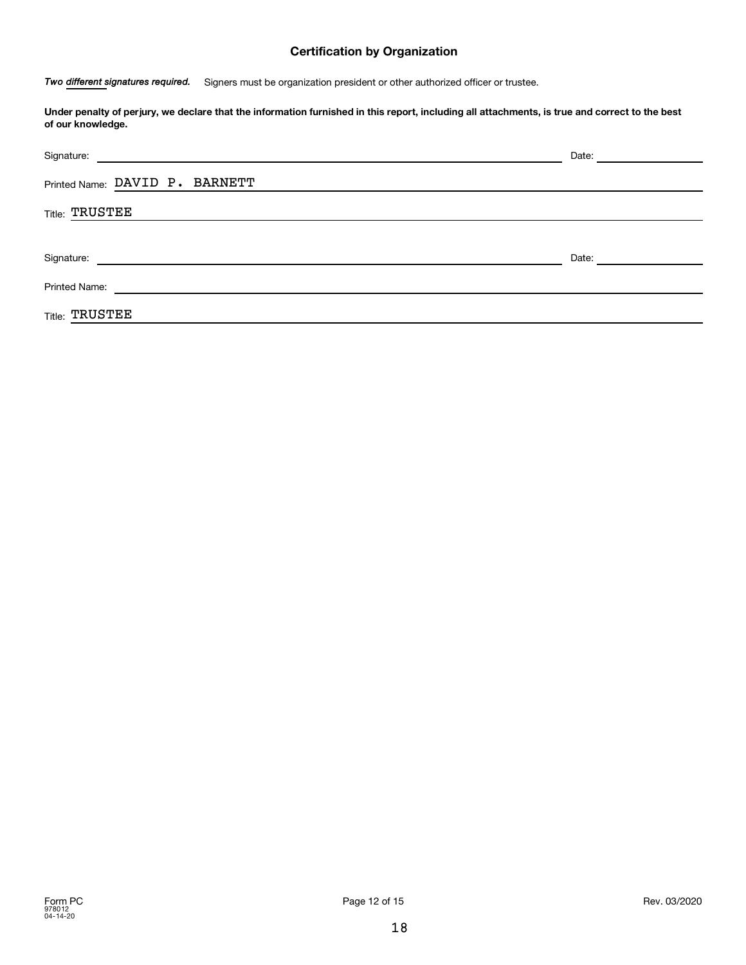#### **Certification by Organization**

Two different signatures required. Signers must be organization president or other authorized officer or trustee.

**Under penalty of perjury, we declare that the information furnished in this report, including all attachments, is true and correct to the best of our knowledge.**

| Signature:<br>and the control of the control of the control of the control of the control of the control of the control of the | Date: |
|--------------------------------------------------------------------------------------------------------------------------------|-------|
| Printed Name: DAVID P. BARNETT                                                                                                 |       |
| <b>Title: TRUSTEE</b>                                                                                                          |       |
|                                                                                                                                |       |
| Signature:                                                                                                                     | Date: |
| <b>Printed Name:</b>                                                                                                           |       |
| <b>Title: TRUSTEE</b>                                                                                                          |       |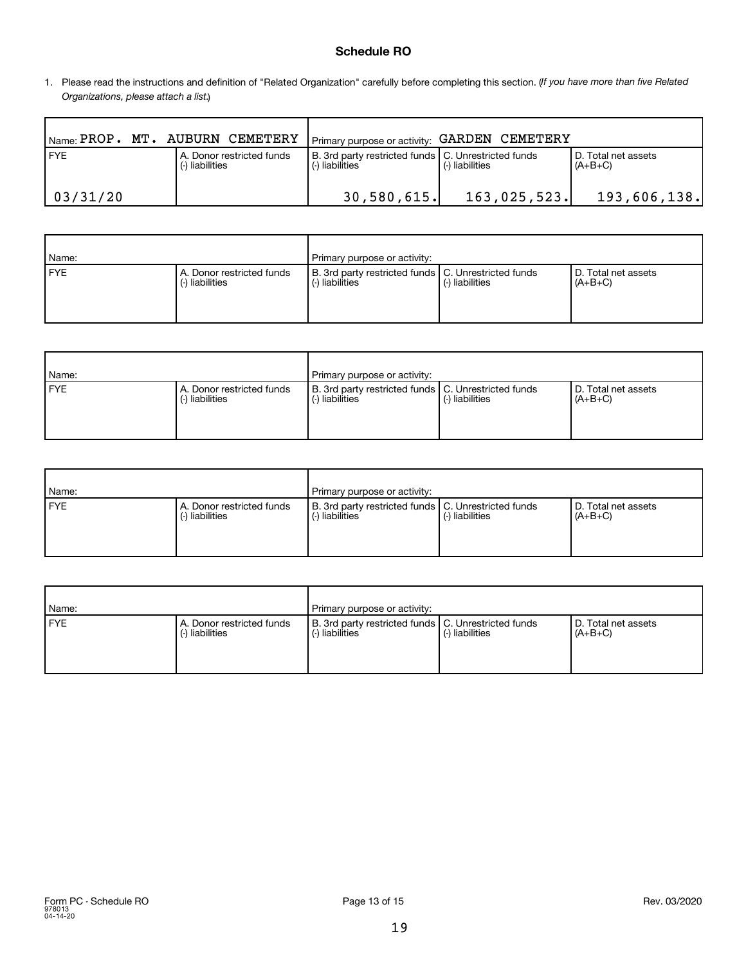#### **Schedule RO**

1. Please read the instructions and definition of "Related Organization" carefully before completing this section. (If you have more than five Related *Organizations, please attach a list.* )

| $\mathsf{N}_{\mathsf{Name}:}$ PROP. MT. AUBURN CEMETERY |                                              | I Primary purpose or activity: GARDEN CEMETERY                           |                   |                                  |
|---------------------------------------------------------|----------------------------------------------|--------------------------------------------------------------------------|-------------------|----------------------------------|
| <b>FYE</b>                                              | A. Donor restricted funds<br>(-) liabilities | B. 3rd party restricted funds   C. Unrestricted funds<br>(-) liabilities | l (-) liabilities | D. Total net assets<br>$(A+B+C)$ |
| 03/31/20                                                |                                              | 30,580,615.                                                              | 163,025,523.      | 193,606,138.                     |

| Name:      |                                              | Primary purpose or activity:                                                                |  |                                  |  |  |
|------------|----------------------------------------------|---------------------------------------------------------------------------------------------|--|----------------------------------|--|--|
| <b>FYE</b> | A. Donor restricted funds<br>(-) liabilities | B. 3rd party restricted funds   C. Unrestricted funds<br>(-) liabilities<br>(-) liabilities |  | D. Total net assets<br>$(A+B+C)$ |  |  |

| Name: |                                              | Primary purpose or activity:                                             |                 |                                  |  |
|-------|----------------------------------------------|--------------------------------------------------------------------------|-----------------|----------------------------------|--|
| FYE   | A. Donor restricted funds<br>(-) liabilities | B. 3rd party restricted funds   C. Unrestricted funds<br>(-) liabilities | (-) liabilities | D. Total net assets<br>$(A+B+C)$ |  |

| Name:      |                                              | Primary purpose or activity:                                             |                 |                                  |
|------------|----------------------------------------------|--------------------------------------------------------------------------|-----------------|----------------------------------|
| <b>FYE</b> | A. Donor restricted funds<br>(-) liabilities | B. 3rd party restricted funds   C. Unrestricted funds<br>(-) liabilities | (-) liabilities | D. Total net assets<br>$(A+B+C)$ |

| Name: |                                              | Primary purpose or activity:                                             |                 |                                  |
|-------|----------------------------------------------|--------------------------------------------------------------------------|-----------------|----------------------------------|
| FYE   | A. Donor restricted funds<br>(-) liabilities | B. 3rd party restricted funds   C. Unrestricted funds<br>(-) liabilities | (-) liabilities | D. Total net assets<br>$(A+B+C)$ |